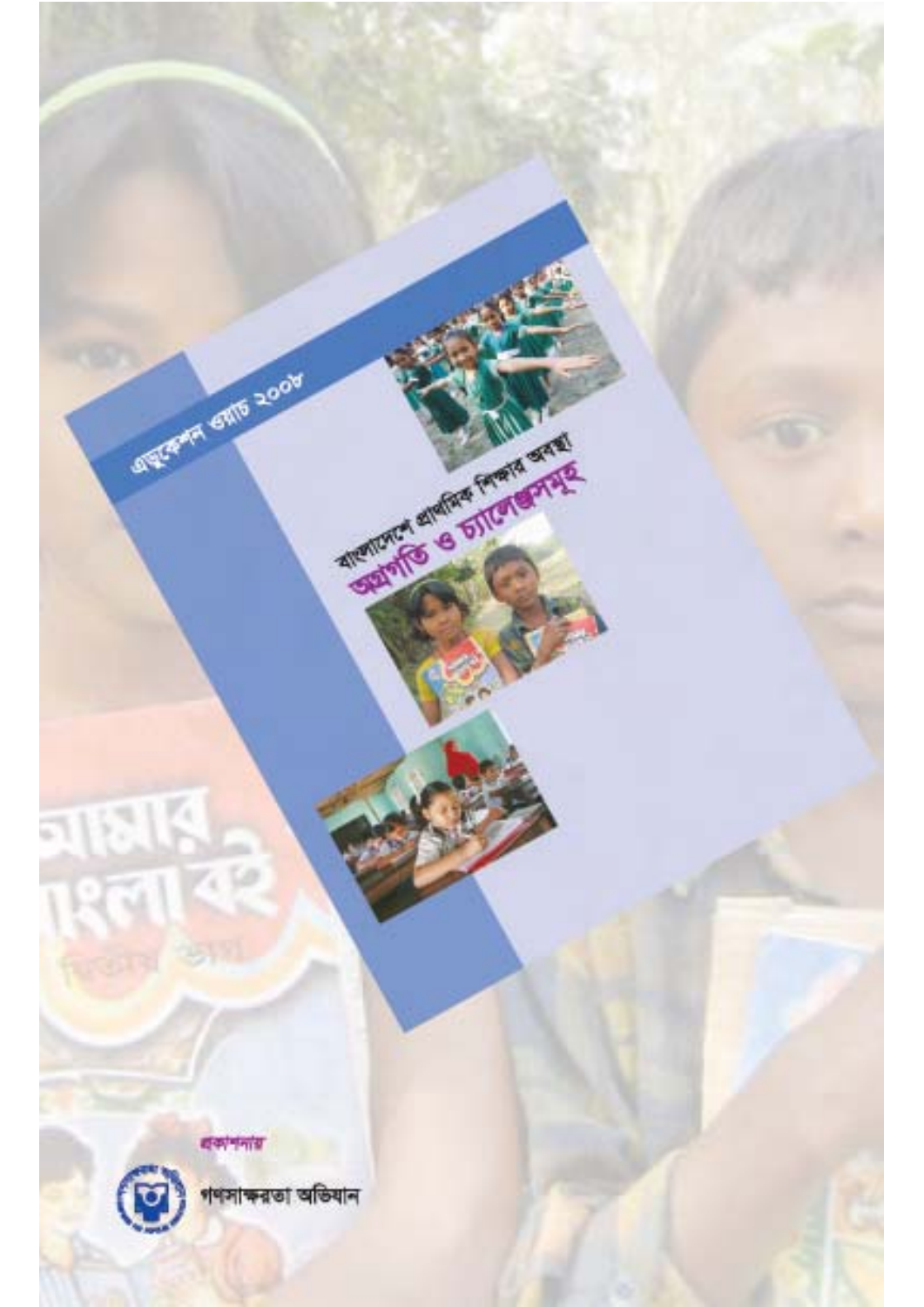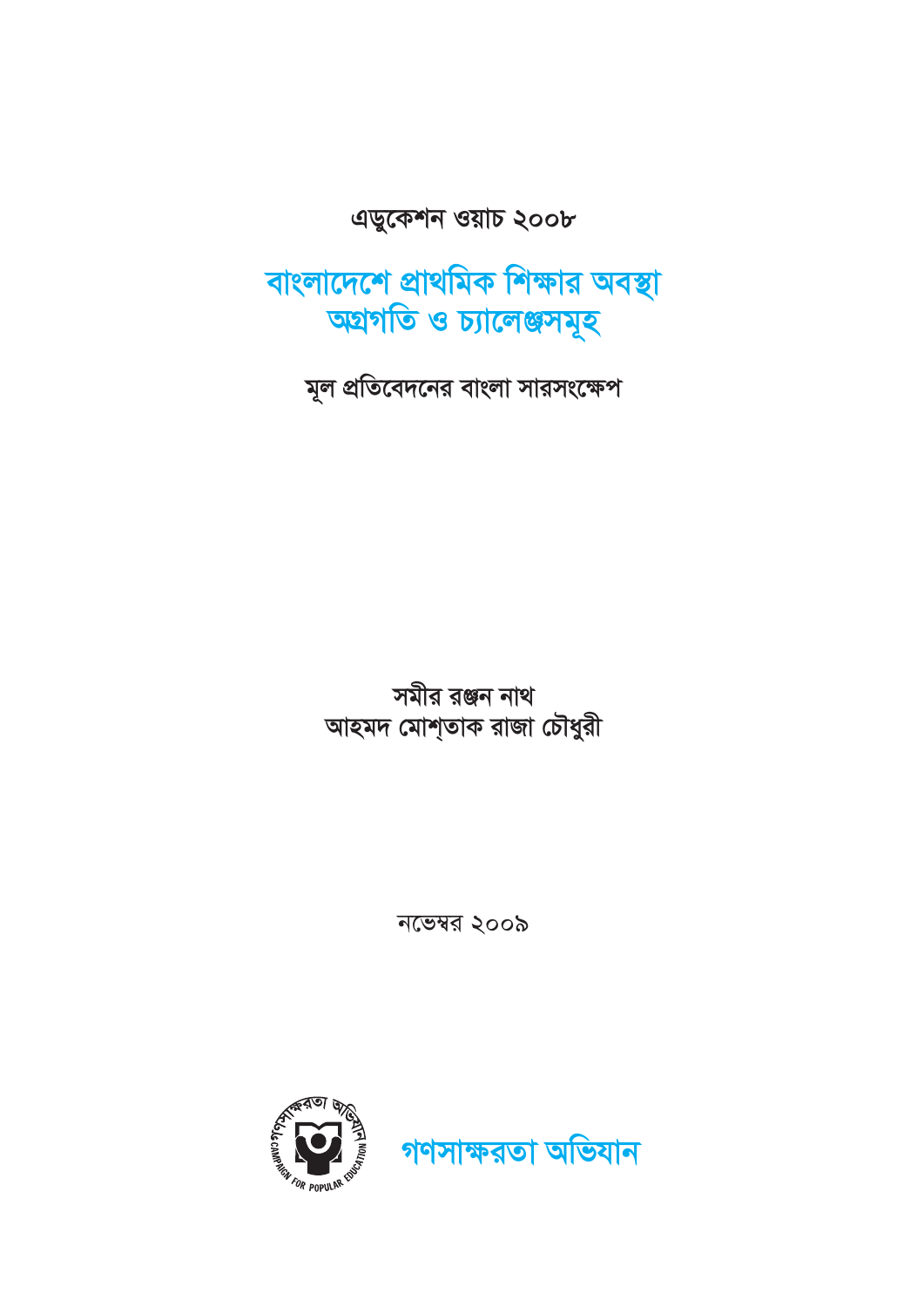

নভেম্বর ২০০৯

সমীর রঞ্জন নাথ আহমদ মোশ্তাক রাজা চৌধুরী

মূল প্রতিবেদনের বাংলা সারসংক্ষেপ

বাংলাদেশে প্রাথমিক শিক্ষার অবস্থা অগ্রগতি ও চ্যালেঞ্জসমূহ

এডুকেশন ওয়াচ ২০০৮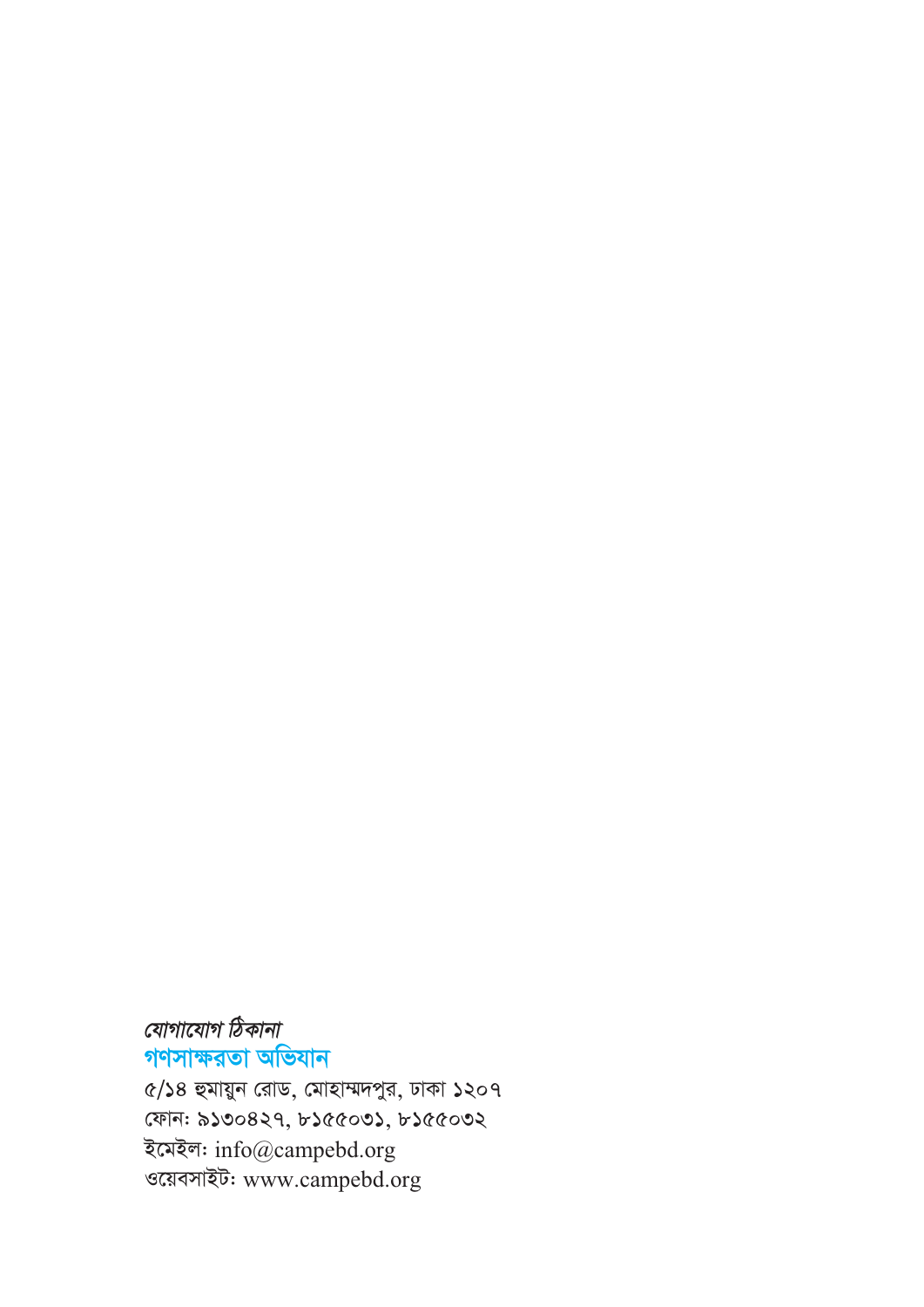যোগাযোগ ঠিকানা গণসাক্ষরতা অভিযান ৫/১৪ হুমায়ুন রোড, মোহাম্মদপুর, ঢাকা ১২০৭ ফোন: ৯১৩০৪২৭, ৮১৫৫০৩১, ৮১৫৫০৩২ ইমেইল: info@campebd.org ওয়েবসাইট: www.campebd.org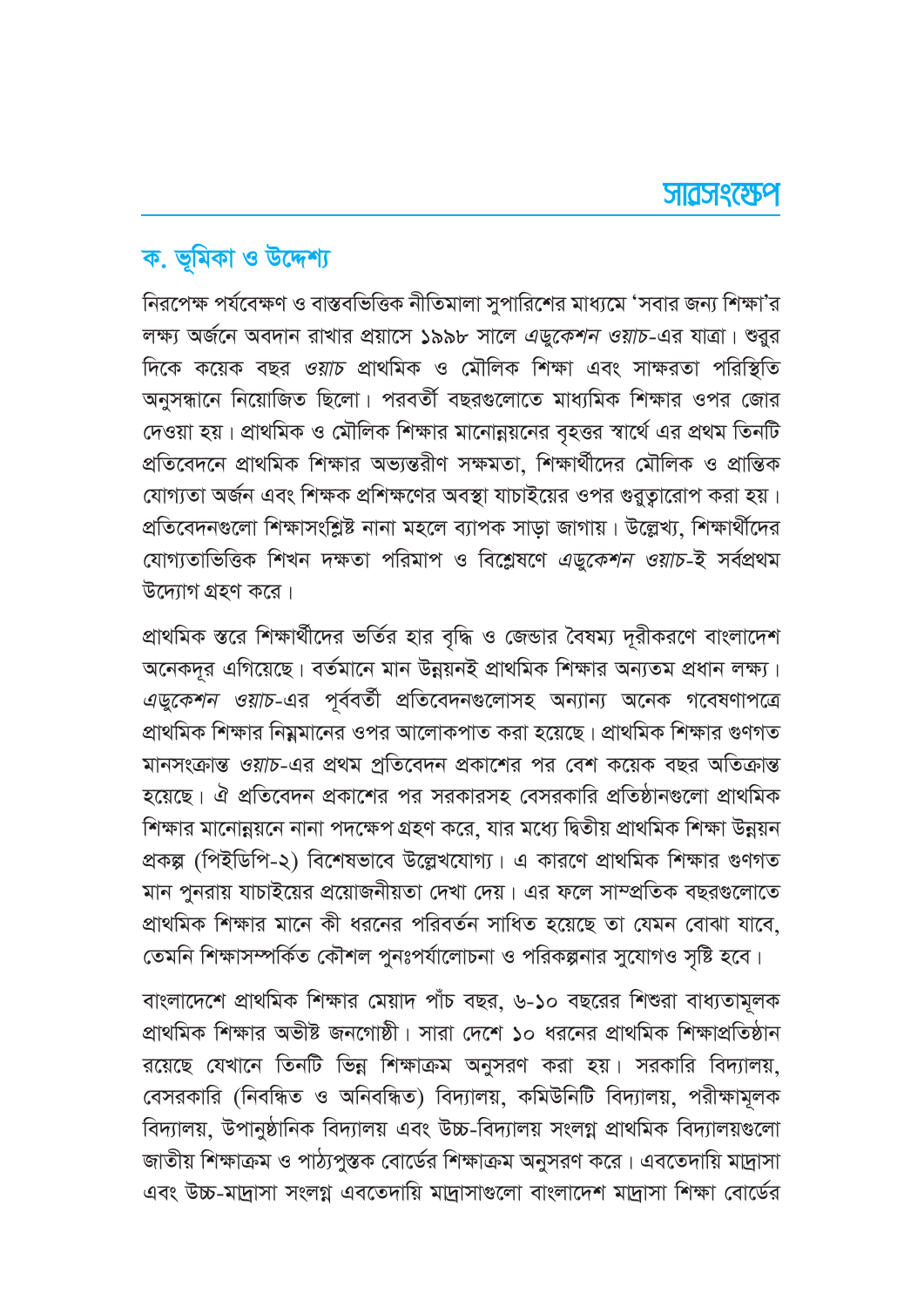# ক. ভূমিকা ও উদ্দেশ্য

নিরপেক্ষ পর্যবেক্ষণ ও বাস্তবভিত্তিক নীতিমালা সুপারিশের মাধ্যমে 'সবার জন্য শিক্ষা'র লক্ষ্য অর্জনে অবদান রাখার প্রয়াসে ১৯৯৮ সালে এডুকেশন ওয়াচ-এর যাত্রা। শুরুর দিকে কয়েক বছর *ওয়াচ* প্রাথমিক ও মৌলিক শিক্ষা এবং সাক্ষরতা পরিস্থিতি অনুসন্ধানে নিয়োজিত ছিলো। পরবর্তী বছরগুলোতে মাধ্যমিক শিক্ষার ওপর জোর দেওয়া হয়। প্রাথমিক ও মৌলিক শিক্ষার মানোন্নয়নের বৃহত্তর স্বার্থে এর প্রথম তিনটি প্রতিবেদনে প্রাথমিক শিক্ষার অভ্যন্তরীণ সক্ষমতা, শিক্ষার্থীদের মৌলিক ও প্রান্তিক যোগ্যতা অর্জন এবং শিক্ষক প্রশিক্ষণের অবস্থা যাচাইয়ের ওপর গুরতারোপ করা হয়। প্রতিবেদনগুলো শিক্ষাসংশ্লিষ্ট নানা মহলে ব্যাপক সাড়া জাগায়। উল্লেখ্য, শিক্ষার্থীদের যোগ্যতাভিত্তিক শিখন দক্ষতা পরিমাপ ও বিশ্লেষণে এডুকেশন ওয়াচ-ই সর্বপ্রথম উদ্যোগ গ্রহণ করে।

প্রাথমিক স্তরে শিক্ষার্থীদের ভর্তির হার বৃদ্ধি ও জেন্ডার বৈষম্য দূরীকরণে বাংলাদেশ অনেকদূর এগিয়েছে। বর্তমানে মান উন্নয়নই প্রাথমিক শিক্ষার অন্যতম প্রধান লক্ষ্য। এডুকেশন ওয়াচ-এর পূর্ববর্তী প্রতিবেদনগুলোসহ অন্যান্য অনেক গবেষণাপত্রে প্রাথমিক শিক্ষার নিম্নমানের ওপর আলোকপাত করা হয়েছে। প্রাথমিক শিক্ষার গুণগত মানসংক্রান্ত ওয়াচ-এর প্রথম প্রতিবেদন প্রকাশের পর বেশ কয়েক বছর অতিক্রান্ত হয়েছে। ঐ প্রতিবেদন প্রকাশের পর সরকারসহ বেসরকারি প্রতিষ্ঠানগুলো প্রাথমিক শিক্ষার মানোন্নয়নে নানা পদক্ষেপ গ্রহণ করে, যার মধ্যে দ্বিতীয় প্রাথমিক শিক্ষা উন্নয়ন প্রকল্প (পিইডিপি-২) বিশেষভাবে উল্লেখযোগ্য। এ কারণে প্রাথমিক শিক্ষার গুণগত মান পুনরায় যাচাইয়ের প্রয়োজনীয়তা দেখা দেয়। এর ফলে সাম্প্রতিক বছরগুলোতে প্রাথমিক শিক্ষার মানে কী ধরনের পরিবর্তন সাধিত হয়েছে তা যেমন বোঝা যাবে. তেমনি শিক্ষাসম্পর্কিত কৌশল পুনঃপর্যালোচনা ও পরিকল্পনার সুযোগও সৃষ্টি হবে।

বাংলাদেশে প্রাথমিক শিক্ষার মেয়াদ পাঁচ বছর, ৬-১০ বছরের শিশুরা বাধ্যতামূলক প্রাথমিক শিক্ষার অভীষ্ট জনগোষ্ঠী। সারা দেশে ১০ ধরনের প্রাথমিক শিক্ষাপ্রতিষ্ঠান রয়েছে যেখানে তিনটি ভিন্ন শিক্ষাক্রম অনুসরণ করা হয়। সরকারি বিদ্যালয়, বেসরকারি (নিবন্ধিত ও অনিবন্ধিত) বিদ্যালয়, কমিউনিটি বিদ্যালয়, পরীক্ষামূলক বিদ্যালয়, উপানুষ্ঠানিক বিদ্যালয় এবং উচ্চ-বিদ্যালয় সংলগ্ন প্ৰাথমিক বিদ্যালয়গুলো জাতীয় শিক্ষাক্রম ও পাঠ্যপুস্তক বোর্ডের শিক্ষাক্রম অনুসরণ করে। এবতেদায়ি মাদ্রাসা এবং উচ্চ-মাদাসা সংলগ্ন এবতেদায়ি মাদাসাগুলো বাংলাদেশ মাদাসা শিক্ষা বোর্ডের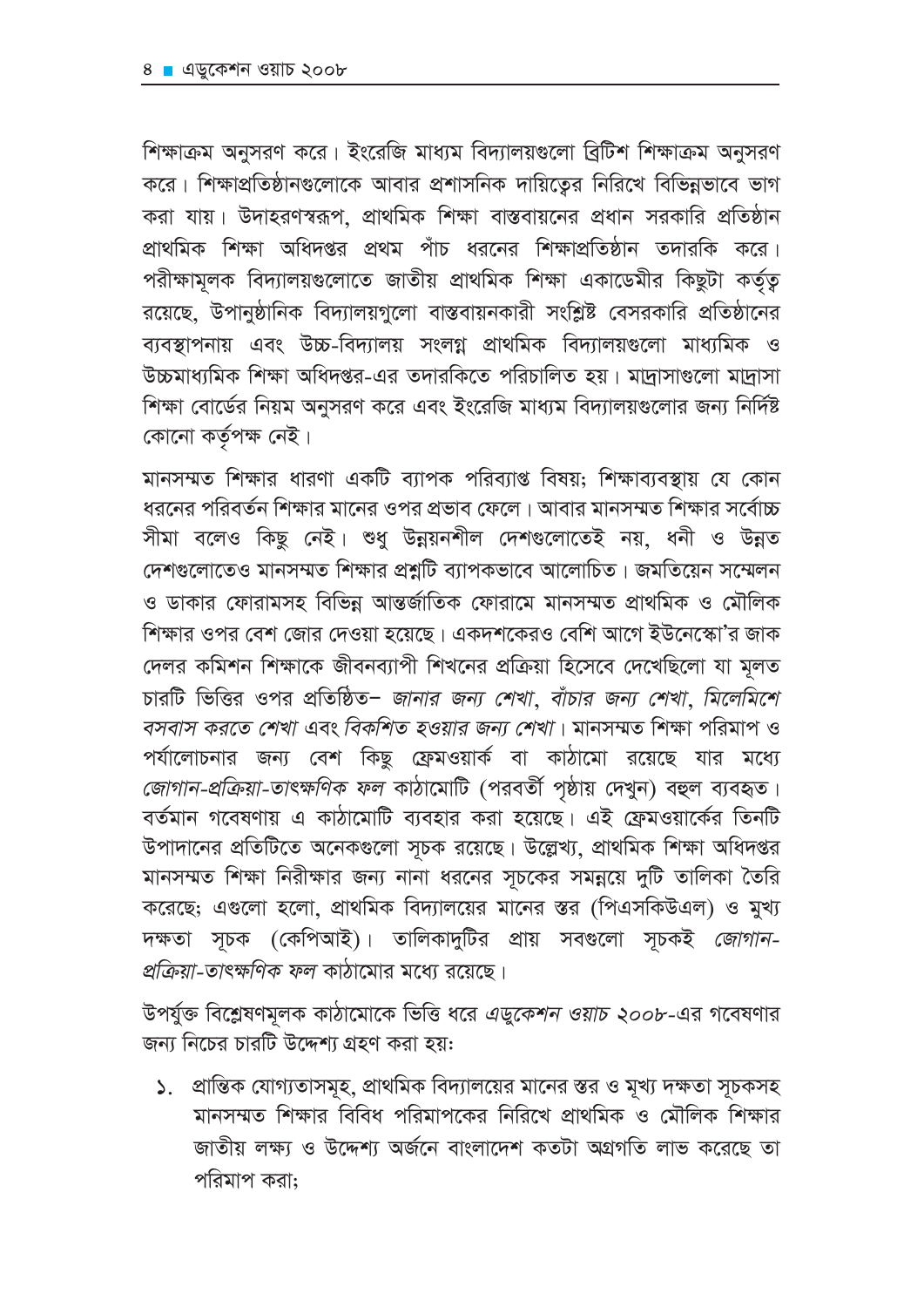শিক্ষাক্রম অনুসরণ করে। ইংরেজি মাধ্যম বিদ্যালয়গুলো ব্রিটিশ শিক্ষাক্রম অনুসরণ করে। শিক্ষাপ্রতিষ্ঠানগুলোকে আবার প্রশাসনিক দায়িত্বের নিরিখে বিভিন্নভাবে ভাগ করা যায়। উদাহরণস্বরূপ, প্রাথমিক শিক্ষা বাস্তবায়নের প্রধান সরকারি প্রতিষ্ঠান প্রাথমিক শিক্ষা অধিদপ্তর প্রথম পাঁচ ধরনের শিক্ষাপ্রতিষ্ঠান তদারকি করে। পরীক্ষামূলক বিদ্যালয়গুলোতে জাতীয় প্রাথমিক শিক্ষা একাডেমীর কিছুটা কর্তৃত্ব রয়েছে, উপানুষ্ঠানিক বিদ্যালয়গুলো বাস্তবায়নকারী সংশ্লিষ্ট বেসরকারি প্রতিষ্ঠানের ব্যবস্থাপনায় এবং উচ্চ-বিদ্যালয় সংলগ্ন প্রাথমিক বিদ্যালয়গুলো মাধ্যমিক ও উচ্চমাধ্যমিক শিক্ষা অধিদপ্তর-এর তদারকিতে পরিচালিত হয়। মাদ্রাসাগুলো মাদ্রাসা শিক্ষা বোর্ডের নিয়ম অনুসরণ করে এবং ইংরেজি মাধ্যম বিদ্যালয়গুলোর জন্য নির্দিষ্ট কোনো কৰ্তৃপক্ষ নেই।

মানসম্মত শিক্ষার ধারণা একটি ব্যাপক পরিব্যাপ্ত বিষয়; শিক্ষাব্যবস্থায় যে কোন ধরনের পরিবর্তন শিক্ষার মানের ওপর প্রভাব ফেলে। আবার মানসম্মত শিক্ষার সর্বোচ্চ সীমা বলেও কিছু নেই। শুধু উন্নয়নশীল দেশগুলোতেই নয়, ধনী ও উন্নত দেশগুলোতেও মানসম্মত শিক্ষার প্রশ্নটি ব্যাপকভাবে আলোচিত। জমতিয়েন সম্মেলন ও ডাকার ফোরামসহ বিভিন্ন আন্তর্জাতিক ফোরামে মানসম্মত প্রাথমিক ও মৌলিক শিক্ষার ওপর বেশ জোর দেওয়া হয়েছে। একদশকেরও বেশি আগে ইউনেস্কো'র জাক দেলর কমিশন শিক্ষাকে জীবনব্যাপী শিখনের প্রক্রিয়া হিসেবে দেখেছিলো যা মূলত চারটি ভিত্তির ওপর প্রতিষ্ঠিত- জানার জন্য শেখা, বাঁচার জন্য শেখা, মিলেমিশে বসবাস করতে শেখা এবং বিকশিত হওয়ার জন্য শেখা। মানসম্মত শিক্ষা পরিমাপ ও পর্যালোচনার জন্য বেশ কিছু ফ্রেমওয়ার্ক বা কাঠামো রয়েছে যার মধ্যে জোগান-প্রক্রিয়া-তাৎক্ষণিক ফল কাঠামোটি (পরবর্তী পৃষ্ঠায় দেখুন) বহুল ব্যবহৃত। বর্তমান গবেষণায় এ কাঠামোটি ব্যবহার করা হয়েছে। এই ফ্রেমওয়ার্কের তিনটি উপাদানের প্রতিটিতে অনেকগুলো সূচক রয়েছে। উল্লেখ্য, প্রাথমিক শিক্ষা অধিদপ্তর মানসম্মত শিক্ষা নিরীক্ষার জন্য নানা ধরনের সূচকের সমন্নয়ে দুটি তালিকা তৈরি করেছে; এগুলো হলো, প্রাথমিক বিদ্যালয়ের মানের স্তর (পিএসকিউএল) ও মুখ্য দক্ষতা সূচক (কেপিআই)। তালিকাদুটির প্রায় সবগুলো সূচকই *জোগান-*প্রক্রিয়া-তাৎক্ষণিক ফল কাঠামোর মধ্যে রয়েছে।

উপর্যুক্ত বিশ্লেষণমূলক কাঠামোকে ভিত্তি ধরে *এডুকেশন ওয়াচ ২০০৮-*এর গবেষণার জন্য নিচের চারটি উদ্দেশ্য গ্রহণ করা হয়:

১. প্রান্তিক যোগ্যতাসমূহ, প্রাথমিক বিদ্যালয়ের মানের স্তর ও মূখ্য দক্ষতা সূচকসহ মানসম্মত শিক্ষার বিবিধ পরিমাপকের নিরিখে প্রাথমিক ও মৌলিক শিক্ষার জাতীয় লক্ষ্য ও উদ্দেশ্য অৰ্জনে বাংলাদেশ কতটা অগ্ৰগতি লাভ করেছে তা পরিমাপ করা: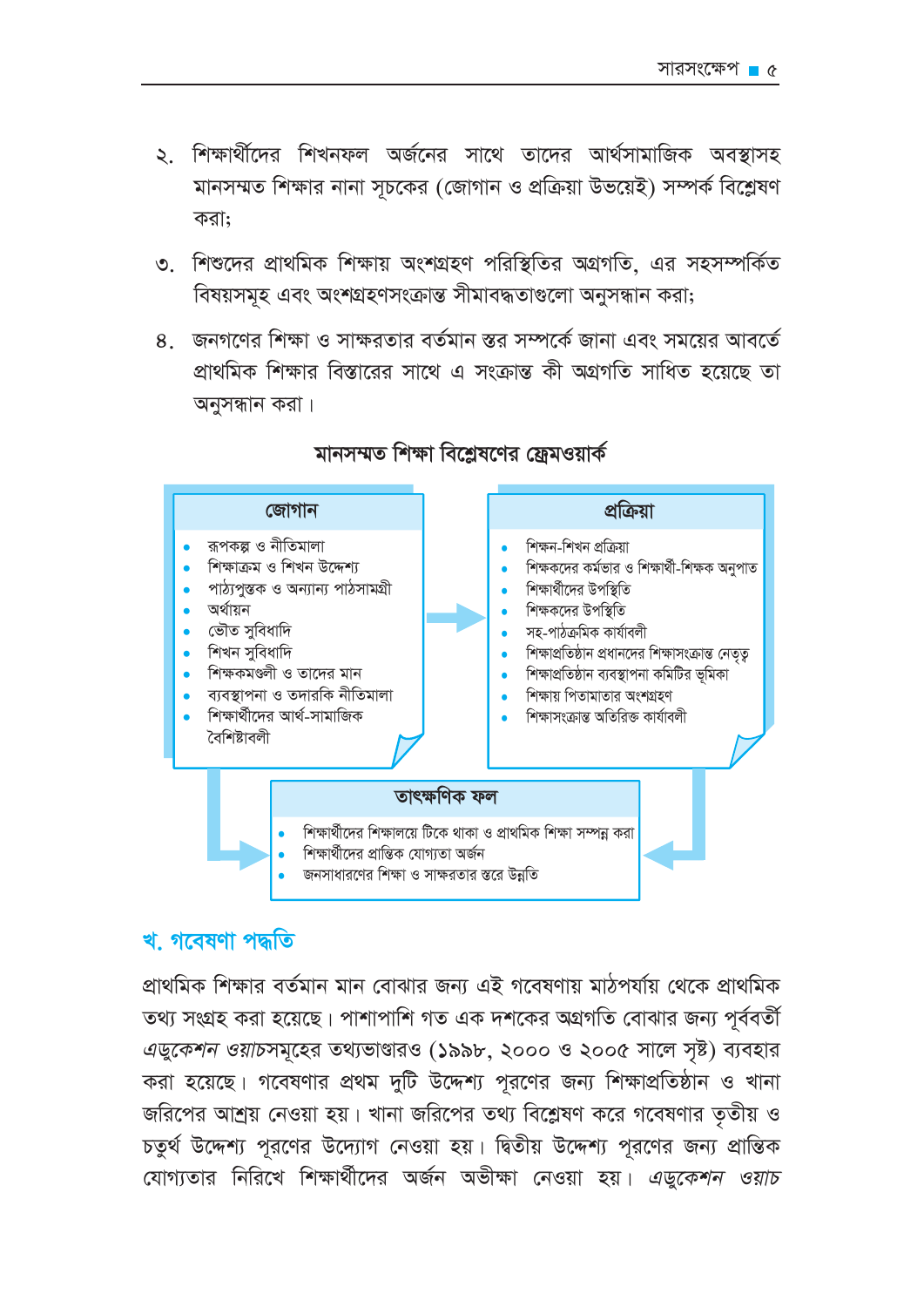- ২. শিক্ষার্থীদের শিখনফল অর্জনের সাথে তাদের আর্থসামাজিক অবস্থাসহ মানসম্মত শিক্ষার নানা সূচকের (জোগান ও প্রক্রিয়া উভয়েই) সম্পর্ক বিশ্লেষণ করা:
- ৩. শিশুদের প্রাথমিক শিক্ষায় অংশগ্রহণ পরিস্থিতির অগ্রগতি. এর সহসম্পর্কিত বিষয়সমূহ এবং অংশগ্ৰহণসংক্ৰান্ত সীমাবদ্ধতাগুলো অনুসন্ধান করা;
- ৪. জনগণের শিক্ষা ও সাক্ষরতার বর্তমান স্তর সম্পর্কে জানা এবং সময়ের আবর্তে প্রাথমিক শিক্ষার বিস্তারের সাথে এ সংক্রান্ত কী অগ্রগতি সাধিত হয়েছে তা অনুসন্ধান করা।



### মানসম্মত শিক্ষা বিশ্লেষণের ফ্রেমওয়ার্ক

### খ, গবেষণা পদ্ধতি

প্রাথমিক শিক্ষার বর্তমান মান বোঝার জন্য এই গবেষণায় মাঠপর্যায় থেকে প্রাথমিক তথ্য সংগ্রহ করা হয়েছে। পাশাপাশি গত এক দশকের অগ্রগতি বোঝার জন্য পূর্ববর্তী এডুকেশন ওয়াচসমূহের তথ্যভাণ্ডারও (১৯৯৮, ২০০০ ও ২০০৫ সালে সৃষ্ট) ব্যবহার করা হয়েছে। গবেষণার প্রথম দুটি উদ্দেশ্য পুরণের জন্য শিক্ষাপ্রতিষ্ঠান ও খানা জরিপের আশ্রয় নেওয়া হয়। খানা জরিপের তথ্য বিশ্লেষণ করে গবেষণার তৃতীয় ও চতুর্থ উদ্দেশ্য পুরণের উদ্যোগ নেওয়া হয়। দ্বিতীয় উদ্দেশ্য পুরণের জন্য প্রান্তিক যোগ্যতার নিরিখে শিক্ষার্থীদের অর্জন অভীক্ষা নেওয়া হয়। এডুকেশন ওয়াচ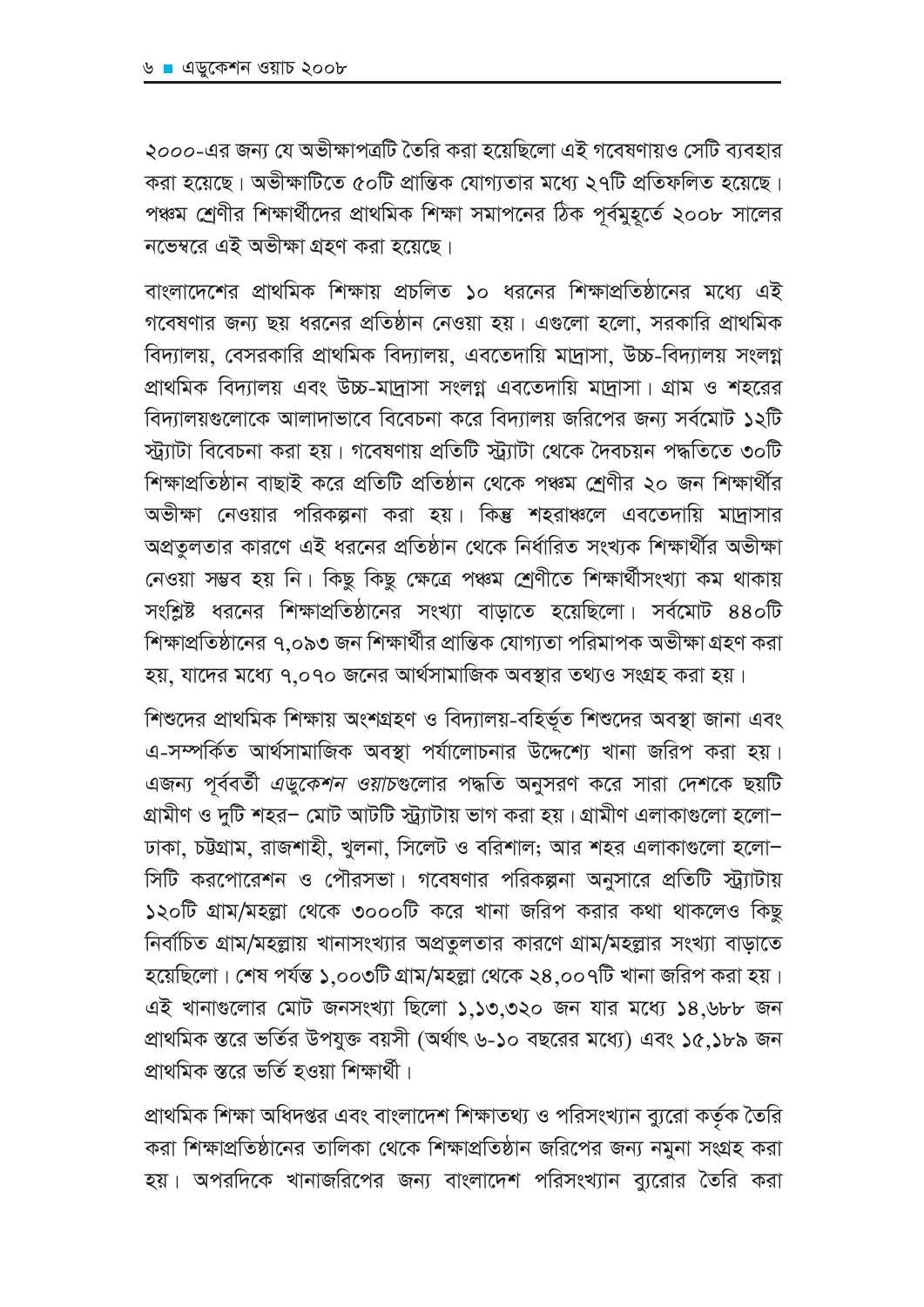২০০০-এর জন্য যে অভীক্ষাপত্রটি তৈরি করা হয়েছিলো এই গবেষণায়ও সেটি ব্যবহার করা হয়েছে। অভীক্ষাটিতে ৫০টি প্রান্তিক যোগ্যতার মধ্যে ২৭টি প্রতিফলিত হয়েছে। পঞ্চম শ্রেণীর শিক্ষার্থীদের প্রাথমিক শিক্ষা সমাপনের ঠিক পূর্বমুহূর্তে ২০০৮ সালের নভেম্বরে এই অভীক্ষা গ্রহণ করা হয়েছে।

বাংলাদেশের প্রাথমিক শিক্ষায় প্রচলিত ১০ ধরনের শিক্ষাপ্রতিষ্ঠানের মধ্যে এই গবেষণার জন্য ছয় ধরনের প্রতিষ্ঠান নেওয়া হয়। এগুলো হলো, সরকারি প্রাথমিক বিদ্যালয়, বেসরকারি প্রাথমিক বিদ্যালয়, এবতেদায়ি মাদ্রাসা, উচ্চ-বিদ্যালয় সংলগ্ন প্রাথমিক বিদ্যালয় এবং উচ্চ-মাদ্রাসা সংলগ্ন এবতেদায়ি মাদ্রাসা। গ্রাম ও শহরের বিদ্যালয়গুলোকে আলাদাভাবে বিবেচনা করে বিদ্যালয় জরিপের জন্য সর্বমোট ১২টি স্ট্যাটা বিবেচনা করা হয়। গবেষণায় প্রতিটি স্ট্যাটা থেকে দৈবচয়ন পদ্ধতিতে ৩০টি শিক্ষাপ্রতিষ্ঠান বাছাই করে প্রতিটি প্রতিষ্ঠান থেকে পঞ্চম শ্রেণীর ২০ জন শিক্ষার্থীর অভীক্ষা নেওয়ার পরিকল্পনা করা হয়। কিন্তু শহরাঞ্চলে এবতেদায়ি মাদ্রাসার অপ্রতুলতার কারণে এই ধরনের প্রতিষ্ঠান থেকে নির্ধারিত সংখ্যক শিক্ষার্থীর অভীক্ষা নেওয়া সম্ভব হয় নি। কিছু কিছু ক্ষেত্রে পঞ্চম শ্রেণীতে শিক্ষার্থীসংখ্যা কম থাকায় সংশ্লিষ্ট ধরনের শিক্ষাপ্রতিষ্ঠানের সংখ্যা বাড়াতে হয়েছিলো। সর্বমোট ৪৪০টি শিক্ষাপ্রতিষ্ঠানের ৭.০৯৩ জন শিক্ষার্থীর প্রান্তিক যোগ্যতা পরিমাপক অভীক্ষা গ্রহণ করা হয়, যাদের মধ্যে ৭.০৭০ জনের আর্থসামাজিক অবস্থার তথ্যও সংগ্রহ করা হয়।

শিশুদের প্রাথমিক শিক্ষায় অংশগ্রহণ ও বিদ্যালয়-বহির্ভূত শিশুদের অবস্থা জানা এবং এ-সম্পর্কিত আর্থসামাজিক অবস্থা পর্যালোচনার উদ্দেশ্যে খানা জরিপ করা হয়। এজন্য পূর্ববর্তী *এডুকেশন ওয়াচ*গুলোর পদ্ধতি অনুসরণ করে সারা দেশকে ছয়টি গ্রামীণ ও দুটি শহর– মোট আটটি স্ট্র্যাটায় ভাগ করা হয়। গ্রামীণ এলাকাগুলো হলো– ঢাকা, চউগ্রাম, রাজশাহী, খুলনা, সিলেট ও বরিশাল; আর শহর এলাকাগুলো হলো-সিটি করপোরেশন ও পৌরসভা। গবেষণার পরিকল্পনা অনুসারে প্রতিটি স্ট্র্যাটায় ১২০টি গ্রাম/মহল্লা থেকে ৩০০০টি করে খানা জরিপ করার কথা থাকলেও কিছু নির্বাচিত গ্রাম/মহল্লায় খানাসংখ্যার অপ্রতুলতার কারণে গ্রাম/মহল্লার সংখ্যা বাড়াতে হয়েছিলো। শেষ পর্যন্ত ১,০০৩টি গ্রাম/মহল্লা থেকে ২৪,০০৭টি খানা জরিপ করা হয়। এই খানাগুলোর মোট জনসংখ্যা ছিলো ১,১৩,৩২০ জন যার মধ্যে ১৪,৬৮৮ জন প্রাথমিক স্তরে ভর্তির উপযুক্ত বয়সী (অর্থাৎ ৬-১০ বছরের মধ্যে) এবং ১৫,১৮৯ জন প্রাথমিক স্তরে ভর্তি হওয়া শিক্ষার্থী।

প্রাথমিক শিক্ষা অধিদপ্তর এবং বাংলাদেশ শিক্ষাতথ্য ও পরিসংখ্যান ব্যুরো কর্তৃক তৈরি করা শিক্ষাপ্রতিষ্ঠানের তালিকা থেকে শিক্ষাপ্রতিষ্ঠান জরিপের জন্য নমুনা সংগ্রহ করা হয়। অপরদিকে খানাজরিপের জন্য বাংলাদেশ পরিসংখ্যান ব্যরোর তৈরি করা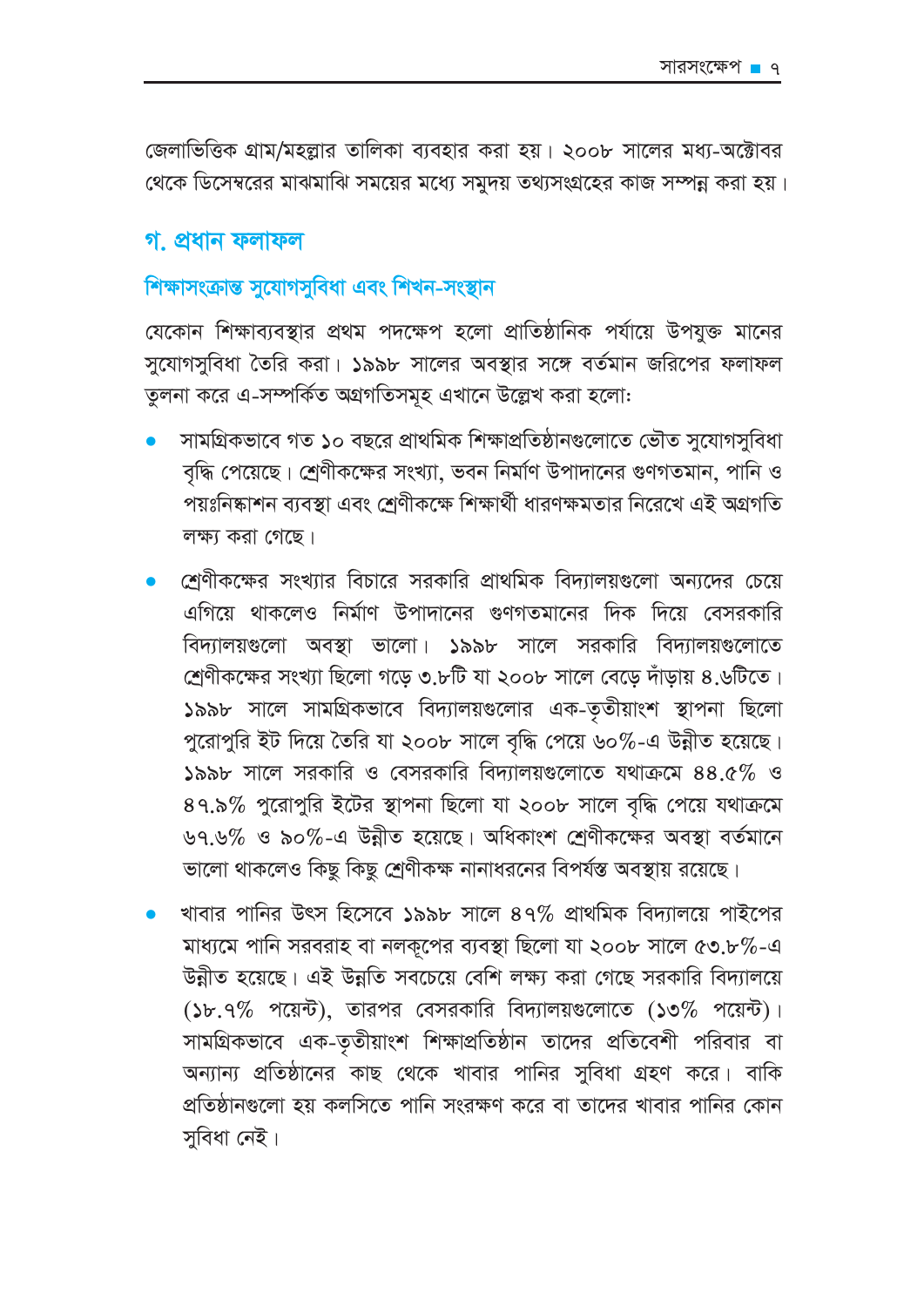জেলাভিত্তিক গ্রাম/মহল্লার তালিকা ব্যবহার করা হয়। ২০০৮ সালের মধ্য-অক্টোবর থেকে ডিসেম্বরের মাঝমাঝি সময়ের মধ্যে সমুদয় তথ্যসংগ্রহের কাজ সম্পন্ন করা হয়।

#### গ, প্ৰধান ফলাফল

# শিক্ষাসংক্ৰান্ত সুযোগসুবিধা এবং শিখন-সংস্থান

যেকোন শিক্ষাব্যবস্থার প্রথম পদক্ষেপ হলো প্রাতিষ্ঠানিক পর্যায়ে উপযুক্ত মানের সুযোগসুবিধা তৈরি করা। ১৯৯৮ সালের অবস্থার সঙ্গে বর্তমান জরিপের ফলাফল তুলনা করে এ-সম্পর্কিত অগ্রগতিসমূহ এখানে উল্লেখ করা হলো:

- সামগ্রিকভাবে গত ১০ বছরে প্রাথমিক শিক্ষাপ্রতিষ্ঠানগুলোতে ভৌত সুযোগসুবিধা বৃদ্ধি পেয়েছে। শ্রেণীকক্ষের সংখ্যা, ভবন নির্মাণ উপাদানের গুণগতমান, পানি ও পয়ঃনিষ্কাশন ব্যবস্থা এবং শ্রেণীকক্ষে শিক্ষার্থী ধারণক্ষমতার নিরেখে এই অগ্রগতি লক্ষ্য করা গেছে।
- শ্রেণীকক্ষের সংখ্যার বিচারে সরকারি প্রাথমিক বিদ্যালয়গুলো অন্যদের চেয়ে এগিয়ে থাকলেও নির্মাণ উপাদানের গুণগতমানের দিক দিয়ে বেসরকারি বিদ্যালয়গুলো অবস্থা ভালো। ১৯৯৮ সালে সরকারি বিদ্যালয়গুলোতে শ্রেণীকক্ষের সংখ্যা ছিলো গড়ে ৩.৮টি যা ২০০৮ সালে বেড়ে দাঁড়ায় ৪.৬টিতে। ১৯৯৮ সালে সামগ্রিকভাবে বিদ্যালয়গুলোর এক-তৃতীয়াংশ স্থাপনা ছিলো পুরোপুরি ইট দিয়ে তৈরি যা ২০০৮ সালে বৃদ্ধি পেয়ে ৬০%-এ উন্নীত হয়েছে। ১৯৯৮ সালে সরকারি ও বেসরকারি বিদ্যালয়গুলোতে যথাক্রমে ৪৪.৫% ও ৪৭.৯% পুরোপুরি ইটের স্থাপনা ছিলো যা ২০০৮ সালে বৃদ্ধি পেয়ে যথাক্রমে ৬৭.৬% ও ৯০%-এ উন্নীত হয়েছে। অধিকাংশ শ্রেণীকক্ষের অবস্থা বর্তমানে ভালো থাকলেও কিছু কিছু শ্রেণীকক্ষ নানাধরনের বিপর্যন্ত অবস্থায় রয়েছে।
- খাবার পানির উৎস হিসেবে ১৯৯৮ সালে ৪৭% প্রাথমিক বিদ্যালয়ে পাইপের মাধ্যমে পানি সরবরাহ বা নলকূপের ব্যবস্থা ছিলো যা ২০০৮ সালে ৫৩.৮%-এ উন্নীত হয়েছে। এই উন্নতি সবচেয়ে বেশি লক্ষ্য করা গেছে সরকারি বিদ্যালয়ে  $(5b.9\%$  পয়েন্ট), তারপর বেসরকারি বিদ্যালয়গুলোতে  $(50\%$  পয়েন্ট)। সামগ্রিকভাবে এক-তৃতীয়াংশ শিক্ষাপ্রতিষ্ঠান তাদের প্রতিবেশী পরিবার বা অন্যান্য প্রতিষ্ঠানের কাছ থেকে খাবার পানির সুবিধা গ্রহণ করে। বাকি প্রতিষ্ঠানগুলো হয় কলসিতে পানি সংরক্ষণ করে বা তাদের খাবার পানির কোন সুবিধা নেই।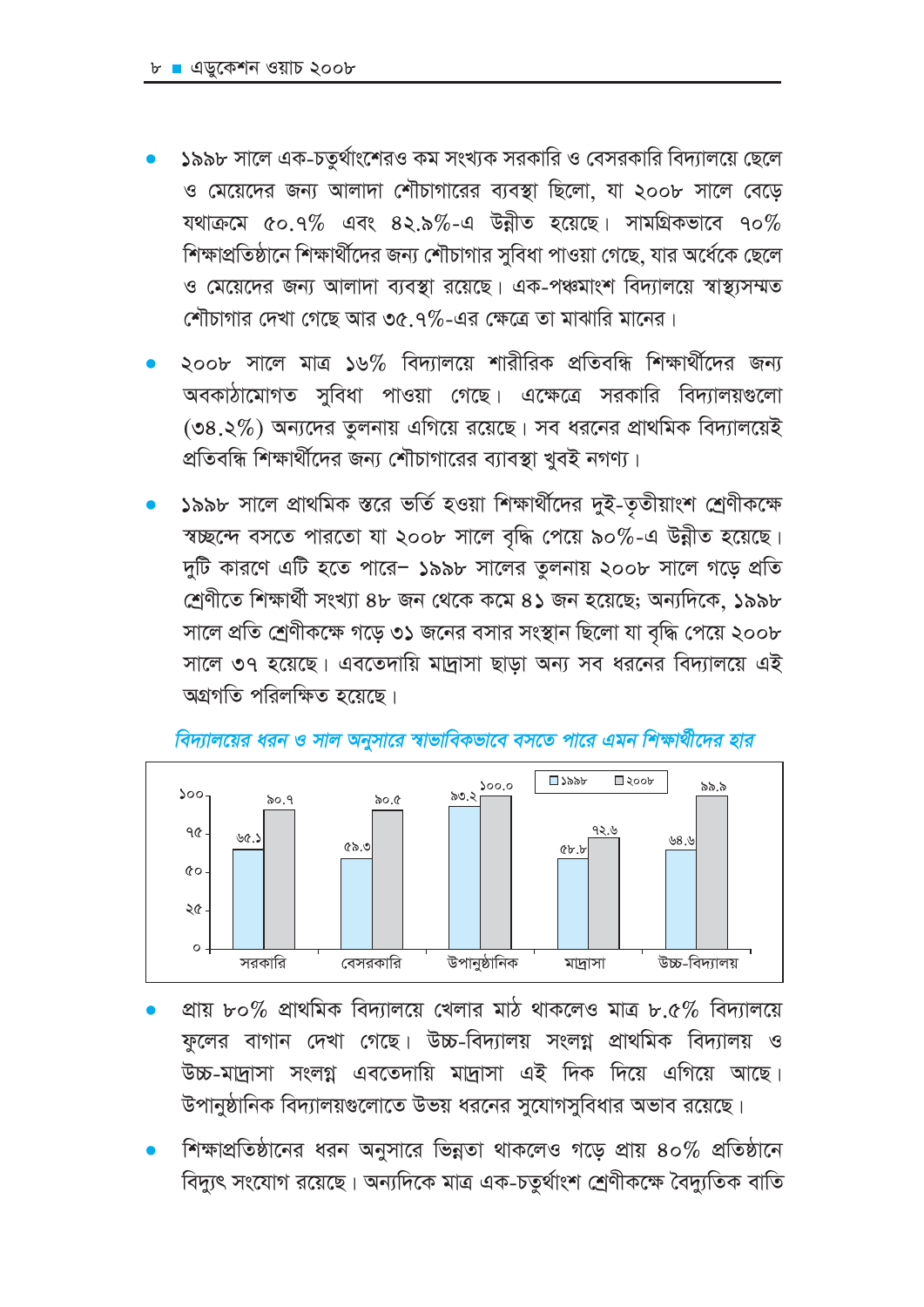- ১৯৯৮ সালে এক-চতুর্থাংশেরও কম সংখ্যক সরকারি ও বেসরকারি বিদ্যালয়ে ছেলে ও মেয়েদের জন্য আলাদা শৌচাগারের ব্যবস্থা ছিলো, যা ২০০৮ সালে বেড়ে যথাক্রমে ৫০.৭% এবং ৪২.৯%-এ উন্নীত হয়েছে। সামগ্রিকভাবে ৭০% শিক্ষাপ্রতিষ্ঠানে শিক্ষার্থীদের জন্য শৌচাগার সুবিধা পাওয়া গেছে, যার অর্ধেকে ছেলে ও মেয়েদের জন্য আলাদা ব্যবস্থা রয়েছে। এক-পঞ্চমাংশ বিদ্যালয়ে স্বাস্থ্যসম্মত শৌচাগার দেখা গেছে আর ৩৫.৭%-এর ক্ষেত্রে তা মাঝারি মানের।
- ২০০৮ সালে মাত্র ১৬% বিদ্যালয়ে শারীরিক প্রতিবন্ধি শিক্ষার্থীদের জন্য অবকাঠামোগত সুবিধা পাওয়া গেছে। এক্ষেত্রে সরকারি বিদ্যালয়গুলো (৩৪.২%) অন্যদের তুলনায় এগিয়ে রয়েছে। সব ধরনের প্রাথমিক বিদ্যালয়েই প্রতিবন্ধি শিক্ষার্থীদের জন্য শৌচাগারের ব্যাবস্থা খুবই নগণ্য।
- ১৯৯৮ সালে প্রাথমিক স্তরে ভর্তি হওয়া শিক্ষার্থীদের দুই-তৃতীয়াংশ শ্রেণীকক্ষে স্বচ্ছন্দে বসতে পারতো যা ২০০৮ সালে বৃদ্ধি পেয়ে ৯০%-এ উন্নীত হয়েছে। দুটি কারণে এটি হতে পারে- ১৯৯৮ সালের তুলনায় ২০০৮ সালে গডে প্রতি শ্রেণীতে শিক্ষার্থী সংখ্যা ৪৮ জন থেকে কমে ৪১ জন হয়েছে; অন্যদিকে, ১৯৯৮ সালে প্রতি শ্রেণীকক্ষে গড়ে ৩১ জনের বসার সংস্থান ছিলো যা বৃদ্ধি পেয়ে ২০০৮ সালে ৩৭ হয়েছে। এবতেদায়ি মাদ্রাসা ছাড়া অন্য সব ধরনের বিদ্যালয়ে এই অগ্রগতি পরিলক্ষিত হয়েছে।



#### বিদ্যালয়ের ধরন ও সাল অনুসারে স্বাভাবিকভাবে বসতে পারে এমন শিক্ষার্থীদের হার

- প্ৰায় ৮০% প্ৰাথমিক বিদ্যালয়ে খেলার মাঠ থাকলেও মাত্র ৮.৫% বিদ্যালয়ে ফুলের বাগান দেখা গেছে। উচ্চ-বিদ্যালয় সংলগ্ন প্রাথমিক বিদ্যালয় ও উচ্চ-মাদ্রাসা সংলগ্ন এবতেদায়ি মাদ্রাসা এই দিক দিয়ে এগিয়ে আছে। উপানুষ্ঠানিক বিদ্যালয়গুলোতে উভয় ধরনের সুযোগসুবিধার অভাব রয়েছে।
- শিক্ষাপ্রতিষ্ঠানের ধরন অনুসারে ভিন্নতা থাকলেও গডে প্রায় ৪০% প্রতিষ্ঠানে বিদ্যুৎ সংযোগ রয়েছে। অন্যদিকে মাত্র এক-চতুর্থাংশ শ্রেণীকক্ষে বৈদ্যুতিক বাতি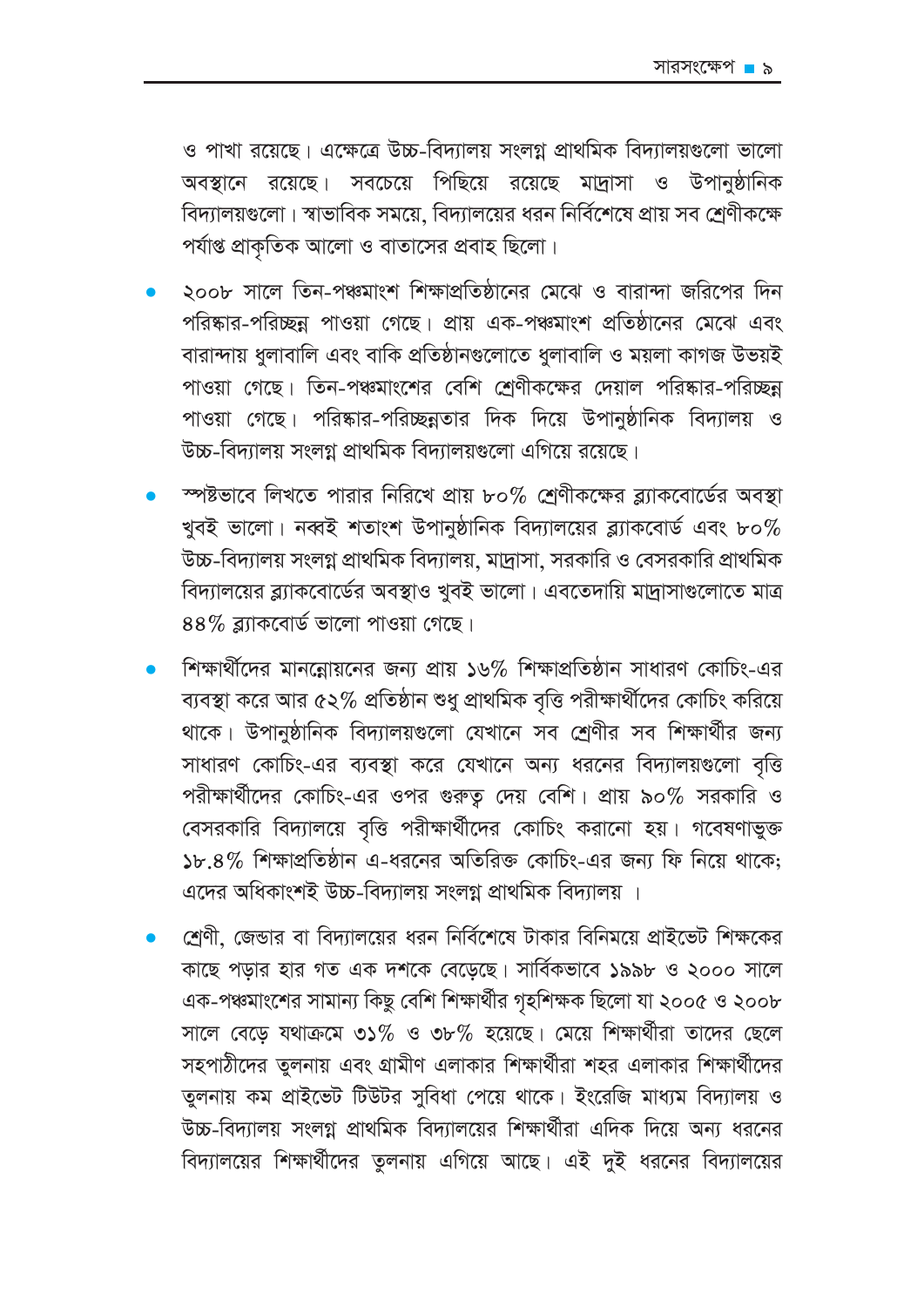ও পাখা রয়েছে। এক্ষেত্রে উচ্চ-বিদ্যালয় সংলগ্ন প্রাথমিক বিদ্যালয়গুলো ভালো অবস্থানে রয়েছে। সবচেয়ে পিছিয়ে রয়েছে মাদ্রাসা ও উপানুষ্ঠানিক বিদ্যালয়গুলো। স্বাভাবিক সময়ে, বিদ্যালয়ের ধরন নির্বিশেষে প্রায় সব শ্রেণীকক্ষে পর্যাপ্ত প্রাকৃতিক আলো ও বাতাসের প্রবাহ ছিলো।

- ২০০৮ সালে তিন-পঞ্চমাংশ শিক্ষাপ্রতিষ্ঠানের মেঝে ও বারান্দা জরিপের দিন পরিষ্কার-পরিচ্ছন্ন পাওয়া গেছে। প্রায় এক-পঞ্চমাংশ প্রতিষ্ঠানের মেঝে এবং বারান্দায় ধুলাবালি এবং বাকি প্রতিষ্ঠানগুলোতে ধুলাবালি ও ময়লা কাগজ উভয়ই পাওয়া গেছে। তিন-পঞ্চমাংশের বেশি শ্রেণীকক্ষের দেয়াল পরিষ্কার-পরিচ্ছন্ন পাওয়া গেছে। পরিষ্কার-পরিচ্ছন্নতার দিক দিয়ে উপানুষ্ঠানিক বিদ্যালয় ও উচ্চ-বিদ্যালয় সংলগ্ন প্রাথমিক বিদ্যালয়গুলো এগিয়ে রয়েছে।
- স্পষ্টভাবে লিখতে পারার নিরিখে প্রায় ৮০% শ্রেণীকক্ষের ব্ল্যাকবোর্ডের অবস্থা খুবই ভালো। নব্বই শতাংশ উপানুষ্ঠানিক বিদ্যালয়ের ব্ল্যাকবোর্ড এবং ৮০ $\%$ উচ্চ-বিদ্যালয় সংলগ্ন প্রাথমিক বিদ্যালয়, মাদ্রাসা, সরকারি ও বেসরকারি প্রাথমিক বিদ্যালয়ের ব্ল্যাকবোর্ডের অবস্থাও খুবই ভালো। এবতেদায়ি মাদ্রাসাগুলোতে মাত্র  $88\%$  ৱ্যাকবোৰ্ড ভালো পাওয়া গেছে।
- শিক্ষার্থীদের মানন্লোয়নের জন্য প্রায় ১৬% শিক্ষাপ্রতিষ্ঠান সাধারণ কোচিং-এর ব্যবস্থা করে আর ৫২% প্রতিষ্ঠান শুধু প্রাথমিক বৃত্তি পরীক্ষার্থীদের কোচিং করিয়ে থাকে। উপানুষ্ঠানিক বিদ্যালয়গুলো যেখানে সব শ্রেণীর সব শিক্ষার্থীর জন্য সাধারণ কোচিং-এর ব্যবস্থা করে যেখানে অন্য ধরনের বিদ্যালয়গুলো বৃত্তি পরীক্ষার্থীদের কোচিং-এর ওপর গুরুত্ব দেয় বেশি। প্রায় ৯০% সরকারি ও বেসরকারি বিদ্যালয়ে বৃত্তি পরীক্ষার্থীদের কোচিং করানো হয়। গবেষণাভুক্ত ১৮.৪% শিক্ষাপ্রতিষ্ঠান এ-ধরনের অতিরিক্ত কোচিং-এর জন্য ফি নিয়ে থাকে: এদের অধিকাংশই উচ্চ-বিদ্যালয় সংলগ্ন প্রাথমিক বিদ্যালয় ।
- শ্রেণী, জেন্ডার বা বিদ্যালয়ের ধরন নির্বিশেষে টাকার বিনিময়ে প্রাইভেট শিক্ষকের কাছে পড়ার হার গত এক দশকে বেড়েছে। সার্বিকভাবে ১৯৯৮ ও ২০০০ সালে এক-পঞ্চমাংশের সামান্য কিছু বেশি শিক্ষার্থীর গৃহশিক্ষক ছিলো যা ২০০৫ ও ২০০৮ সালে বেড়ে যথাক্রমে ৩১% ও ৩৮% হয়েছে। মেয়ে শিক্ষার্থীরা তাদের ছেলে সহপাঠীদের তুলনায় এবং গ্রামীণ এলাকার শিক্ষার্থীরা শহর এলাকার শিক্ষার্থীদের তুলনায় কম প্রাইভেট টিউটর সুবিধা পেয়ে থাকে। ইংরেজি মাধ্যম বিদ্যালয় ও উচ্চ-বিদ্যালয় সংলগ্ন প্রাথমিক বিদ্যালয়ের শিক্ষার্থীরা এদিক দিয়ে অন্য ধরনের বিদ্যালয়ের শিক্ষার্থীদের তুলনায় এগিয়ে আছে। এই দুই ধরনের বিদ্যালয়ের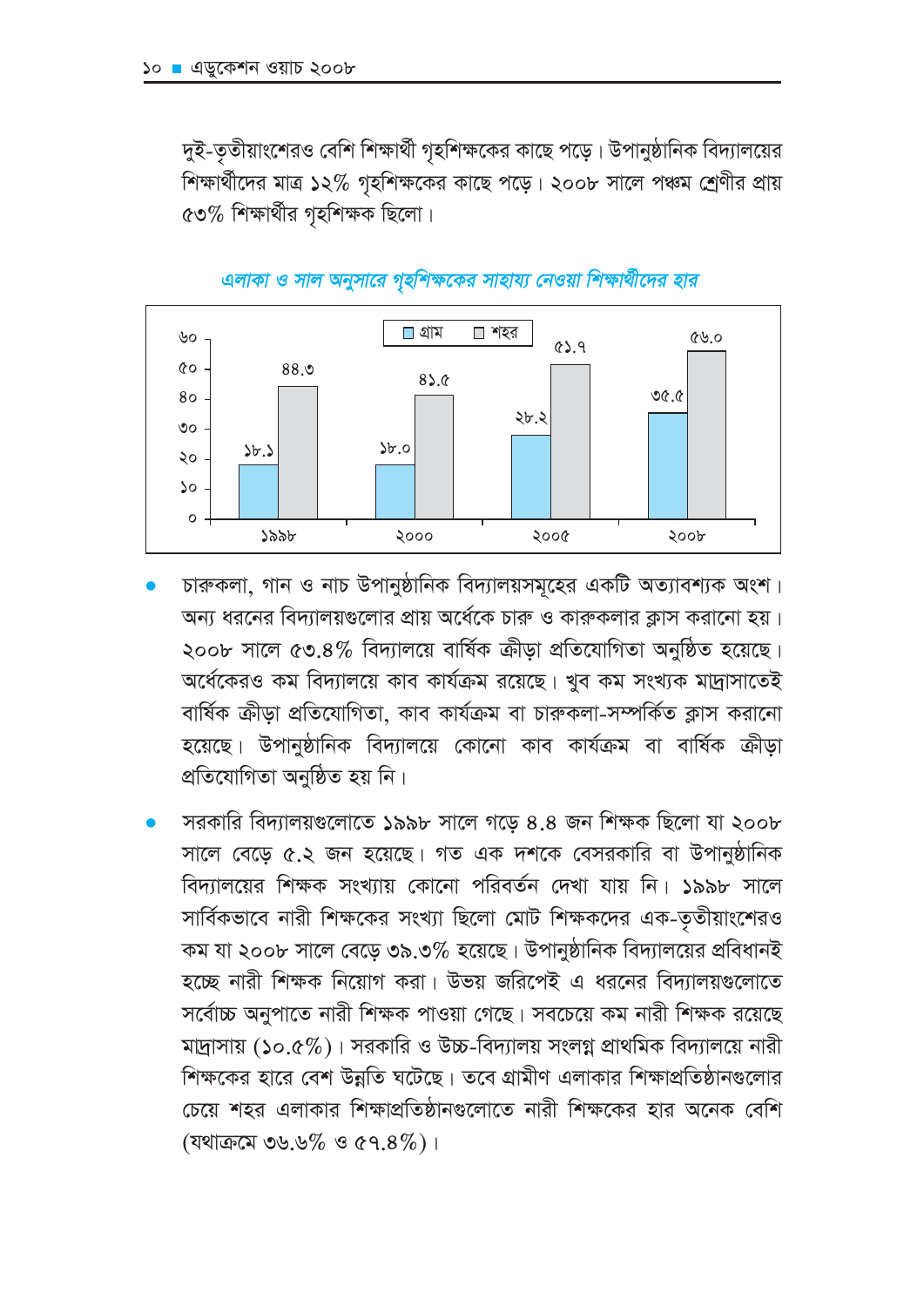দুই-তৃতীয়াংশেরও বেশি শিক্ষার্থী গৃহশিক্ষকের কাছে পড়ে। উপানুষ্ঠানিক বিদ্যালয়ের শিক্ষার্থীদের মাত্র ১২% গৃহশিক্ষকের কাছে পড়ে। ২০০৮ সালে পঞ্চম শ্রেণীর প্রায়  $\cos\%$  শিক্ষার্থীর গৃহশিক্ষক ছিলো।



#### এলাকা ও সাল অনুসারে গৃহশিক্ষকের সাহায্য নেওয়া শিক্ষার্থীদের হার

- চারুকলা, গান ও নাচ উপানুষ্ঠানিক বিদ্যালয়সমূহের একটি অত্যাবশ্যক অংশ। অন্য ধরনের বিদ্যালয়গুলোর প্রায় অর্ধেকে চারু ও কারুকলার ক্লাস করানো হয়। ২০০৮ সালে ৫৩.৪% বিদ্যালয়ে বার্ষিক ক্রীডা প্রতিযোগিতা অনুষ্ঠিত হয়েছে। অর্ধেকেরও কম বিদ্যালয়ে কাব কার্যক্রম রয়েছে। খুব কম সংখ্যক মাদ্রাসাতেই বাৰ্ষিক ক্ৰীড়া প্ৰতিযোগিতা, কাব কাৰ্যক্ৰম বা চাৰুকলা-সম্পৰ্কিত ক্লাস করানো হয়েছে। উপানুষ্ঠানিক বিদ্যালয়ে কোনো কাব কাৰ্যক্ৰম বা বাৰ্ষিক ক্ৰীড়া প্ৰতিযোগিতা অনুষ্ঠিত হয় নি।
- সরকারি বিদ্যালয়গুলোতে ১৯৯৮ সালে গড়ে ৪.৪ জন শিক্ষক ছিলো যা ২০০৮ সালে বেড়ে ৫.২ জন হয়েছে। গত এক দশকে বেসরকারি বা উপানুষ্ঠানিক বিদ্যালয়ের শিক্ষক সংখ্যায় কোনো পরিবর্তন দেখা যায় নি। ১৯৯৮ সালে সার্বিকভাবে নারী শিক্ষকের সংখ্যা ছিলো মোট শিক্ষকদের এক-তৃতীয়াংশেরও কম যা ২০০৮ সালে বেড়ে ৩৯.৩% হয়েছে। উপানুষ্ঠানিক বিদ্যালয়ের প্রবিধানই হচ্ছে নারী শিক্ষক নিয়োগ করা। উভয় জরিপেই এ ধরনের বিদ্যালয়গুলোতে সর্বোচ্চ অনুপাতে নারী শিক্ষক পাওয়া গেছে। সবচেয়ে কম নারী শিক্ষক রয়েছে মাদ্রাসায় (১০.৫%)। সরকারি ও উচ্চ-বিদ্যালয় সংলগ্ন প্রাথমিক বিদ্যালয়ে নারী শিক্ষকের হারে বেশ উন্নতি ঘটেছে। তবে গ্রামীণ এলাকার শিক্ষাপ্রতিষ্ঠানগুলোর চেয়ে শহর এলাকার শিক্ষাপ্রতিষ্ঠানগুলোতে নারী শিক্ষকের হার অনেক বেশি (यथाक़त्म ७५.५% ও ৫৭.8%)।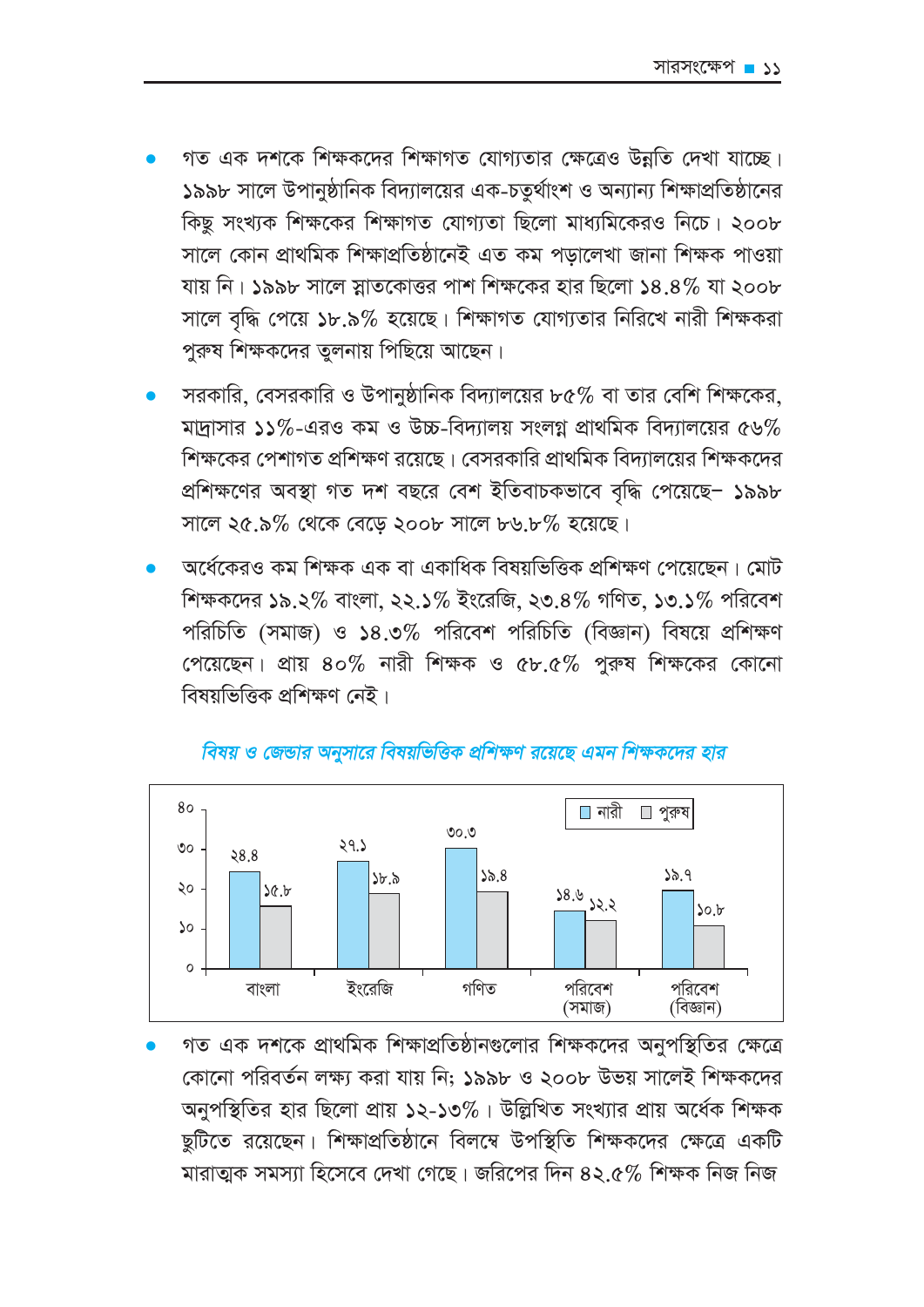- গত এক দশকে শিক্ষকদের শিক্ষাগত যোগ্যতার ক্ষেত্রেও উন্নতি দেখা যাচ্ছে। ১৯৯৮ সালে উপানুষ্ঠানিক বিদ্যালয়ের এক-চতুর্থাংশ ও অন্যান্য শিক্ষাপ্রতিষ্ঠানের কিছু সংখ্যক শিক্ষকের শিক্ষাগত যোগ্যতা ছিলো মাধ্যমিকেরও নিচে। ২০০৮ সালে কোন প্ৰাথমিক শিক্ষাপ্ৰতিষ্ঠানেই এত কম পডালেখা জানা শিক্ষক পাওয়া যায় নি। ১৯৯৮ সালে স্নাতকোত্তর পাশ শিক্ষকের হার ছিলো ১৪.৪% যা ২০০৮ সালে বৃদ্ধি পেয়ে ১৮.৯% হয়েছে। শিক্ষাগত যোগ্যতার নিরিখে নারী শিক্ষকরা পুরুষ শিক্ষকদের তুলনায় পিছিয়ে আছেন।
- সরকারি, বেসরকারি ও উপানুষ্ঠানিক বিদ্যালয়ের ৮৫% বা তার বেশি শিক্ষকের, মাদ্রাসার ১১%-এরও কম ও উচ্চ-বিদ্যালয় সংলগ্ন প্রাথমিক বিদ্যালয়ের ৫৬% শিক্ষকের পেশাগত প্রশিক্ষণ রয়েছে। বেসরকারি প্রাথমিক বিদ্যালয়ের শিক্ষকদের প্রশিক্ষণের অবস্থা গত দশ বছরে বেশ ইতিবাচকভাবে বৃদ্ধি পেয়েছে- ১৯৯৮ সালে ২৫.৯% থেকে বেডে ২০০৮ সালে ৮৬.৮% হয়েছে।
- অর্ধেকেরও কম শিক্ষক এক বা একাধিক বিষয়ভিত্তিক প্রশিক্ষণ পেয়েছেন। মোট শিক্ষকদের ১৯.২% বাংলা, ২২.১% ইংরেজি, ২৩.৪% গণিত, ১৩.১% পরিবেশ পরিচিতি (সমাজ) ও ১৪.৩% পরিবেশ পরিচিতি (বিজ্ঞান) বিষয়ে প্রশিক্ষণ পেয়েছেন। প্রায় ৪০% নারী শিক্ষক ও ৫৮.৫% পুরুষ শিক্ষকের কোনো বিষয়ভিত্তিক প্ৰশিক্ষণ নেই।



### বিষয় ও জেন্ডার অনুসারে বিষয়ভিত্তিক প্রশিক্ষণ রয়েছে এমন শিক্ষকদের হার

গত এক দশকে প্রাথমিক শিক্ষাপ্রতিষ্ঠানগুলোর শিক্ষকদের অনুপস্থিতির ক্ষেত্রে কোনো পরিবর্তন লক্ষ্য করা যায় নি: ১৯৯৮ ও ২০০৮ উভয় সালেই শিক্ষকদের অনুপস্থিতির হার ছিলো প্রায় ১২-১৩%। উল্লিখিত সংখ্যার প্রায় অর্ধেক শিক্ষক ছুটিতে রয়েছেন। শিক্ষাপ্রতিষ্ঠানে বিলম্বে উপস্থিতি শিক্ষকদের ক্ষেত্রে একটি মারাত্মক সমস্যা হিসেবে দেখা গেছে। জরিপের দিন ৪২.৫% শিক্ষক নিজ নিজ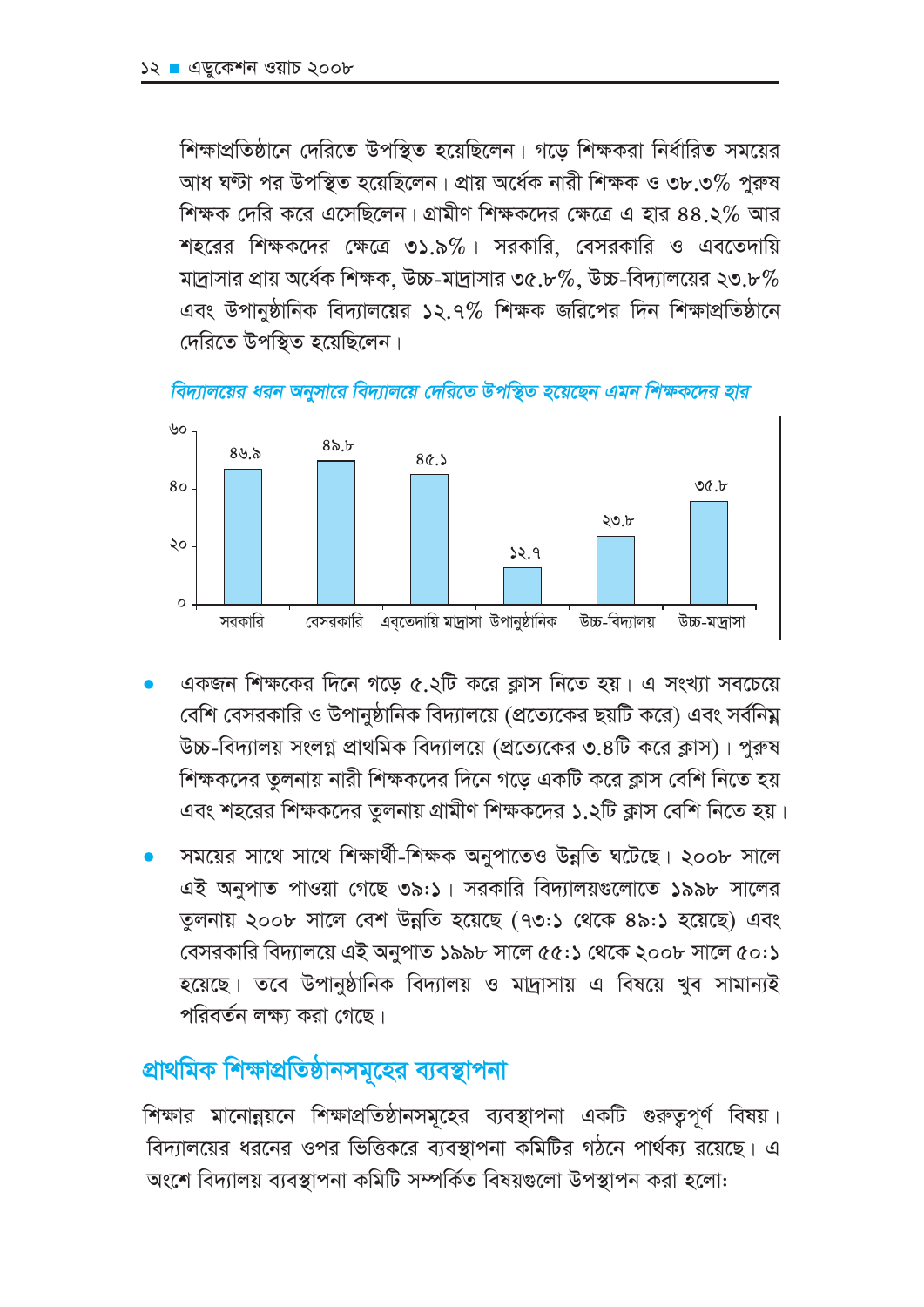শিক্ষাপ্রতিষ্ঠানে দেরিতে উপস্থিত হয়েছিলেন। গড়ে শিক্ষকরা নির্ধারিত সময়ের আধ ঘণ্টা পর উপস্থিত হয়েছিলেন। প্রায় অর্ধেক নারী শিক্ষক ও ৩৮.৩% পুরুষ শিক্ষক দেরি করে এসেছিলেন। গ্রামীণ শিক্ষকদের ক্ষেত্রে এ হার ৪৪.২% আর শহরের শিক্ষকদের ক্ষেত্রে ৩১.৯%। সরকারি, বেসরকারি ও এবতেদায়ি মাদ্রাসার প্রায় অর্ধেক শিক্ষক, উচ্চ-মাদ্রাসার ৩৫.৮%, উচ্চ-বিদ্যালয়ের ২৩.৮% এবং উপানুষ্ঠানিক বিদ্যালয়ের ১২.৭% শিক্ষক জরিপের দিন শিক্ষাপ্রতিষ্ঠানে দেরিতে উপস্থিত হয়েছিলেন।





- একজন শিক্ষকের দিনে গড়ে ৫.২টি করে ক্লাস নিতে হয়। এ সংখ্যা সবচেয়ে বেশি বেসরকারি ও উপানুষ্ঠানিক বিদ্যালয়ে (প্রত্যেকের ছয়টি করে) এবং সর্বনিয় উচ্চ-বিদ্যালয় সংলগ্ন প্রাথমিক বিদ্যালয়ে (প্রত্যেকের ৩.৪টি করে ক্লাস)। পুরুষ শিক্ষকদের তুলনায় নারী শিক্ষকদের দিনে গড়ে একটি করে ক্লাস বেশি নিতে হয় এবং শহরের শিক্ষকদের তুলনায় গ্রামীণ শিক্ষকদের ১.২টি ক্লাস বেশি নিতে হয়।
- সময়ের সাথে সাথে শিক্ষার্থী-শিক্ষক অনুপাতেও উন্নতি ঘটেছে। ২০০৮ সালে এই অনুপাত পাওয়া গেছে ৩৯:১। সরকারি বিদ্যালয়গুলোতে ১৯৯৮ সালের তুলনায় ২০০৮ সালে বেশ উন্নতি হয়েছে (৭৩:১ থেকে ৪৯:১ হয়েছে) এবং বেসরকারি বিদ্যালয়ে এই অনুপাত ১৯৯৮ সালে ৫৫:১ থেকে ২০০৮ সালে ৫০:১ হয়েছে। তবে উপানুষ্ঠানিক বিদ্যালয় ও মাদ্রাসায় এ বিষয়ে খুব সামান্যই পরিবর্তন লক্ষ্য করা গেছে।

# প্রাথমিক শিক্ষাপ্রতিষ্ঠানসমূহের ব্যবস্থাপনা

শিক্ষার মানোন্নয়নে শিক্ষাপ্রতিষ্ঠানসমূহের ব্যবস্থাপনা একটি গুরুতুপূর্ণ বিষয়। বিদ্যালয়ের ধরনের ওপর ভিত্তিকরে ব্যবস্থাপনা কমিটির গঠনে পার্থক্য রয়েছে। এ অংশে বিদ্যালয় ব্যবস্থাপনা কমিটি সম্পর্কিত বিষয়গুলো উপস্থাপন করা হলো: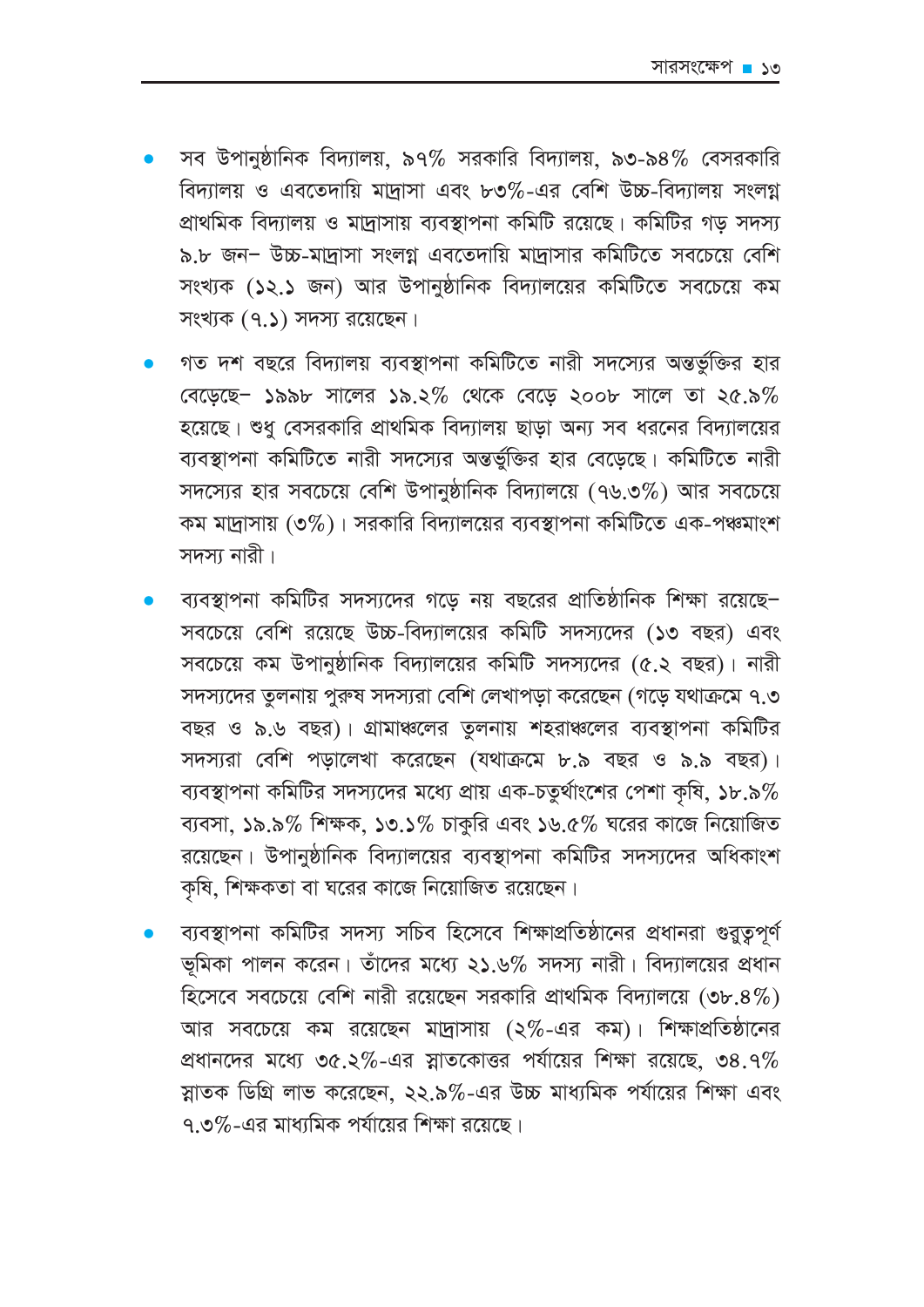- সব উপানুষ্ঠানিক বিদ্যালয়, ৯৭% সরকারি বিদ্যালয়, ৯৩-৯৪% বেসরকারি বিদ্যালয় ও এবতেদায়ি মাদ্রাসা এবং ৮৩%-এর বেশি উচ্চ-বিদ্যালয় সংলগ্ন প্রাথমিক বিদ্যালয় ও মাদ্রাসায় ব্যবস্থাপনা কমিটি রয়েছে। কমিটির গড় সদস্য ৯.৮ জন- উচ্চ-মাদ্রাসা সংলগ্ন এবতেদায়ি মাদ্রাসার কমিটিতে সবচেয়ে বেশি সংখ্যক (১২.১ জন) আর উপানুষ্ঠানিক বিদ্যালয়ের কমিটিতে সবচেয়ে কম সংখ্যক (৭.১) সদস্য রয়েছেন।
- গত দশ বছরে বিদ্যালয় ব্যবস্থাপনা কমিটিতে নারী সদস্যের অন্তর্ভুক্তির হার বেড়েছে - ১৯৯৮ সালের ১৯.২% থেকে বেড়ে ২০০৮ সালে তা ২৫.৯% হয়েছে। শুধু বেসরকারি প্রাথমিক বিদ্যালয় ছাড়া অন্য সব ধরনের বিদ্যালয়ের ব্যবস্থাপনা কমিটিতে নারী সদস্যের অন্তর্ভুক্তির হার বেড়েছে। কমিটিতে নারী সদস্যের হার সবচেয়ে বেশি উপানুষ্ঠানিক বিদ্যালয়ে (৭৬.৩%) আর সবচেয়ে কম মাদ্রাসায় (৩%)। সরকারি বিদ্যালয়ের ব্যবস্থাপনা কমিটিতে এক-পঞ্চমাংশ সদস্য নাবী।
- ব্যবস্থাপনা কমিটির সদস্যদের গড়ে নয় বছরের প্রাতিষ্ঠানিক শিক্ষা রয়েছে– সবচেয়ে বেশি রয়েছে উচ্চ-বিদ্যালয়ের কমিটি সদস্যদের (১৩ বছর) এবং সবচেয়ে কম উপানুষ্ঠানিক বিদ্যালয়ের কমিটি সদস্যদের (৫.২ বছর)। নারী সদস্যদের তুলনায় পুরুষ সদস্যরা বেশি লেখাপডা করেছেন (গডে যথাক্রমে ৭.৩ বছর ও ৯.৬ বছর)। গ্রামাঞ্চলের তুলনায় শহরাঞ্চলের ব্যবস্থাপনা কমিটির সদস্যরা বেশি পড়ালেখা করেছেন (যথাক্রমে ৮.৯ বছর ও ৯.৯ বছর)। ব্যবস্থাপনা কমিটির সদস্যদের মধ্যে প্রায় এক-চতুর্থাংশের পেশা কষি, ১৮.৯ $\%$ ব্যবসা, ১৯.৯% শিক্ষক, ১৩.১% চাকুরি এবং ১৬.৫% ঘরের কাজে নিয়োজিত রয়েছেন। উপানুষ্ঠানিক বিদ্যালয়ের ব্যবস্থাপনা কমিটির সদস্যদের অধিকাংশ কৃষি, শিক্ষকতা বা ঘরের কাজে নিয়োজিত রয়েছেন।
- ব্যবস্থাপনা কমিটির সদস্য সচিব হিসেবে শিক্ষাপ্রতিষ্ঠানের প্রধানরা গুরুত্বপূর্ণ ভূমিকা পালন করেন। তাঁদের মধ্যে ২১.৬% সদস্য নারী। বিদ্যালয়ের প্রধান হিসেবে সবচেয়ে বেশি নারী রয়েছেন সরকারি প্রাথমিক বিদ্যালয়ে (৩৮.৪%) আর সবচেয়ে কম রয়েছেন মাদ্রাসায় (২%-এর কম)। শিক্ষাপ্রতিষ্ঠানের প্রধানদের মধ্যে ৩৫.২%-এর স্নাতকোত্তর পর্যায়ের শিক্ষা রয়েছে, ৩৪.৭% স্নাতক ডিগ্রি লাভ করেছেন, ২২.৯%-এর উচ্চ মাধ্যমিক পর্যায়ের শিক্ষা এবং ৭ ৩%-এর মাধ্যমিক পর্যায়ের শিক্ষা রয়েছে।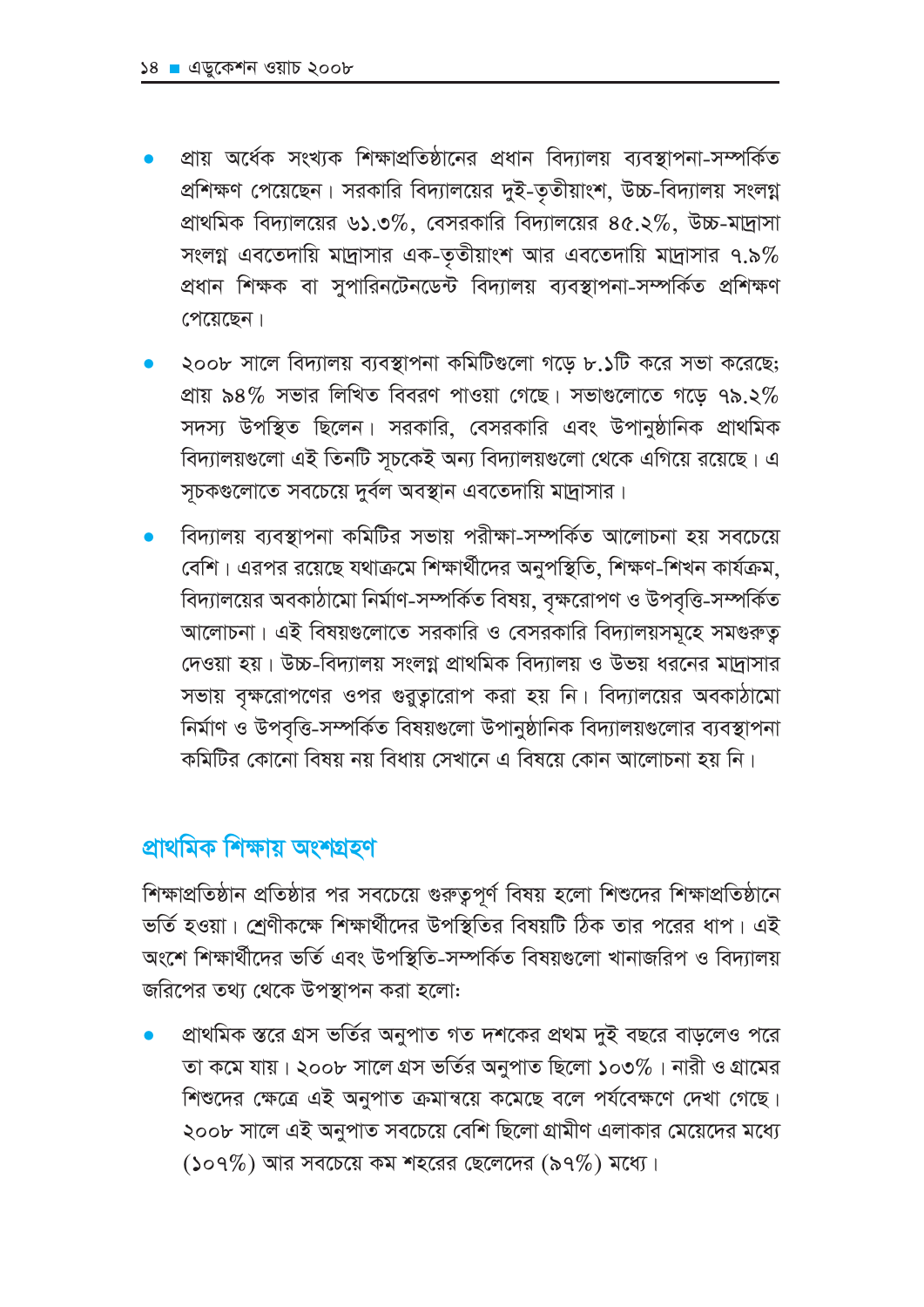- প্রায় অর্ধেক সংখ্যক শিক্ষাপ্রতিষ্ঠানের প্রধান বিদ্যালয় ব্যবস্থাপনা-সম্পর্কিত প্রশিক্ষণ পেয়েছেন। সরকারি বিদ্যালয়ের দুই-তৃতীয়াংশ, উচ্চ-বিদ্যালয় সংলগ্ন প্রাথমিক বিদ্যালয়ের ৬১.৩%, বেসরকারি বিদ্যালয়ের ৪৫.২%, উচ্চ-মাদ্রাসা সংলগ্ন এবতেদায়ি মাদ্রাসার এক-তৃতীয়াংশ আর এবতেদায়ি মাদ্রাসার ৭.৯% প্রধান শিক্ষক বা সুপারিনটেনডেন্ট বিদ্যালয় ব্যবস্থাপনা-সম্পর্কিত প্রশিক্ষণ পেয়েছেন।
- ২০০৮ সালে বিদ্যালয় ব্যবস্থাপনা কমিটিগুলো গড়ে ৮.১টি করে সভা করেছে; প্রায় ৯৪% সভার লিখিত বিবরণ পাওয়া গেছে। সভাগুলোতে গড়ে ৭৯.২% সদস্য উপস্থিত ছিলেন। সরকারি, বেসরকারি এবং উপানুষ্ঠানিক প্রাথমিক বিদ্যালয়গুলো এই তিনটি সূচকেই অন্য বিদ্যালয়গুলো থেকে এগিয়ে রয়েছে। এ সূচকগুলোতে সবচেয়ে দুর্বল অবস্থান এবতেদায়ি মাদ্রাসার।
- বিদ্যালয় ব্যবস্থাপনা কমিটির সভায় পরীক্ষা-সম্পর্কিত আলোচনা হয় সবচেয়ে বেশি। এরপর রয়েছে যথাক্রমে শিক্ষার্থীদের অনুপস্থিতি, শিক্ষণ-শিখন কার্যক্রম, বিদ্যালয়ের অবকাঠামো নির্মাণ-সম্পর্কিত বিষয়, বৃক্ষরোপণ ও উপবৃত্তি-সম্পর্কিত আলোচনা। এই বিষয়গুলোতে সরকারি ও বেসরকারি বিদ্যালয়সমূহে সমগুরুত্ব দেওয়া হয়। উচ্চ-বিদ্যালয় সংলগ্ন প্রাথমিক বিদ্যালয় ও উভয় ধরনের মাদ্রাসার সভায় বৃক্ষরোপণের ওপর গুরুত্বারোপ করা হয় নি। বিদ্যালয়ের অবকাঠামো নির্মাণ ও উপবৃত্তি-সম্পর্কিত বিষয়গুলো উপানুষ্ঠানিক বিদ্যালয়গুলোর ব্যবস্থাপনা কমিটির কোনো বিষয় নয় বিধায় সেখানে এ বিষয়ে কোন আলোচনা হয় নি।

# প্ৰাথমিক শিক্ষায় অংশগ্ৰহণ

শিক্ষাপ্রতিষ্ঠান প্রতিষ্ঠার পর সবচেয়ে গুরুত্বপূর্ণ বিষয় হলো শিশুদের শিক্ষাপ্রতিষ্ঠানে ভর্তি হওয়া। শ্রেণীকক্ষে শিক্ষার্থীদের উপস্থিতির বিষয়টি ঠিক তার পরের ধাপ। এই অংশে শিক্ষার্থীদের ভর্তি এবং উপস্থিতি-সম্পর্কিত বিষয়গুলো খানাজরিপ ও বিদ্যালয় জরিপের তথ্য থেকে উপস্থাপন করা হলো:

প্রাথমিক স্তরে গ্রস ভর্তির অনুপাত গত দশকের প্রথম দুই বছরে বাড়লেও পরে তা কমে যায়। ২০০৮ সালে গ্রস ভর্তির অনুপাত ছিলো ১০৩%। নারী ও গ্রামের শিশুদের ক্ষেত্রে এই অনুপাত ক্রমান্বয়ে কমেছে বলে পর্যবেক্ষণে দেখা গেছে। ২০০৮ সালে এই অনুপাত সবচেয়ে বেশি ছিলো গ্রামীণ এলাকার মেয়েদের মধ্যে  $(509\%)$  আর সবচেয়ে কম শহরের ছেলেদের  $(59\%)$  মধ্যে।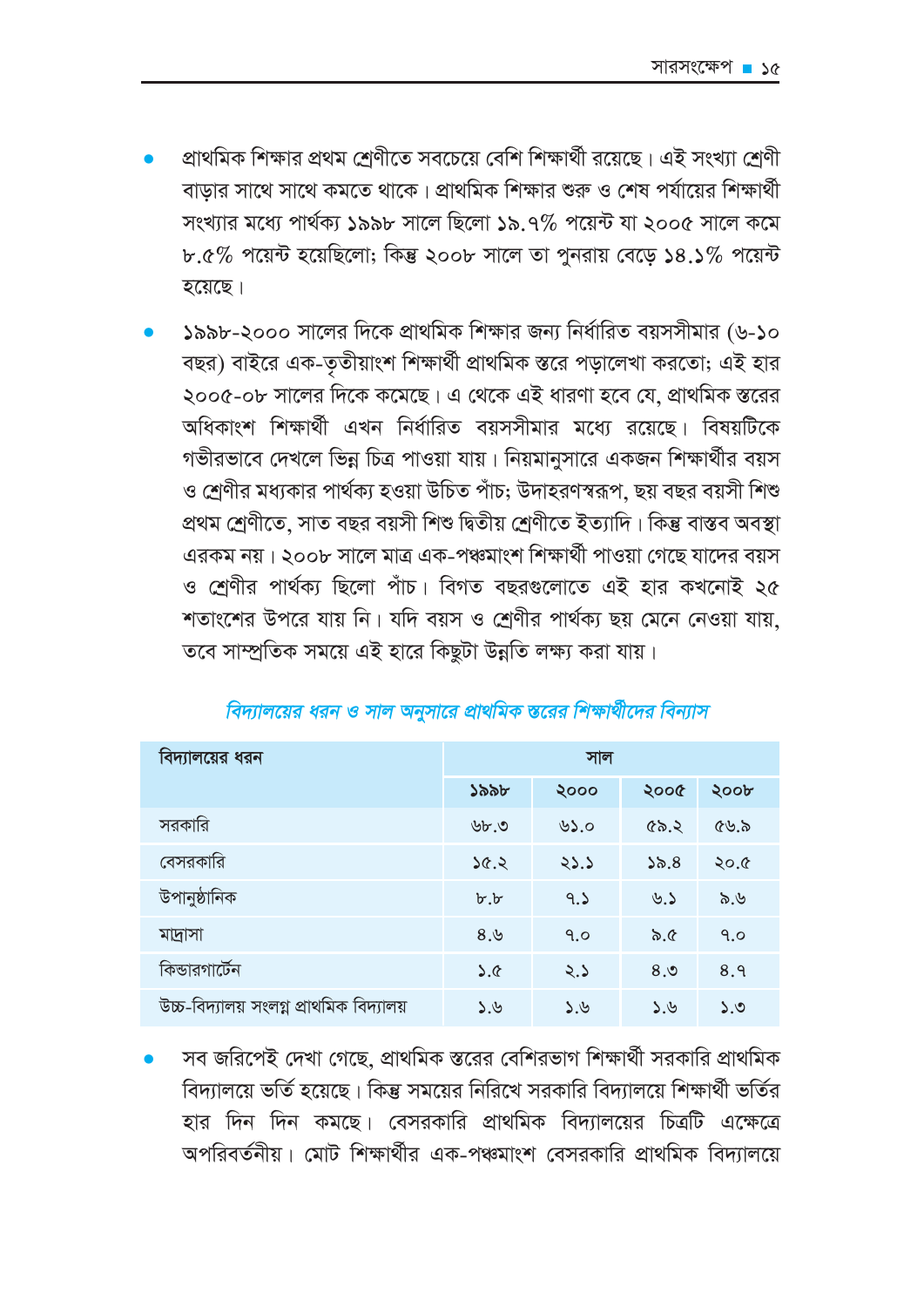- প্রাথমিক শিক্ষার প্রথম শ্রেণীতে সবচেয়ে বেশি শিক্ষার্থী রয়েছে। এই সংখ্যা শ্রেণী বাডার সাথে সাথে কমতে থাকে। প্রাথমিক শিক্ষার শুরু ও শেষ পর্যায়ের শিক্ষার্থী সংখ্যার মধ্যে পার্থক্য ১৯৯৮ সালে ছিলো ১৯.৭% পয়েন্ট যা ২০০৫ সালে কমে  $b.6\%$  পয়েন্ট হয়েছিলো; কিন্তু ২০০৮ সালে তা পুনরায় বেড়ে ১৪.১% পয়েন্ট হয়েছে।
- ১৯৯৮-২০০০ সালের দিকে প্রাথমিক শিক্ষার জন্য নির্ধারিত বয়সসীমার (৬-১০ বছর) বাইরে এক-তৃতীয়াংশ শিক্ষার্থী প্রাথমিক স্তরে পড়ালেখা করতো; এই হার ২০০৫-০৮ সালের দিকে কমেছে। এ থেকে এই ধারণা হবে যে, প্রাথমিক স্তরের অধিকাংশ শিক্ষার্থী এখন নির্ধারিত বয়সসীমার মধ্যে রয়েছে। বিষয়টিকে গভীরভাবে দেখলে ভিন্ন চিত্র পাওয়া যায়। নিয়মানুসারে একজন শিক্ষার্থীর বয়স ও শ্রেণীর মধ্যকার পার্থক্য হওয়া উচিত পাঁচ; উদাহরণস্বরূপ, ছয় বছর বয়সী শিশু প্ৰথম শ্ৰেণীতে, সাত বছর বয়সী শিশু দ্বিতীয় শ্ৰেণীতে ইত্যাদি। কিন্তু বাস্তব অবস্থা এরকম নয়। ২০০৮ সালে মাত্র এক-পঞ্চমাংশ শিক্ষার্থী পাওয়া গেছে যাদের বয়স ও শ্রেণীর পার্থক্য ছিলো পাঁচ। বিগত বছরগুলোতে এই হার কখনোই ২৫ শতাংশের উপরে যায় নি। যদি বয়স ও শ্রেণীর পার্থক্য ছয় মেনে নেওয়া যায়, তবে সাম্প্রতিক সময়ে এই হারে কিছুটা উন্নতি লক্ষ্য করা যায়।

| বিদ্যালয়ের ধরন                          | সাল                   |              |         |      |
|------------------------------------------|-----------------------|--------------|---------|------|
|                                          | ১৯৯৮                  | ২০০০         | ২০০৫    | ২০০৮ |
| সরকারি                                   | ৬৮.৩                  | ৬১.০         | ৫৯.২    | ৫৬.৯ |
| বেসরকারি                                 | 5.56                  | 23.5         | ১৯. $8$ | ২০.৫ |
| উপানুষ্ঠানিক                             | $b^{\cdot},b^{\cdot}$ | 9.5          | ৬.১     | ৯.৬  |
| মাদ্রাসা                                 | 8,9                   | 9.0          | ৯.৫     | 9.0  |
| কিন্ডারগার্টেন                           | 5.6                   | 2.5          | 8,0     | 8.9  |
| উচ্চ-বিদ্যালয় সংলগ্ন প্রাথমিক বিদ্যালয় | 3.8                   | $\lambda$ .৬ | ১.৬     | 5.0  |

### বিদ্যালয়ের ধরন ও সাল অনুসারে প্রাথমিক স্তরের শিক্ষার্থীদের বিন্যাস

সব জরিপেই দেখা গেছে, প্রাথমিক স্তরের বেশিরভাগ শিক্ষার্থী সরকারি প্রাথমিক বিদ্যালয়ে ভর্তি হয়েছে। কিন্তু সময়ের নিরিখে সরকারি বিদ্যালয়ে শিক্ষার্থী ভর্তির হার দিন দিন কমছে। বেসরকারি প্রাথমিক বিদ্যালয়ের চিত্রটি এক্ষেত্রে অপরিবর্তনীয়। মোট শিক্ষার্থীর এক-পঞ্চমাংশ বেসরকারি প্রাথমিক বিদ্যালয়ে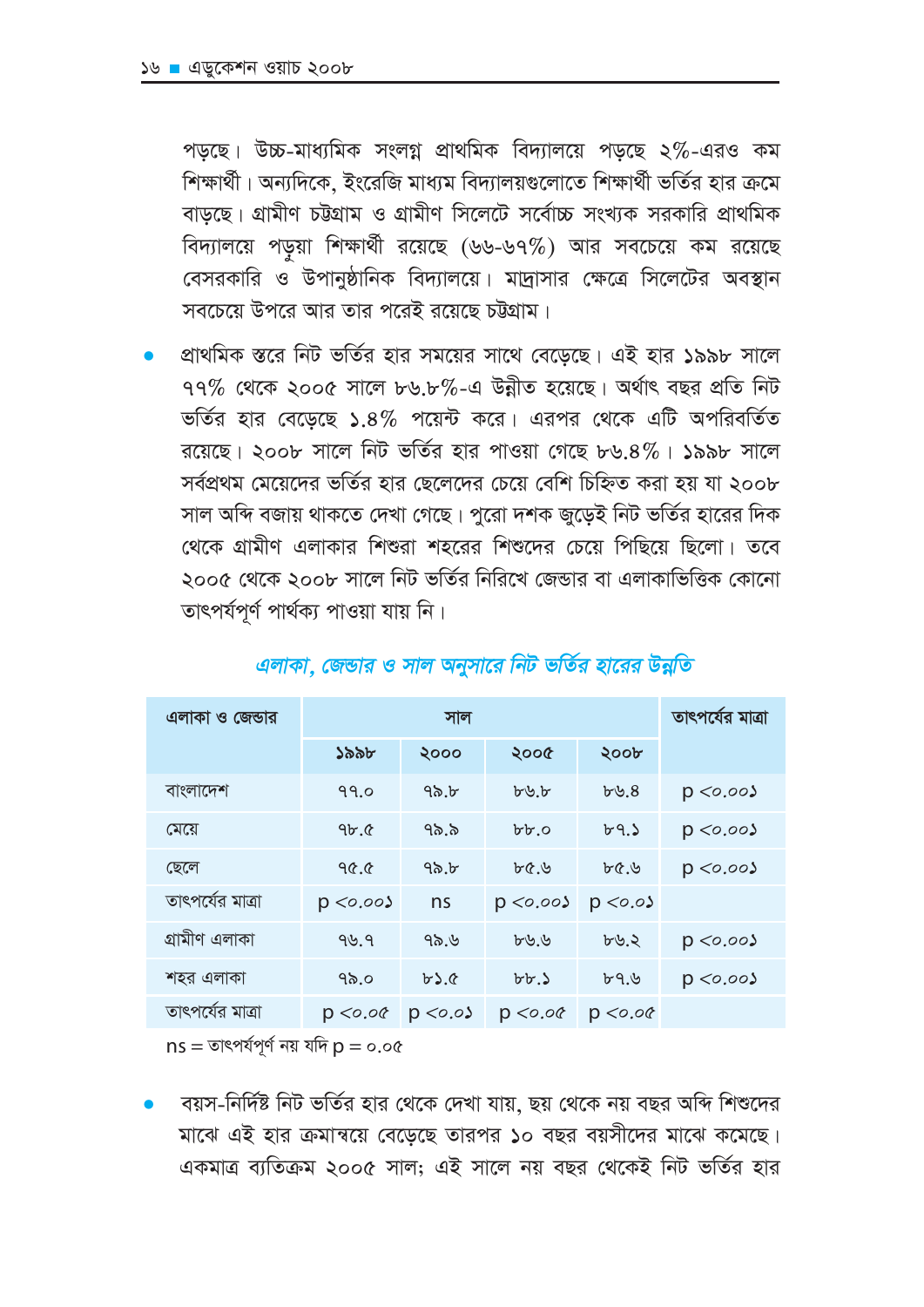পড়ছে। উচ্চ-মাধ্যমিক সংলগ্ন প্রাথমিক বিদ্যালয়ে পড়ছে ২%-এরও কম শিক্ষার্থী। অন্যদিকে, ইংরেজি মাধ্যম বিদ্যালয়গুলোতে শিক্ষার্থী ভর্তির হার ক্রমে বাডছে। গ্রামীণ চট্টগ্রাম ও গ্রামীণ সিলেটে সর্বোচ্চ সংখ্যক সরকারি প্রাথমিক বিদ্যালয়ে পড়য়া শিক্ষার্থী রয়েছে (৬৬-৬৭%) আর সবচেয়ে কম রয়েছে বেসরকারি ও উপানুষ্ঠানিক বিদ্যালয়ে। মাদ্রাসার ক্ষেত্রে সিলেটের অবস্থান সবচেয়ে উপরে আর তার পরেই রয়েছে চট্টগ্রাম।

প্রাথমিক স্তরে নিট ভর্তির হার সময়ের সাথে বেড়েছে। এই হার ১৯৯৮ সালে  $99\%$  থেকে ২০০৫ সালে ৮৬.৮%-এ উন্নীত হয়েছে। অর্থাৎ বছর প্রতি নিট ভর্তির হার বেডেছে ১.৪% পয়েন্ট করে। এরপর থেকে এটি অপরিবর্তিত রয়েছে। ২০০৮ সালে নিট ভর্তির হার পাওয়া গেছে ৮৬.৪%। ১৯৯৮ সালে সর্বপ্রথম মেয়েদের ভর্তির হার ছেলেদের চেয়ে বেশি চিহ্নিত করা হয় যা ২০০৮ সাল অন্দি বজায় থাকতে দেখা গেছে। পুরো দশক জুড়েই নিট ভর্তির হারের দিক থেকে গ্রামীণ এলাকার শিশুরা শহরের শিশুদের চেয়ে পিছিয়ে ছিলো। তবে ২০০৫ থেকে ২০০৮ সালে নিট ভর্তির নিরিখে জেন্ডার বা এলাকাভিত্তিক কোনো তাৎপৰ্যপূৰ্ণ পাৰ্থক্য পাওয়া যায় নি।

| এলাকা ও জেন্ডার  | সাল          |              |                   |                | তাৎপৰ্যের মাত্রা |  |
|------------------|--------------|--------------|-------------------|----------------|------------------|--|
|                  | ১৯৯৮         | ২০০০         | ২০০৫              | ২০০৮           |                  |  |
| বাংলাদেশ         | 99.0         | ৭৯.৮         | $b\ddot{v}$ . $b$ | $b\ddot{v}.8$  | p < 0.00         |  |
| মেয়ে            | 9b.6         | ৭৯.৯         | $b\cdot b$ .0     | ৮৭.১           | p < 0.005        |  |
| ছেলে             | ዓ৫.৫         | ৭৯.৮         | ৮৫.৬              | ৮৫.৬           | $p \ll 0.00$     |  |
| তাৎপৰ্যের মাত্রা | $p < o.$ 00) | ns           | p < 0.005         | p < o.o        |                  |  |
| গ্ৰামীণ এলাকা    | 99.9         | 92.9         | ৮৬.৬              | $b\ddot{v}$ .২ | $p \ll 0.00$     |  |
| শহর এলাকা        | ৭৯. $\circ$  | b). $\alpha$ | $b\cdot b$ .      | ৮৭.৬           | p < 0.005        |  |
| তাৎপৰ্যের মাত্রা | p < 0.00     | $p \ll 0.0$  | p < o.o           | p < 0.00       |                  |  |

#### এলাকা, জেন্ডার ও সাল অনুসারে নিট ভর্তির হারের উন্নতি

 $ns =$ তাৎপৰ্যপূৰ্ণ নয় যদি  $p = o.o.c$ 

বয়স-নির্দিষ্ট নিট ভর্তির হার থেকে দেখা যায়, ছয় থেকে নয় বছর অব্দি শিশুদের মাঝে এই হার ক্রমান্বয়ে বেডেছে তারপর ১০ বছর বয়সীদের মাঝে কমেছে। একমাত্র ব্যতিক্রম ২০০৫ সাল: এই সালে নয় বছর থেকেই নিট ভর্তির হার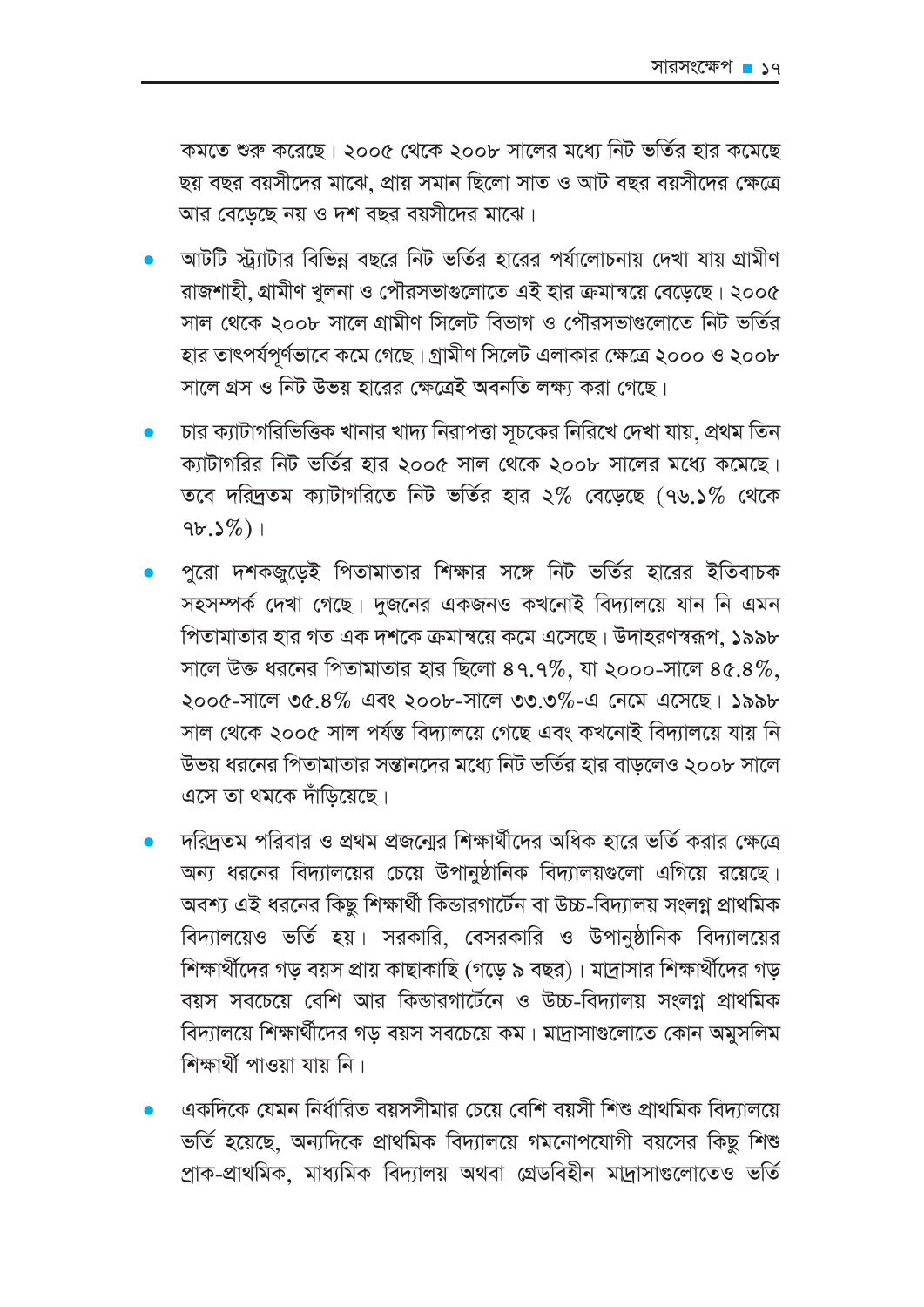কমতে শুরু করেছে। ২০০৫ থেকে ২০০৮ সালের মধ্যে নিট ভর্তির হার কমেছে ছয় বছর বয়সীদের মাঝে, প্রায় সমান ছিলো সাত ও আট বছর বয়সীদের ক্ষেত্রে আর বেডেছে নয় ও দশ বছর বয়সীদের মাঝে।

- আটটি স্ট্র্যাটার বিভিন্ন বছরে নিট ভর্তির হারের পর্যালোচনায় দেখা যায় গ্রামীণ রাজশাহী, গ্রামীণ খুলনা ও পৌরসভাগুলোতে এই হার ক্রমান্বয়ে বেড়েছে। ২০০৫ সাল থেকে ২০০৮ সালে গ্রামীণ সিলেট বিভাগ ও পৌরসভাগুলোতে নিট ভর্তির হার তাৎপর্যপূর্ণভাবে কমে গেছে। গ্রামীণ সিলেট এলাকার ক্ষেত্রে ২০০০ ও ২০০৮ সালে গ্রস ও নিট উভয় হারের ক্ষেত্রেই অবনতি লক্ষ্য করা গেছে।
- চার ক্যাটাগরিভিত্তিক খানার খাদ্য নিরাপত্তা সচকের নিরিখে দেখা যায়, প্রথম তিন ক্যাটাগরির নিট ভর্তির হার ২০০৫ সাল থেকে ২০০৮ সালের মধ্যে কমেছে। তবে দরিদ্রতম ক্যাটাগরিতে নিট ভর্তির হার ২% বেডেছে (৭৬.১% থেকে  $9b.5\%)$
- পুরো দশকজুডেই পিতামাতার শিক্ষার সঙ্গে নিট ভর্তির হারের ইতিবাচক সহসম্পর্ক দেখা গেছে। দুজনের একজনও কখনোই বিদ্যালয়ে যান নি এমন পিতামাতার হার গত এক দশকে ক্রমান্বয়ে কমে এসেছে। উদাহরণস্বরূপ, ১৯৯৮ সালে উক্ত ধরনের পিতামাতার হার ছিলো ৪৭.৭%, যা ২০০০-সালে ৪৫.৪%, ২০০৫-সালে ৩৫.৪% এবং ২০০৮-সালে ৩৩.৩%-এ নেমে এসেছে। ১৯৯৮ সাল থেকে ২০০৫ সাল পৰ্যন্ত বিদ্যালয়ে গেছে এবং কখনোই বিদ্যালয়ে যায় নি উভয় ধরনের পিতামাতার সন্তানদের মধ্যে নিট ভর্তির হার বাডলেও ২০০৮ সালে এসে তা থমকে দাঁড়িয়েছে।
- দরিদ্রতম পরিবার ও প্রথম প্রজনোর শিক্ষার্থীদের অধিক হারে ভর্তি করার ক্ষেত্রে অন্য ধরনের বিদ্যালয়ের চেয়ে উপানুষ্ঠানিক বিদ্যালয়গুলো এগিয়ে রয়েছে। অবশ্য এই ধরনের কিছু শিক্ষার্থী কিন্ডারগার্টেন বা উচ্চ-বিদ্যালয় সংলগ্ন প্রাথমিক বিদ্যালয়েও ভর্তি হয়। সরকারি, বেসরকারি ও উপানুষ্ঠানিক বিদ্যালয়ের শিক্ষার্থীদের গড় বয়স প্রায় কাছাকাছি (গড়ে ৯ বছর)। মাদ্রাসার শিক্ষার্থীদের গড় বয়স সবচেয়ে বেশি আর কিন্ডারগার্টেনে ও উচ্চ-বিদ্যালয় সংলগ্ন প্রাথমিক বিদ্যালয়ে শিক্ষার্থীদের গড় বয়স সবচেয়ে কম। মাদ্রাসাগুলোতে কোন অমুসলিম শিক্ষাৰ্থী পাওয়া যায় নি।
- একদিকে যেমন নির্ধারিত বয়সসীমার চেয়ে বেশি বয়সী শিশু প্রাথমিক বিদ্যালয়ে ভর্তি হয়েছে, অন্যদিকে প্রাথমিক বিদ্যালয়ে গমনোপযোগী বয়সের কিছু শিশু প্ৰাক-প্ৰাথমিক, মাধ্যমিক বিদ্যালয় অথবা গ্ৰেডবিহীন মাদ্ৰাসাগুলোতেও ভৰ্তি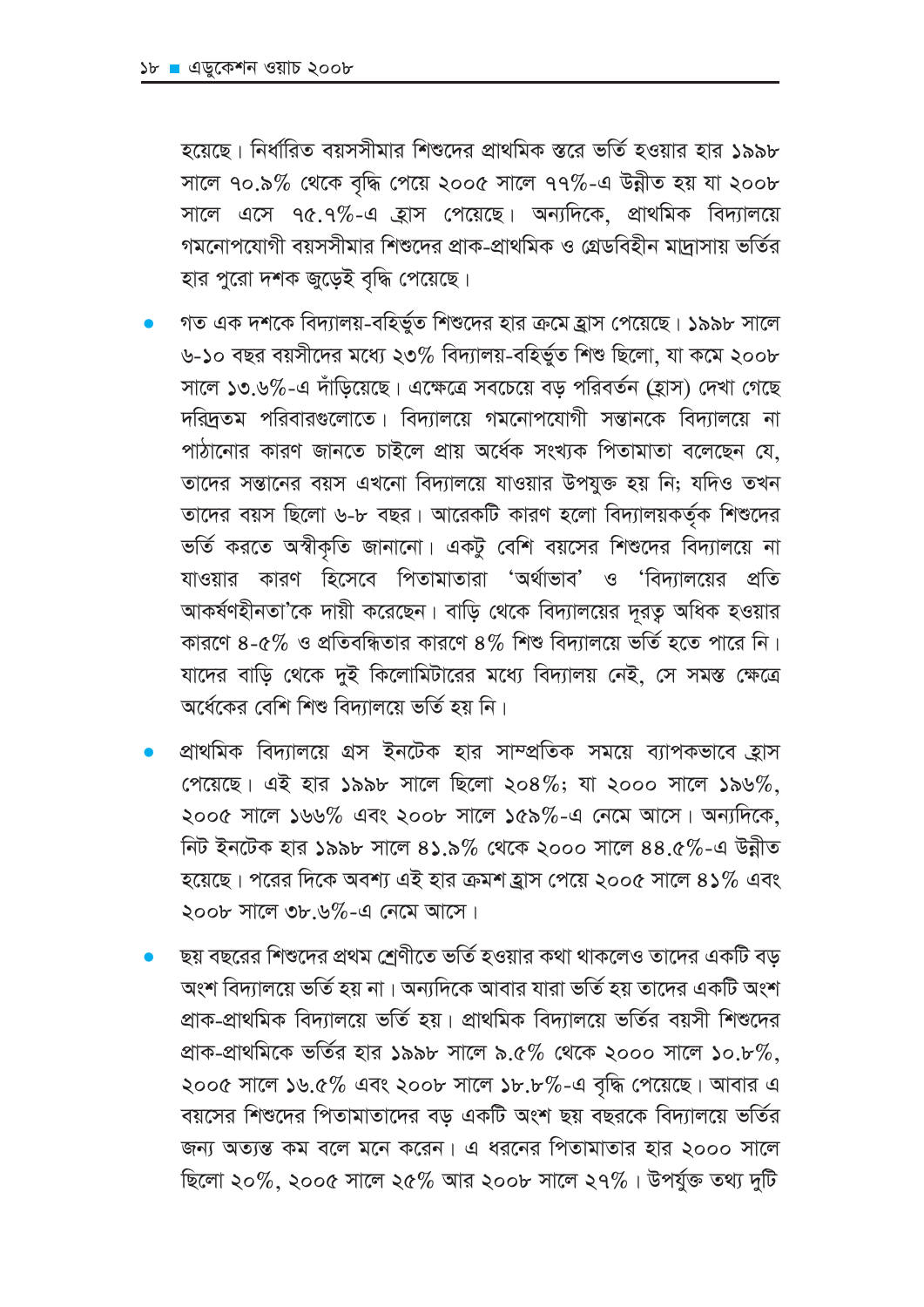হয়েছে। নির্ধারিত বয়সসীমার শিশুদের প্রাথমিক স্তরে ভর্তি হওয়ার হার ১৯৯৮ সালে ৭০.৯% থেকে বৃদ্ধি পেয়ে ২০০৫ সালে ৭৭%-এ উন্নীত হয় যা ২০০৮ সালে এসে ৭৫.৭%-এ হ্রাস পেয়েছে। অন্যদিকে, প্রাথমিক বিদ্যালয়ে গমনোপযোগী বয়সসীমার শিশুদের প্রাক-প্রাথমিক ও গ্রেডবিহীন মাদাসায় ভর্তির হার পুরো দশক জুড়েই বৃদ্ধি পেয়েছে।

- গত এক দশকে বিদ্যালয়-বহির্ভুত শিশুদের হার ক্রমে হ্রাস পেয়েছে। ১৯৯৮ সালে ৬-১০ বছর বয়সীদের মধ্যে ২৩% বিদ্যালয়-বহির্ভুত শিশু ছিলো, যা কমে ২০০৮ সালে ১৩.৬%-এ দাঁড়িয়েছে। এক্ষেত্রে সবচেয়ে বড় পরিবর্তন (হ্রাস) দেখা গেছে দরিদ্রতম পরিবারগুলোতে। বিদ্যালয়ে গমনোপযোগী সন্তানকে বিদ্যালয়ে না পাঠানোর কারণ জানতে চাইলে প্রায় অর্ধেক সংখ্যক পিতামাতা বলেছেন যে. তাদের সন্তানের বয়স এখনো বিদ্যালয়ে যাওয়ার উপযুক্ত হয় নি; যদিও তখন তাদের বয়স ছিলো ৬-৮ বছর। আরেকটি কারণ হলো বিদ্যালয়কর্তৃক শিশুদের ভর্তি করতে অস্বীকৃতি জানানো। একটু বেশি বয়সের শিশুদের বিদ্যালয়ে না যাওয়ার কারণ হিসেবে পিতামাতারা 'অর্থাভাব' ও 'বিদ্যালয়ের প্রতি আকর্ষণহীনতা'কে দায়ী করেছেন। বাডি থেকে বিদ্যালয়ের দরত অধিক হওয়ার কারণে ৪-৫% ও প্রতিবন্ধিতার কারণে ৪% শিশু বিদ্যালয়ে ভর্তি হতে পারে নি। যাদের বাডি থেকে দুই কিলোমিটারের মধ্যে বিদ্যালয় নেই. সে সমস্ত ক্ষেত্রে অর্ধেকের বেশি শিশু বিদ্যালয়ে ভর্তি হয় নি।
- প্রাথমিক বিদ্যালয়ে গ্রস ইনটেক হার সাম্প্রতিক সময়ে ব্যাপকভাবে হ্রাস পেয়েছে। এই হার ১৯৯৮ সালে ছিলো ২০৪%; যা ২০০০ সালে ১৯৬%, ২০০৫ সালে ১৬৬% এবং ২০০৮ সালে ১৫৯%-এ নেমে আসে। অন্যদিকে, নিট ইনটেক হার ১৯৯৮ সালে ৪১.৯% থেকে ২০০০ সালে ৪৪.৫%-এ উন্নীত হয়েছে। পরের দিকে অবশ্য এই হার ক্রমশ হ্রাস পেয়ে ২০০৫ সালে ৪১% এবং ২০০৮ সালে ৩৮.৬%-এ নেমে আসে।
- ছয় বছরের শিশুদের প্রথম শ্রেণীতে ভর্তি হওয়ার কথা থাকলেও তাদের একটি বড় অংশ বিদ্যালয়ে ভর্তি হয় না। অন্যদিকে আবার যারা ভর্তি হয় তাদের একটি অংশ প্রাক-প্রাথমিক বিদ্যালয়ে ভর্তি হয়। প্রাথমিক বিদ্যালয়ে ভর্তির বয়সী শিশুদের প্রাক-প্রাথমিকে ভর্তির হার ১৯৯৮ সালে ৯.৫% থেকে ২০০০ সালে ১০.৮%, ২০০৫ সালে ১৬.৫% এবং ২০০৮ সালে ১৮.৮%-এ বৃদ্ধি পেয়েছে। আবার এ বয়সের শিশুদের পিতামাতাদের বড একটি অংশ ছয় বছরকে বিদ্যালয়ে ভর্তির জন্য অত্যন্ত কম বলে মনে করেন। এ ধরনের পিতামাতার হার ২০০০ সালে ছিলো ২০%, ২০০৫ সালে ২৫% আর ২০০৮ সালে ২৭%। উপর্যুক্ত তথ্য দুটি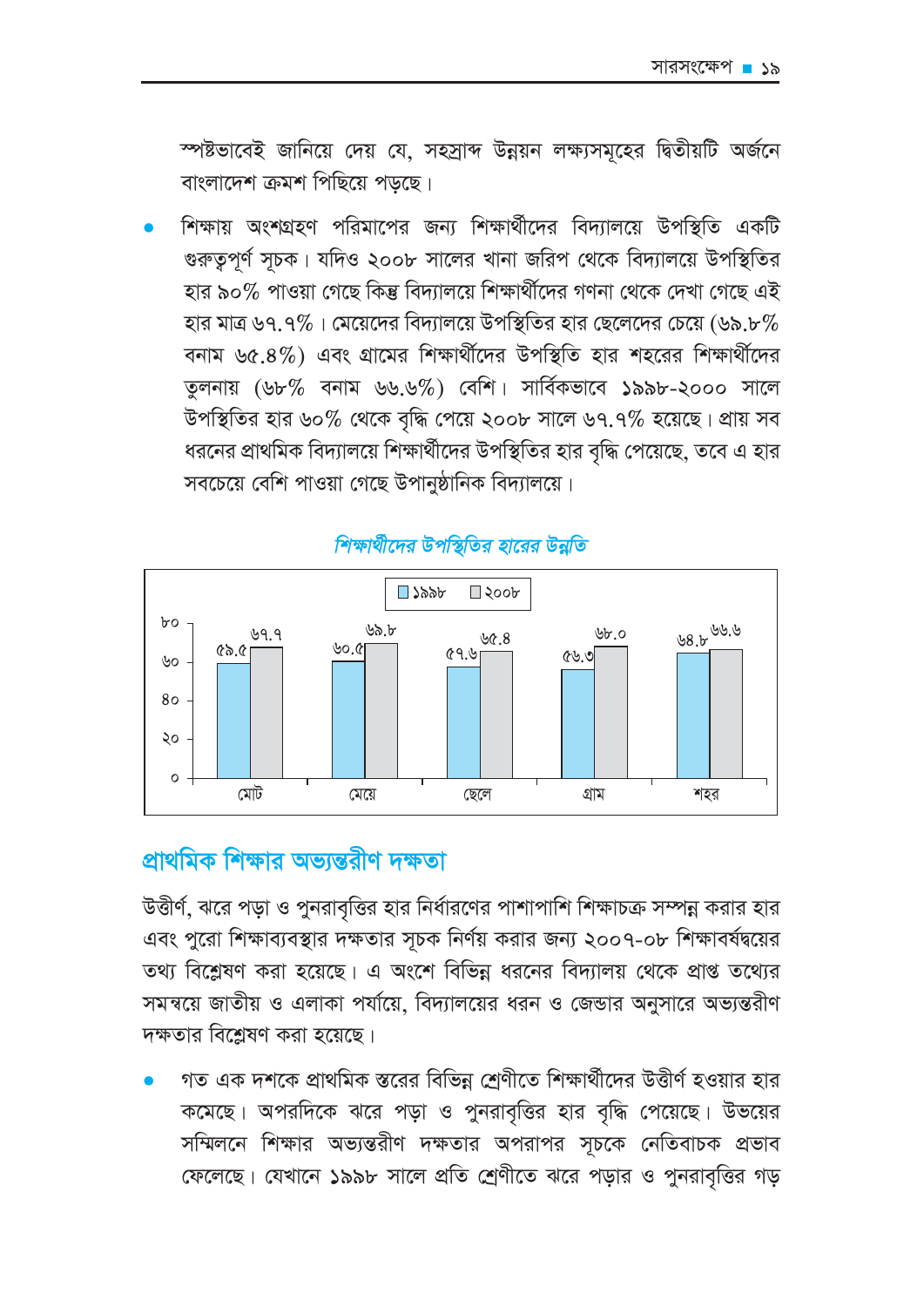স্পষ্টভাবেই জানিয়ে দেয় যে, সহস্রাব্দ উন্নয়ন লক্ষ্যসমূহের দ্বিতীয়টি অর্জনে বাংলাদেশ ক্রমশ পিছিয়ে পডছে।

শিক্ষায় অংশগ্রহণ পরিমাপের জন্য শিক্ষার্থীদের বিদ্যালয়ে উপস্থিতি একটি গুরুত্বপূর্ণ সূচক। যদিও ২০০৮ সালের খানা জরিপ থেকে বিদ্যালয়ে উপস্থিতির হার ৯০% পাওয়া গেছে কিন্তু বিদ্যালয়ে শিক্ষার্থীদের গণনা থেকে দেখা গেছে এই হার মাত্র ৬৭.৭%। মেয়েদের বিদ্যালয়ে উপস্থিতির হার ছেলেদের চেয়ে (৬৯.৮% বনাম ৬৫.৪%) এবং গ্রামের শিক্ষার্থীদের উপস্থিতি হার শহরের শিক্ষার্থীদের তুলনায় (৬৮% বনাম ৬৬.৬%) বেশি। সার্বিকভাবে ১৯৯৮-২০০০ সালে উপস্থিতির হার ৬০% থেকে বৃদ্ধি পেয়ে ২০০৮ সালে ৬৭.৭% হয়েছে। প্রায় সব ধরনের প্রাথমিক বিদ্যালয়ে শিক্ষার্থীদের উপস্থিতির হার বৃদ্ধি পেয়েছে, তবে এ হার সবচেয়ে বেশি পাওয়া গেছে উপানুষ্ঠানিক বিদ্যালয়ে।



### শিক্ষার্থীদের উপস্থিতির হারের উন্নতি

# প্রাথমিক শিক্ষার অভান্তরীণ দক্ষতা

উত্তীর্ণ, ঝরে পড়া ও পুনরাবৃত্তির হার নির্ধারণের পাশাপাশি শিক্ষাচক্র সম্পন্ন করার হার এবং পুরো শিক্ষাব্যবস্থার দক্ষতার সূচক নির্ণয় করার জন্য ২০০৭-০৮ শিক্ষাবর্ষদ্বয়ের তথ্য বিশ্লেষণ করা হয়েছে। এ অংশে বিভিন্ন ধরনের বিদ্যালয় থেকে প্রাপ্ত তথ্যের সমন্বয়ে জাতীয় ও এলাকা পর্যায়ে, বিদ্যালয়ের ধরন ও জেন্ডার অনুসারে অভ্যন্তরীণ দক্ষতার বিশ্লেষণ করা হয়েছে।

গত এক দশকে প্রাথমিক স্তরের বিভিন্ন শ্রেণীতে শিক্ষার্থীদের উত্তীর্ণ হওয়ার হার কমেছে। অপরদিকে ঝরে পড়া ও পুনরাবৃত্তির হার বৃদ্ধি পেয়েছে। উভয়ের সম্মিলনে শিক্ষার অভ্যন্তরীণ দক্ষতার অপরাপর সূচকে নেতিবাচক প্রভাব ফেলেছে। যেখানে ১৯৯৮ সালে প্রতি শ্রেণীতে ঝরে পড়ার ও পুনরাবৃত্তির গড়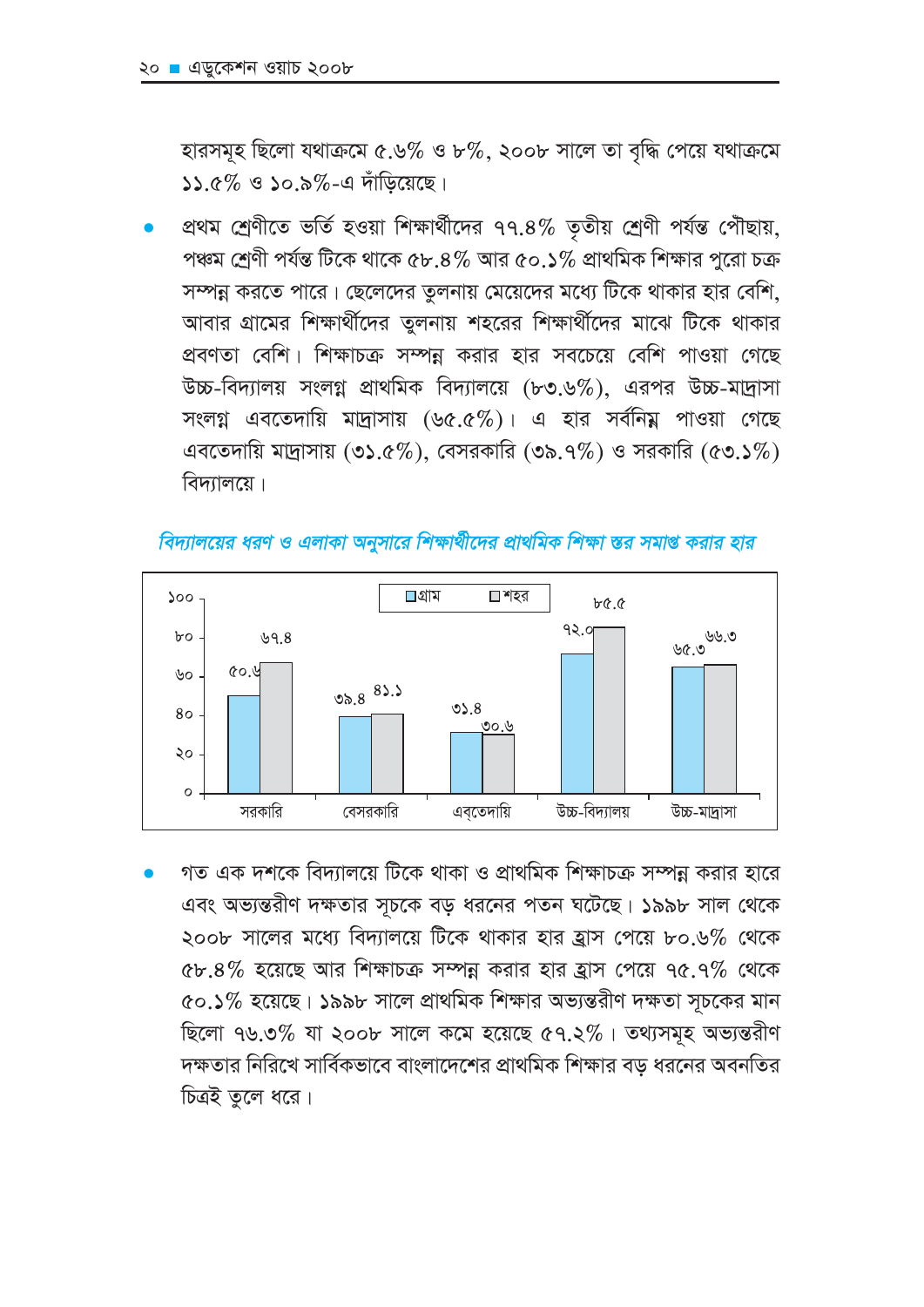হারসমূহ ছিলো যথাক্রমে ৫.৬% ও ৮%, ২০০৮ সালে তা বৃদ্ধি পেয়ে যথাক্রমে  $\Delta\Delta$  ৫% ও ১০.৯%-এ দাঁডিয়েছে।

প্রথম শ্রেণীতে ভর্তি হওয়া শিক্ষার্থীদের ৭৭.৪% তৃতীয় শ্রেণী পর্যন্ত পৌছায়, পঞ্চম শ্রেণী পর্যন্ত টিকে থাকে ৫৮.৪% আর ৫০.১% প্রাথমিক শিক্ষার পুরো চক্র সম্পন্ন করতে পারে। ছেলেদের তুলনায় মেয়েদের মধ্যে টিকে থাকার হার বেশি, আবার গ্রামের শিক্ষার্থীদের তুলনায় শহরের শিক্ষার্থীদের মাঝে টিকে থাকার প্রবণতা বেশি। শিক্ষাচক্র সম্পন্ন করার হার সবচেয়ে বেশি পাওয়া গেছে উচ্চ-বিদ্যালয় সংলগ্ন প্রাথমিক বিদ্যালয়ে (৮৩.৬%), এরপর উচ্চ-মাদ্রাসা সংলগ্ন এবতেদায়ি মাদ্রাসায় (৬৫.৫%)। এ হার সর্বনিয় পাওয়া গেছে এবতেদায়ি মাদ্রাসায় (৩১.৫%), বেসরকারি (৩৯.৭%) ও সরকারি (৫৩.১%) বিদ্যালয়ে।





গত এক দশকে বিদ্যালয়ে টিকে থাকা ও প্রাথমিক শিক্ষাচক্র সম্পন্ন করার হারে এবং অভ্যন্তরীণ দক্ষতার সূচকে বড় ধরনের পতন ঘটেছে। ১৯৯৮ সাল থেকে ২০০৮ সালের মধ্যে বিদ্যালয়ে টিকে থাকার হার হ্রাস পেয়ে ৮০.৬% থেকে ৫৮.৪% হয়েছে আর শিক্ষাচক্র সম্পন্ন করার হার হ্রাস পেয়ে ৭৫.৭% থেকে ৫০.১% হয়েছে। ১৯৯৮ সালে প্রাথমিক শিক্ষার অভ্যন্তরীণ দক্ষতা সূচকের মান ছিলো ৭৬.৩% যা ২০০৮ সালে কমে হয়েছে ৫৭.২%। তথ্যসমূহ অভ্যন্তরীণ দক্ষতার নিরিখে সার্বিকভাবে বাংলাদেশের প্রাথমিক শিক্ষার বড ধরনের অবনতির চিত্রই তুলে ধরে।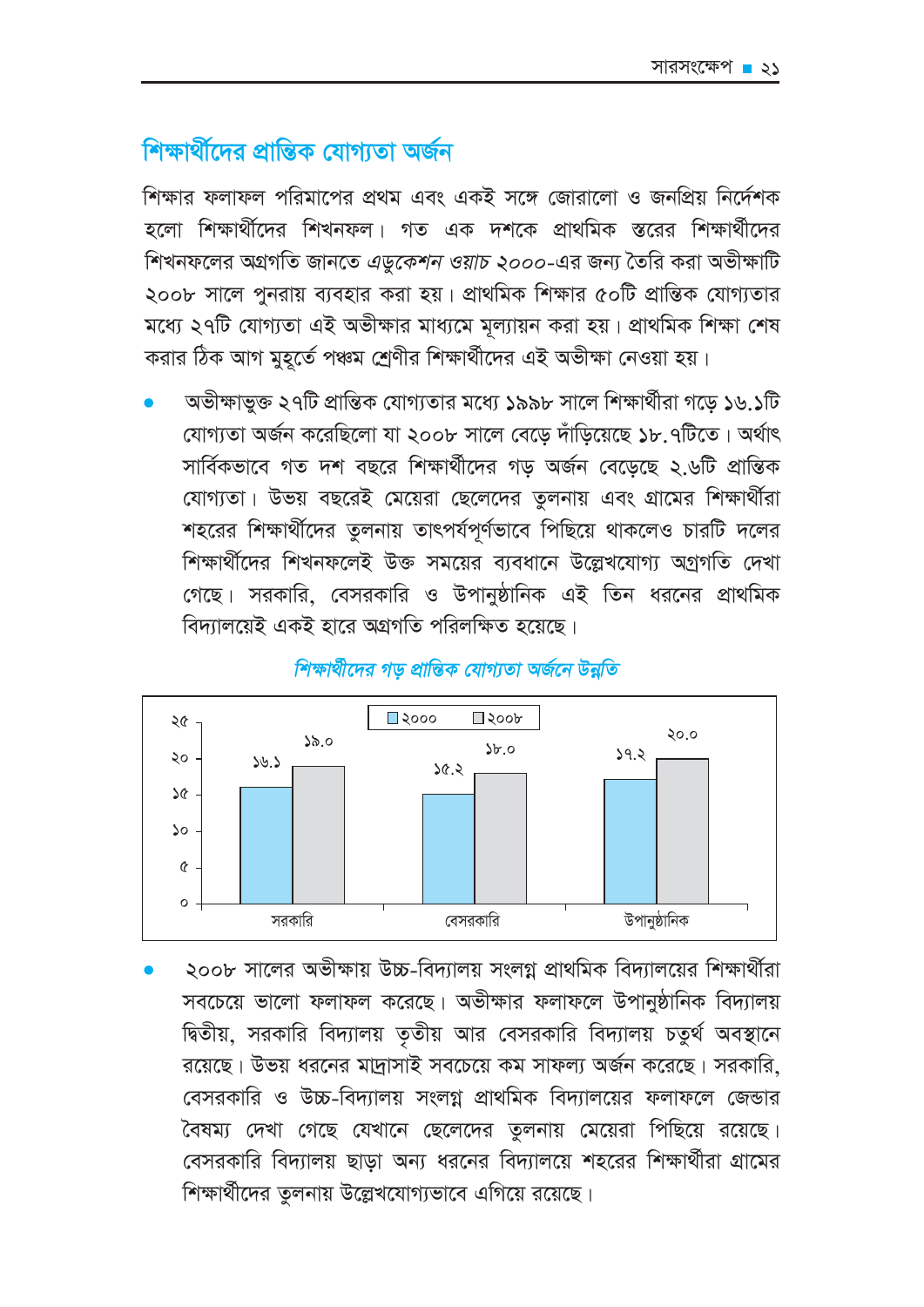# শিক্ষার্থীদের প্রান্তিক যোগাতা অর্জন

শিক্ষার ফলাফল পরিমাপের প্রথম এবং একই সঙ্গে জোরালো ও জনপ্রিয় নির্দেশক হলো শিক্ষার্থীদের শিখনফল। গত এক দশকে প্রাথমিক স্তরের শিক্ষার্থীদের শিখনফলের অগ্রগতি জানতে *এডুকেশন ওয়াচ ২০০০-*এর জন্য তৈরি করা অভীক্ষাটি ২০০৮ সালে পুনরায় ব্যবহার করা হয়। প্রাথমিক শিক্ষার ৫০টি প্রান্তিক যোগ্যতার মধ্যে ২৭টি যোগ্যতা এই অভীক্ষার মাধ্যমে মূল্যায়ন করা হয়। প্রাথমিক শিক্ষা শেষ করার ঠিক আগ মুহূর্তে পঞ্চম শ্রেণীর শিক্ষার্থীদের এই অভীক্ষা নেওয়া হয়।

অভীক্ষাভক্ত ২৭টি প্রান্তিক যোগ্যতার মধ্যে ১৯৯৮ সালে শিক্ষার্থীরা গডে ১৬.১টি যোগ্যতা অৰ্জন করেছিলো যা ২০০৮ সালে বেডে দাঁডিয়েছে ১৮.৭টিতে। অর্থাৎ সার্বিকভাবে গত দশ বছরে শিক্ষার্থীদের গড অর্জন বেডেছে ২.৬টি প্রান্তিক যোগ্যতা। উভয় বছরেই মেয়েরা ছেলেদের তুলনায় এবং গ্রামের শিক্ষার্থীরা শহরের শিক্ষার্থীদের তুলনায় তাৎপর্যপূর্ণভাবে পিছিয়ে থাকলেও চারটি দলের শিক্ষার্থীদের শিখনফলেই উক্ত সময়ের ব্যবধানে উল্লেখযোগ্য অগ্রগতি দেখা গেছে। সরকারি, বেসরকারি ও উপানুষ্ঠানিক এই তিন ধরনের প্রাথমিক বিদ্যালয়েই একই হারে অগ্রগতি পরিলক্ষিত হয়েছে।



শিক্ষার্থীদের গড প্রান্তিক যোগ্যতা অর্জনে উন্নতি

২০০৮ সালের অভীক্ষায় উচ্চ-বিদ্যালয় সংলগ্ন প্রাথমিক বিদ্যালয়ের শিক্ষার্থীরা সবচেয়ে ভালো ফলাফল করেছে। অভীক্ষার ফলাফলে উপানুষ্ঠানিক বিদ্যালয় দ্বিতীয়, সরকারি বিদ্যালয় তৃতীয় আর বেসরকারি বিদ্যালয় চতুর্থ অবস্থানে রয়েছে। উভয় ধরনের মাদ্রাসাই সবচেয়ে কম সাফল্য অর্জন করেছে। সরকারি, বেসরকারি ও উচ্চ-বিদ্যালয় সংলগ্ন প্রাথমিক বিদ্যালয়ের ফলাফলে জেন্ডার বৈষম্য দেখা গেছে যেখানে ছেলেদের তুলনায় মেয়েরা পিছিয়ে রয়েছে। বেসরকারি বিদ্যালয় ছাডা অন্য ধরনের বিদ্যালয়ে শহরের শিক্ষার্থীরা গ্রামের শিক্ষার্থীদের তুলনায় উল্লেখযোগ্যভাবে এগিয়ে রয়েছে।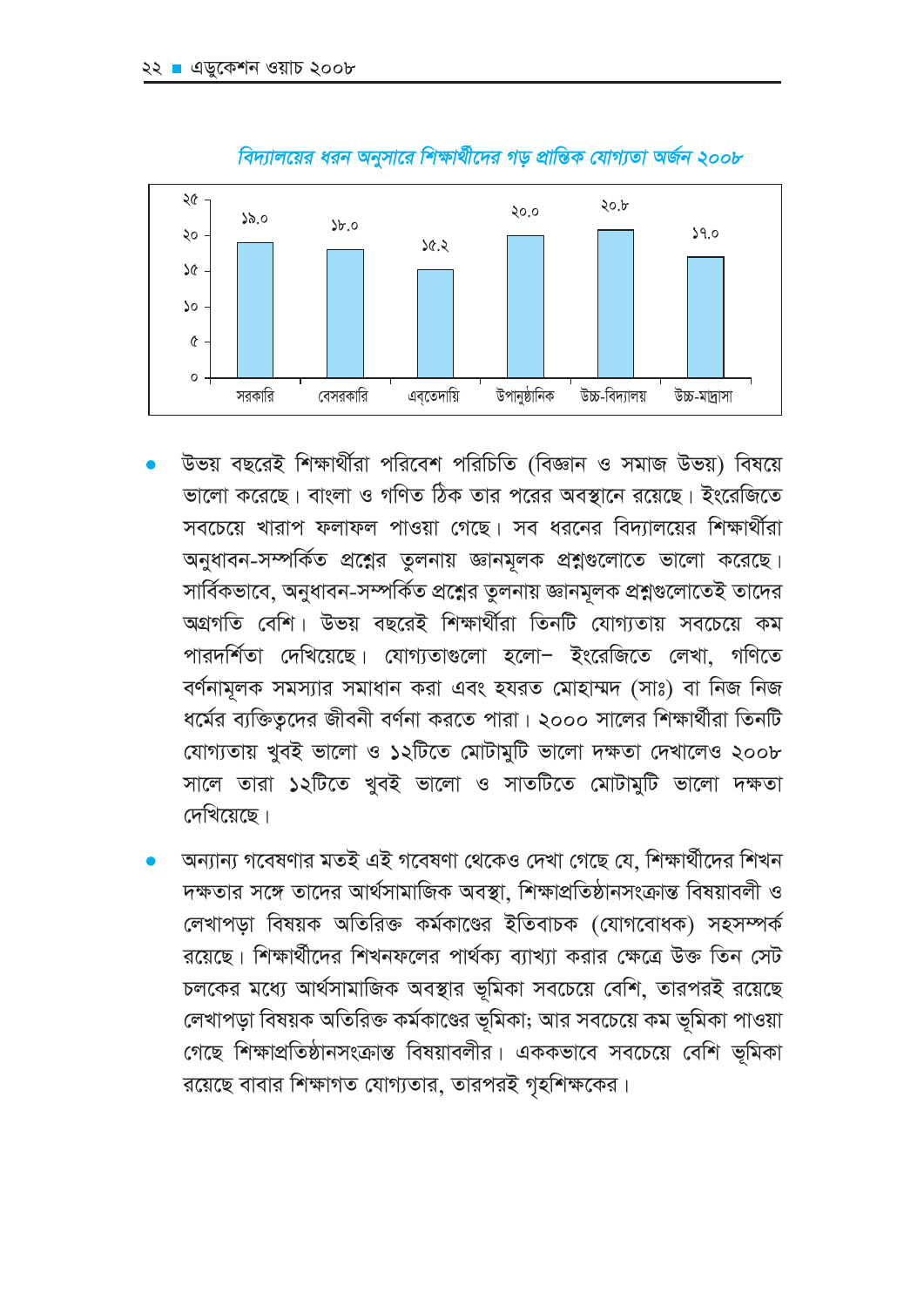

#### বিদ্যালয়ের ধরন অনুসারে শিক্ষার্থীদের গড় প্রান্তিক যোগ্যতা অর্জন ২০০৮

- উভয় বছরেই শিক্ষার্থীরা পরিবেশ পরিচিতি (বিজ্ঞান ও সমাজ উভয়) বিষয়ে ভালো করেছে। বাংলা ও গণিত ঠিক তার পরের অবস্থানে রয়েছে। ইংরেজিতে সবচেয়ে খারাপ ফলাফল পাওয়া গেছে। সব ধরনের বিদ্যালয়ের শিক্ষার্থীরা অনুধাবন-সম্পর্কিত প্রশ্নের তুলনায় জ্ঞানমূলক প্রশ্নগুলোতে ভালো করেছে। সার্বিকভাবে, অনুধাবন-সম্পর্কিত প্রশ্নের তুলনায় জ্ঞানমূলক প্রশ্নগুলোতেই তাদের অগ্রগতি বেশি। উভয় বছরেই শিক্ষার্থীরা তিনটি যোগ্যতায় সবচেয়ে কম পারদর্শিতা দেখিয়েছে। যোগ্যতাগুলো হলো– ইংরেজিতে লেখা, গণিতে বর্ণনামূলক সমস্যার সমাধান করা এবং হযরত মোহাম্মদ (সাঃ) বা নিজ নিজ ধর্মের ব্যক্তিত্বদের জীবনী বর্ণনা করতে পারা। ২০০০ সালের শিক্ষার্থীরা তিনটি যোগ্যতায় খুবই ভালো ও ১২টিতে মোটামুটি ভালো দক্ষতা দেখালেও ২০০৮ সালে তারা ১২টিতে খুবই ভালো ও সাতটিতে মোটামুটি ভালো দক্ষতা দেখিয়েছে।
- অন্যান্য গবেষণার মতই এই গবেষণা থেকেও দেখা গেছে যে, শিক্ষার্থীদের শিখন দক্ষতার সঙ্গে তাদের আর্থসামাজিক অবস্থা, শিক্ষাপ্রতিষ্ঠানসংক্রান্ত বিষয়াবলী ও লেখাপডা বিষয়ক অতিরিক্ত কর্মকাণ্ডের ইতিবাচক (যোগবোধক) সহসম্পর্ক রয়েছে। শিক্ষার্থীদের শিখনফলের পার্থক্য ব্যাখ্যা করার ক্ষেত্রে উক্ত তিন সেট চলকের মধ্যে আর্থসামাজিক অবস্থার ভূমিকা সবচেয়ে বেশি, তারপরই রয়েছে লেখাপড়া বিষয়ক অতিরিক্ত কর্মকাণ্ডের ভূমিকা; আর সবচেয়ে কম ভূমিকা পাওয়া গেছে শিক্ষাপ্রতিষ্ঠানসংক্রান্ত বিষয়াবলীর। এককভাবে সবচেয়ে বেশি ভূমিকা রয়েছে বাবার শিক্ষাগত যোগ্যতার, তারপরই গৃহশিক্ষকের।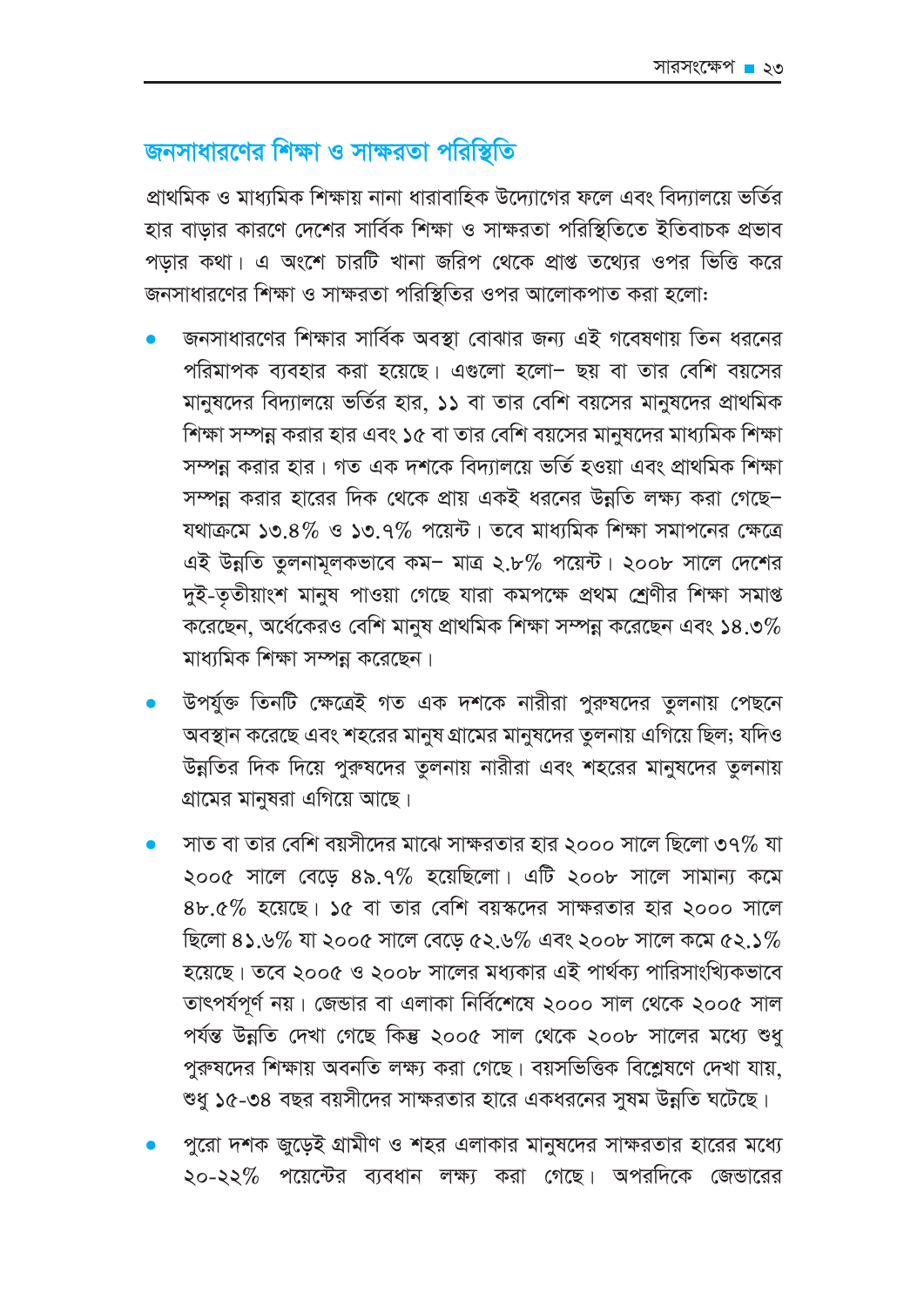# জনসাধারণের শিক্ষা ও সাক্ষরতা পরিস্থিতি

প্রাথমিক ও মাধ্যমিক শিক্ষায় নানা ধারাবাহিক উদ্যোগের ফলে এবং বিদ্যালয়ে ভর্তির হার বাডার কারণে দেশের সার্বিক শিক্ষা ও সাক্ষরতা পরিস্থিতিতে ইতিবাচক প্রভাব পডার কথা। এ অংশে চারটি খানা জরিপ থেকে প্রাপ্ত তথ্যের ওপর ভিত্তি করে জনসাধারণের শিক্ষা ও সাক্ষরতা পরিস্থিতির ওপর আলোকপাত করা হলো:

- জনসাধারণের শিক্ষার সার্বিক অবস্থা বোঝার জন্য এই গবেষণায় তিন ধরনের পরিমাপক ব্যবহার করা হয়েছে। এগুলো হলো– ছয় বা তার বেশি বয়সের মানুষদের বিদ্যালয়ে ভর্তির হার, ১১ বা তার বেশি বয়সের মানুষদের প্রাথমিক শিক্ষা সম্পন্ন করার হার এবং ১৫ বা তার বেশি বয়সের মানুষদের মাধ্যমিক শিক্ষা সম্পন্ন করার হার। গত এক দশকে বিদ্যালয়ে ভর্তি হওয়া এবং প্রাথমিক শিক্ষা সম্পন্ন করার হারের দিক থেকে প্রায় একই ধরনের উন্নতি লক্ষ্য করা গেছে– যথাক্রমে ১৩.৪% ও ১৩.৭% পয়েন্ট। তবে মাধ্যমিক শিক্ষা সমাপনের ক্ষেত্রে এই উন্নতি তুলনামূলকভাবে কম- মাত্র ২.৮% পয়েন্ট। ২০০৮ সালে দেশের দুই-তৃতীয়াংশ মানুষ পাওয়া গেছে যারা কমপক্ষে প্রথম শ্রেণীর শিক্ষা সমাপ্ত করেছেন, অর্ধেকেরও বেশি মানুষ প্রাথমিক শিক্ষা সম্পন্ন করেছেন এবং ১৪.৩% মাধ্যমিক শিক্ষা সম্পন্ন করেছেন।
- উপর্যুক্ত তিনটি ক্ষেত্রেই গত এক দশকে নারীরা পুরুষদের তুলনায় পেছনে অবস্থান করেছে এবং শহরের মানুষ গ্রামের মানুষদের তুলনায় এগিয়ে ছিল; যদিও উন্নতির দিক দিয়ে পুরুষদের তুলনায় নারীরা এবং শহরের মানুষদের তুলনায় গ্রামের মানুষরা এগিয়ে আছে।
- সাত বা তার বেশি বয়সীদের মাঝে সাক্ষরতার হার ২০০০ সালে ছিলো ৩৭% যা ২০০৫ সালে বেড়ে ৪৯.৭% হয়েছিলো। এটি ২০০৮ সালে সামান্য কমে  $8b.6\%$  হয়েছে। ১৫ বা তার বেশি বয়স্কদের সাক্ষরতার হার ২০০০ সালে ছিলো ৪১.৬% যা ২০০৫ সালে বেড়ে ৫২.৬% এবং ২০০৮ সালে কমে ৫২.১% হয়েছে। তবে ২০০৫ ও ২০০৮ সালের মধ্যকার এই পার্থক্য পারিসাংখ্যিকভাবে তাৎপর্যপূর্ণ নয়। জেন্ডার বা এলাকা নির্বিশেষে ২০০০ সাল থেকে ২০০৫ সাল পৰ্যন্ত উন্নতি দেখা গেছে কিন্তু ২০০৫ সাল থেকে ২০০৮ সালের মধ্যে শুধ পুরুষদের শিক্ষায় অবনতি লক্ষ্য করা গেছে। বয়সভিত্তিক বিশ্লেষণে দেখা যায়, শুধু ১৫-৩৪ বছর বয়সীদের সাক্ষরতার হারে একধরনের সুষম উন্নতি ঘটেছে।
- পুরো দশক জুড়েই গ্রামীণ ও শহর এলাকার মানুষদের সাক্ষরতার হারের মধ্যে ২০-২২% পয়েন্টের ব্যবধান লক্ষ্য করা গেছে। অপরদিকে জেন্ডারের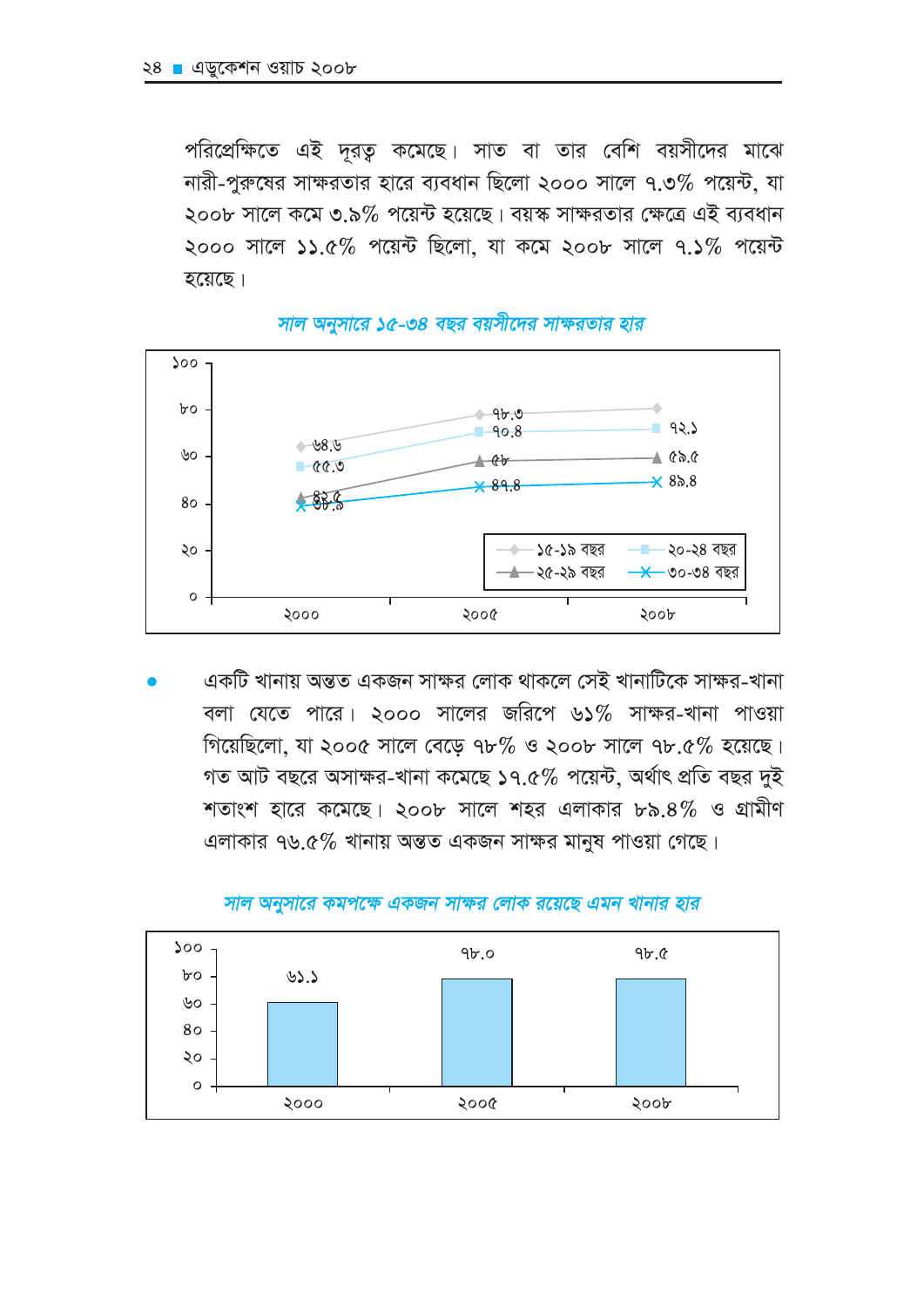পরিপ্রেক্ষিতে এই দূরত কমেছে। সাত বা তার বেশি বয়সীদের মাঝে নারী-পুরুষের সাক্ষরতার হারে ব্যবধান ছিলো ২০০০ সালে ৭.৩% পয়েন্ট, যা ২০০৮ সালে কমে ৩.৯% পয়েন্ট হয়েছে। বয়স্ক সাক্ষরতার ক্ষেত্রে এই ব্যবধান ২০০০ সালে ১১.৫% পয়েন্ট ছিলো, যা কমে ২০০৮ সালে ৭.১% পয়েন্ট হয়েছে।



সাল অনুসারে ১৫-৩৪ বছর বয়সীদের সাক্ষরতার হার

একটি খানায় অন্তত একজন সাক্ষর লোক থাকলে সেই খানাটিকে সাক্ষর-খানা বলা যেতে পারে। ২০০০ সালের জরিপে ৬১% সাক্ষর-খানা পাওয়া গিয়েছিলো, যা ২০০৫ সালে বেড়ে ৭৮% ও ২০০৮ সালে ৭৮.৫% হয়েছে। গত আট বছরে অসাক্ষর-খানা কমেছে ১৭.৫% পয়েন্ট, অর্থাৎ প্রতি বছর দুই শতাংশ হারে কমেছে। ২০০৮ সালে শহর এলাকার ৮৯.৪% ও গ্রামীণ এলাকার ৭৬.৫% খানায় অন্তত একজন সাক্ষর মানুষ পাওয়া গেছে।



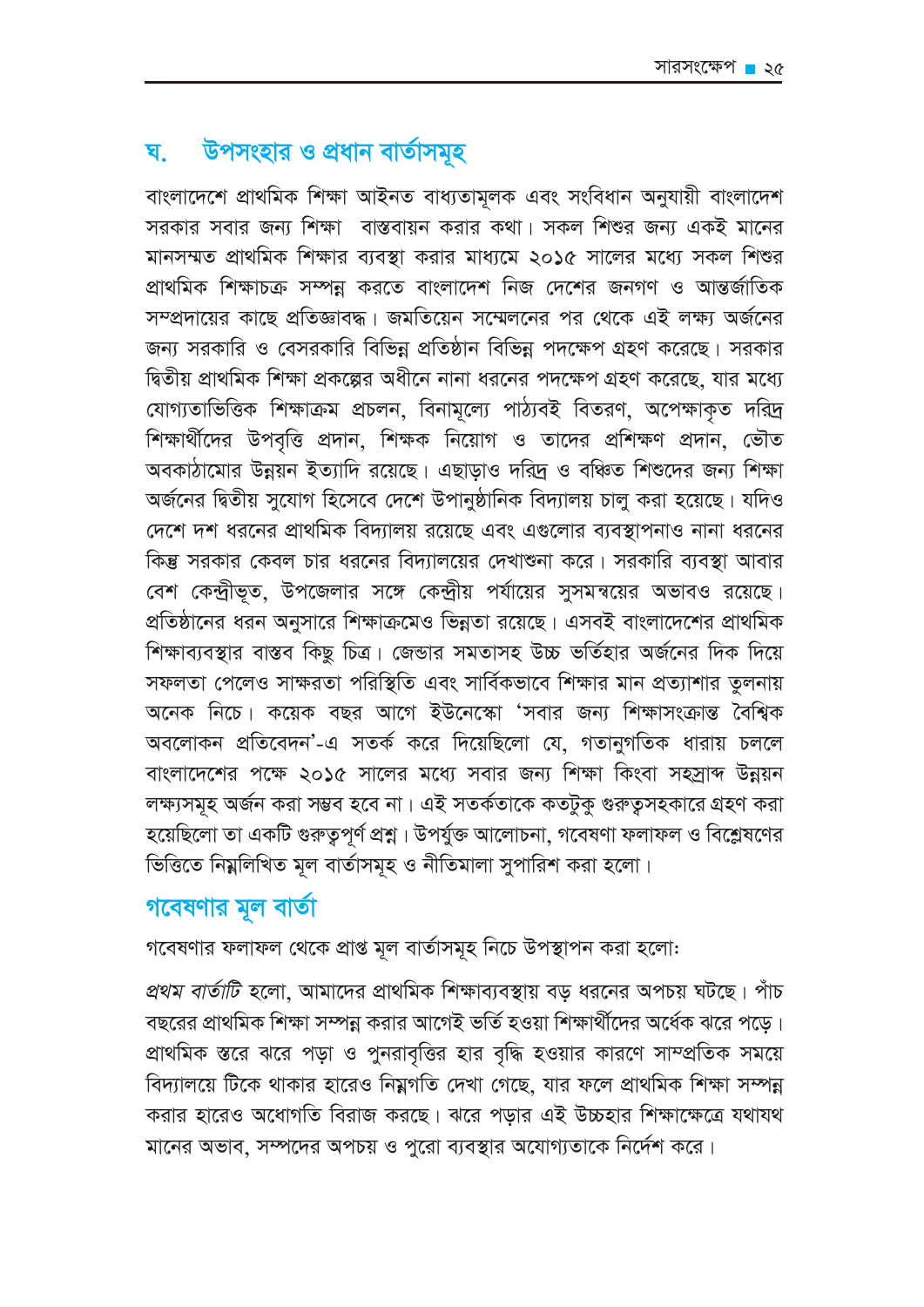#### উপসংহার ও প্রধান বার্তাসমূহ घ

বাংলাদেশে প্ৰাথমিক শিক্ষা আইনত বাধ্যতামূলক এবং সংবিধান অনুযায়ী বাংলাদেশ সরকার সবার জন্য শিক্ষা বাস্তবায়ন করার কথা। সকল শিশুর জন্য একই মানের মানসম্মত প্রাথমিক শিক্ষার ব্যবস্থা করার মাধ্যমে ২০১৫ সালের মধ্যে সকল শিশুর প্রাথমিক শিক্ষাচক্র সম্পন্ন করতে বাংলাদেশ নিজ দেশের জনগণ ও আন্তর্জাতিক সম্প্রদায়ের কাছে প্রতিজ্ঞাবদ্ধ। জমতিয়েন সম্মেলনের পর থেকে এই লক্ষ্য অর্জনের জন্য সরকারি ও বেসরকারি বিভিন্ন প্রতিষ্ঠান বিভিন্ন পদক্ষেপ গ্রহণ করেছে। সরকার দ্বিতীয় প্রাথমিক শিক্ষা প্রকল্পের অধীনে নানা ধরনের পদক্ষেপ গ্রহণ করেছে, যার মধ্যে যোগ্যতাভিত্তিক শিক্ষাক্রম প্রচলন, বিনামূল্যে পাঠ্যবই বিতরণ, অপেক্ষাকৃত দরিদ্র শিক্ষার্থীদের উপবৃত্তি প্রদান, শিক্ষক নিয়োগ ও তাদের প্রশিক্ষণ প্রদান, ভৌত অবকাঠামোর উন্নয়ন ইত্যাদি রয়েছে। এছাড়াও দরিদ্র ও বঞ্চিত শিশুদের জন্য শিক্ষা অর্জনের দ্বিতীয় সুযোগ হিসেবে দেশে উপানুষ্ঠানিক বিদ্যালয় চালু করা হয়েছে। যদিও দেশে দশ ধরনের প্রাথমিক বিদ্যালয় রয়েছে এবং এগুলোর ব্যবস্থাপনাও নানা ধরনের কিন্তু সরকার কেবল চার ধরনের বিদ্যালয়ের দেখাশুনা করে। সরকারি ব্যবস্থা আবার বেশ কেন্দ্রীভূত, উপজেলার সঙ্গে কেন্দ্রীয় পর্যায়ের সুসমন্বয়ের অভাবও রয়েছে। প্রতিষ্ঠানের ধরন অনুসারে শিক্ষাক্রমেও ভিন্নতা রয়েছে। এসবই বাংলাদেশের প্রাথমিক শিক্ষাব্যবস্থার বাস্তব কিছু চিত্র। জেন্ডার সমতাসহ উচ্চ ভর্তিহার অর্জনের দিক দিয়ে সফলতা পেলেও সাক্ষরতা পরিস্থিতি এবং সার্বিকভাবে শিক্ষার মান প্রত্যাশার তুলনায় অনেক নিচে। কয়েক বছর আগে ইউনেস্কো 'সবার জন্য শিক্ষাসংক্রান্ত বৈশ্বিক অবলোকন প্রতিবেদন'-এ সতর্ক করে দিয়েছিলো যে, গতানুগতিক ধারায় চললে বাংলাদেশের পক্ষে ২০১৫ সালের মধ্যে সবার জন্য শিক্ষা কিংবা সহস্রাব্দ উন্নয়ন লক্ষ্যসমূহ অর্জন করা সম্ভব হবে না। এই সতর্কতাকে কতটুকু গুরুত্বসহকারে গ্রহণ করা হয়েছিলো তা একটি গুরুতুপূর্ণ প্রশ্ন। উপর্যুক্ত আলোচনা, গবেষণা ফলাফল ও বিশ্লেষণের ভিত্তিতে নিম্নলিখিত মূল বাৰ্তাসমূহ ও নীতিমালা সুপারিশ করা হলো।

# গবেষণার মূল বার্তা

গবেষণার ফলাফল থেকে প্রাপ্ত মূল বার্তাসমূহ নিচে উপস্থাপন করা হলো:

*প্রথম বার্তাটি হ*লো, আমাদের প্রাথমিক শিক্ষাব্যবস্থায় বড ধরনের অপচয় ঘটছে। পাঁচ বছরের প্রাথমিক শিক্ষা সম্পন্ন করার আগেই ভর্তি হওয়া শিক্ষার্থীদের অর্ধেক ঝরে পড়ে। প্রাথমিক স্তরে ঝরে পড়া ও পুনরাবৃত্তির হার বৃদ্ধি হওয়ার কারণে সাম্প্রতিক সময়ে বিদ্যালয়ে টিকে থাকার হারেও নিম্নগতি দেখা গেছে, যার ফলে প্রাথমিক শিক্ষা সম্পন্ন করার হারেও অধোগতি বিরাজ করছে। ঝরে পড়ার এই উচ্চহার শিক্ষাক্ষেত্রে যথাযথ মানের অভাব, সম্পদের অপচয় ও পুরো ব্যবস্থার অযোগ্যতাকে নির্দেশ করে।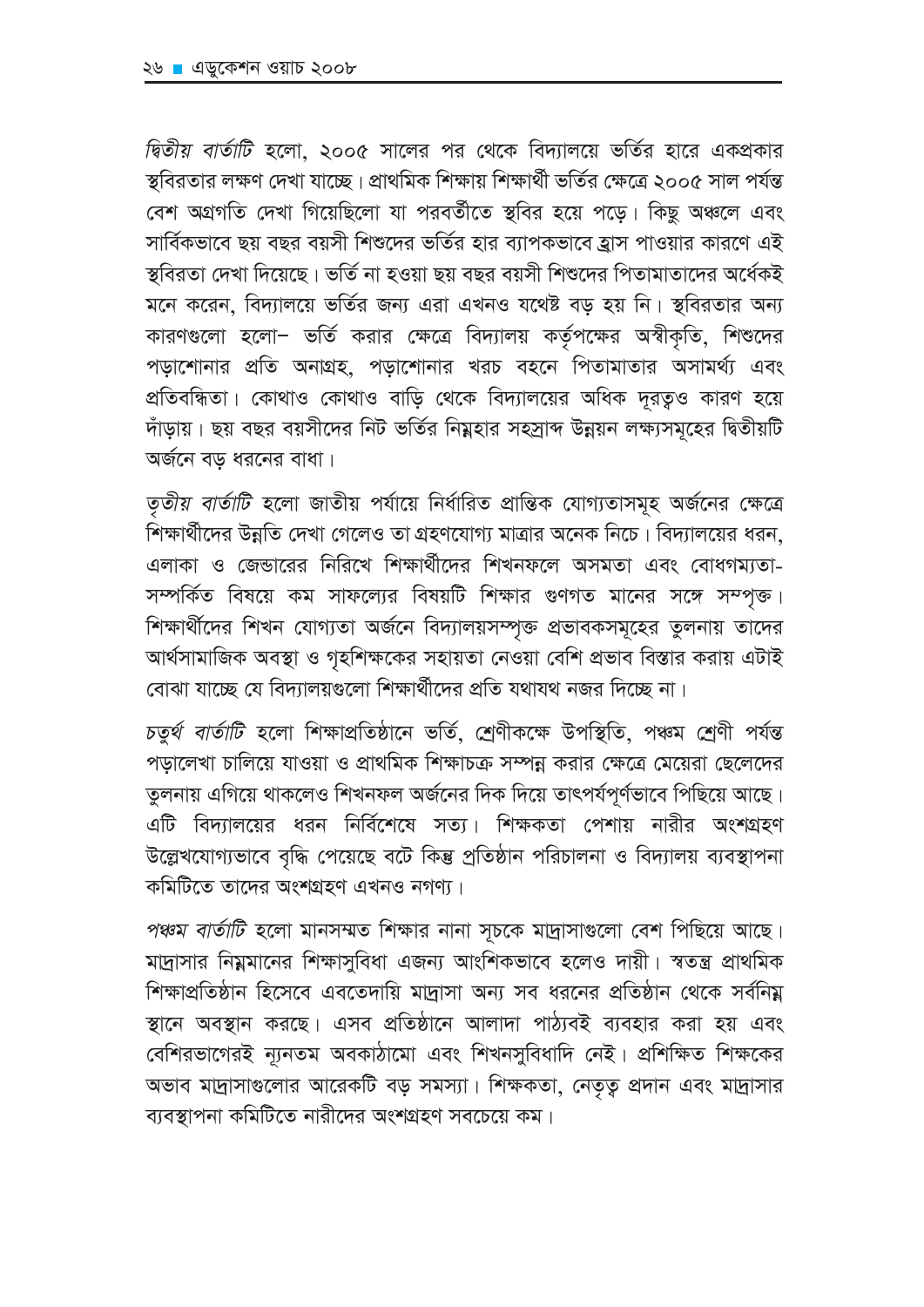দ্বিতীয় বার্তাটি হলো, ২০০৫ সালের পর থেকে বিদ্যালয়ে ভর্তির হারে একপ্রকার স্থবিরতার লক্ষণ দেখা যাচ্ছে। প্রাথমিক শিক্ষায় শিক্ষার্থী ভর্তির ক্ষেত্রে ২০০৫ সাল পর্যন্ত বেশ অগ্রগতি দেখা গিয়েছিলো যা পরবর্তীতে স্থবির হয়ে পড়ে। কিছু অঞ্চলে এবং সার্বিকভাবে ছয় বছর বয়সী শিশুদের ভর্তির হার ব্যাপকভাবে হ্রাস পাওয়ার কারণে এই স্থবিরতা দেখা দিয়েছে। ভর্তি না হওয়া ছয় বছর বয়সী শিশুদের পিতামাতাদের অর্ধেকই মনে করেন, বিদ্যালয়ে ভর্তির জন্য এরা এখনও যথেষ্ট বড় হয় নি। স্থবিরতার অন্য কারণগুলো হলো– ভর্তি করার ক্ষেত্রে বিদ্যালয় কর্তৃপক্ষের অস্বীকৃতি, শিশুদের পড়াশোনার প্রতি অনাগ্রহ, পড়াশোনার খরচ বহনে পিতামাতার অসামর্থ্য এবং প্রতিবন্ধিতা। কোথাও কোথাও বাড়ি থেকে বিদ্যালয়ের অধিক দূরতূও কারণ হয়ে দাঁড়ায়। ছয় বছর বয়সীদের নিট ভর্তির নিম্নহার সহস্রাব্দ উন্নয়ন লক্ষ্যসমূহের দ্বিতীয়টি অৰ্জনে বড ধরনের বাধা।

তৃতীয় বার্তাটি হলো জাতীয় পর্যায়ে নির্ধারিত প্রান্তিক যোগ্যতাসমূহ অর্জনের ক্ষেত্রে শিক্ষার্থীদের উন্নতি দেখা গেলেও তা গ্রহণযোগ্য মাত্রার অনেক নিচে। বিদ্যালয়ের ধরন, এলাকা ও জেন্ডারের নিরিখে শিক্ষার্থীদের শিখনফলে অসমতা এবং বোধগম্যতা-সম্পর্কিত বিষয়ে কম সাফল্যের বিষয়টি শিক্ষার গুণগত মানের সঙ্গে সম্পৃক্ত। শিক্ষার্থীদের শিখন যোগ্যতা অর্জনে বিদ্যালয়সম্পৃক্ত প্রভাবকসমূহের তুলনায় তাদের আর্থসামাজিক অবস্থা ও গৃহশিক্ষকের সহায়তা নেওয়া বেশি প্রভাব বিস্তার করায় এটাই বোঝা যাচ্ছে যে বিদ্যালয়গুলো শিক্ষার্থীদের প্রতি যথাযথ নজর দিচ্ছে না।

চতুৰ্থ বাৰ্তাটি হলো শিক্ষাপ্ৰতিষ্ঠানে ভৰ্তি, শ্ৰেণীকক্ষে উপস্থিতি, পঞ্চম শ্ৰেণী পৰ্যন্ত পড়ালেখা চালিয়ে যাওয়া ও প্রাথমিক শিক্ষাচক্র সম্পন্ন করার ক্ষেত্রে মেয়েরা ছেলেদের তুলনায় এগিয়ে থাকলেও শিখনফল অর্জনের দিক দিয়ে তাৎপর্যপূর্ণভাবে পিছিয়ে আছে। এটি বিদ্যালয়ের ধরন নির্বিশেষে সত্য। শিক্ষকতা পেশায় নারীর অংশগ্রহণ উল্লেখযোগ্যভাবে বৃদ্ধি পেয়েছে বটে কিন্তু প্রতিষ্ঠান পরিচালনা ও বিদ্যালয় ব্যবস্থাপনা কমিটিতে তাদের অংশগ্রহণ এখনও নগণ্য।

পঞ্চম বার্তাটি হলো মানসম্মত শিক্ষার নানা সূচকে মাদ্রাসাগুলো বেশ পিছিয়ে আছে। মাদ্রাসার নিম্নমানের শিক্ষাসুবিধা এজন্য আংশিকভাবে হলেও দায়ী। স্বতন্ত্র প্রাথমিক শিক্ষাপ্রতিষ্ঠান হিসেবে এবতেদায়ি মাদ্রাসা অন্য সব ধরনের প্রতিষ্ঠান থেকে সর্বনিয় স্থানে অবস্থান করছে। এসব প্রতিষ্ঠানে আলাদা পাঠ্যবই ব্যবহার করা হয় এবং বেশিরভাগেরই ন্যূনতম অবকাঠামো এবং শিখনসুবিধাদি নেই। প্রশিক্ষিত শিক্ষকের অভাব মাদ্রাসাগুলোর আরেকটি বড় সমস্যা। শিক্ষকতা, নেতৃত্ব প্রদান এবং মাদ্রাসার ব্যবস্থাপনা কমিটিতে নারীদের অংশগ্রহণ সবচেয়ে কম।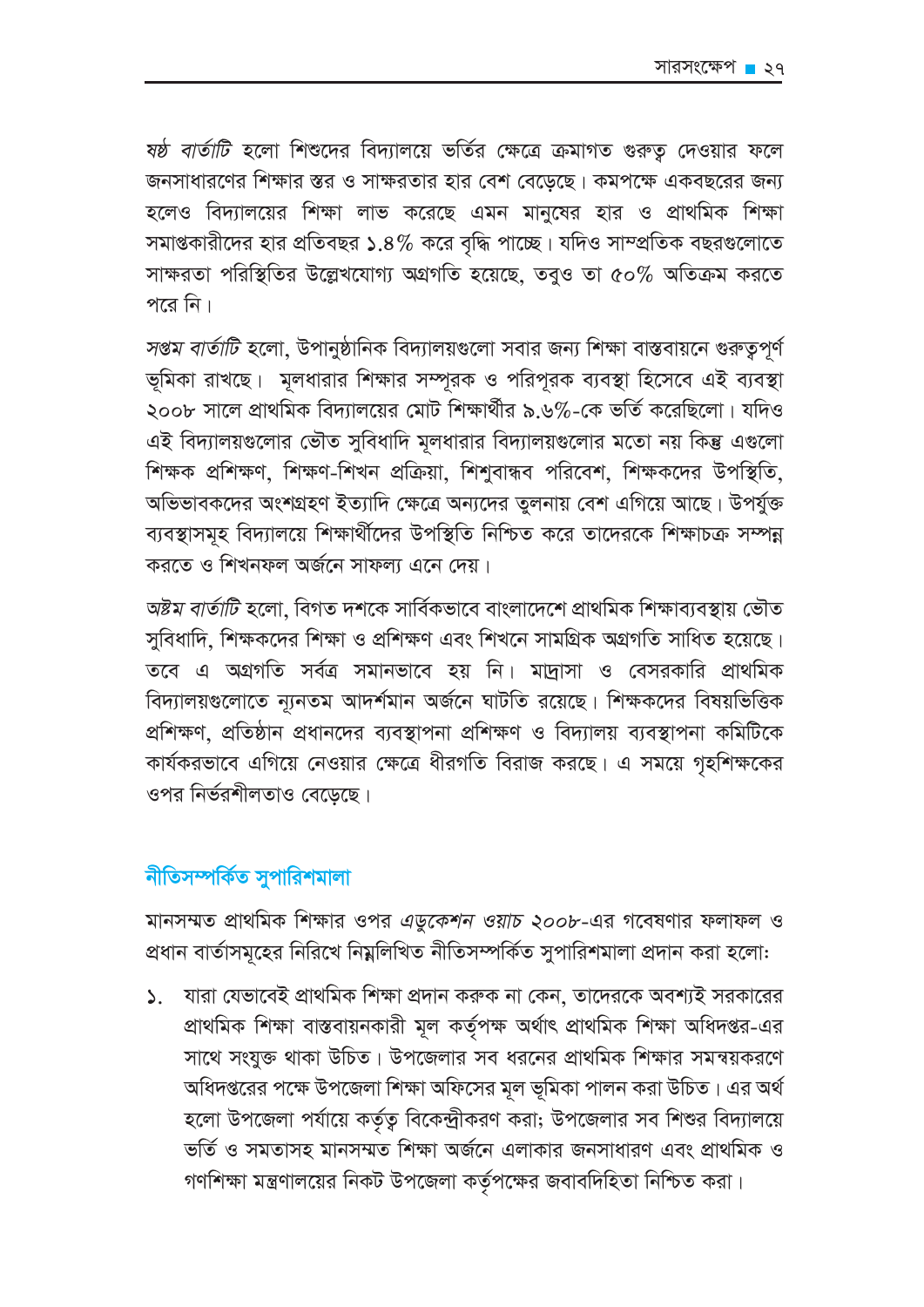*ষষ্ঠ বার্তাটি* হলো শিশুদের বিদ্যালয়ে ভর্তির ক্ষেত্রে ক্রমাগত গুরুতু দেওয়ার ফলে জনসাধারণের শিক্ষার স্তর ও সাক্ষরতার হার বেশ বেডেছে। কমপক্ষে একবছরের জন্য হলেও বিদ্যালয়ের শিক্ষা লাভ করেছে এমন মানুষের হার ও প্রাথমিক শিক্ষা সমাপ্তকারীদের হার প্রতিবছর ১.৪% করে বৃদ্ধি পাচ্ছে। যদিও সাম্প্রতিক বছরগুলোতে সাক্ষরতা পরিস্থিতির উল্লেখযোগ্য অগ্রগতি হয়েছে, তবুও তা ৫০% অতিক্রম করতে পরে নি।

সপ্তম বার্তাটি হলো, উপানুষ্ঠানিক বিদ্যালয়গুলো সবার জন্য শিক্ষা বাস্তবায়নে গুরুতুপূর্ণ ভূমিকা রাখছে। মূলধারার শিক্ষার সম্পূরক ও পরিপূরক ব্যবস্থা হিসেবে এই ব্যবস্থা ২০০৮ সালে প্রাথমিক বিদ্যালয়ের মোট শিক্ষার্থীর ৯.৬%-কে ভর্তি করেছিলো। যদিও এই বিদ্যালয়গুলোর ভৌত সুবিধাদি মূলধারার বিদ্যালয়গুলোর মতো নয় কিন্তু এগুলো শিক্ষক প্রশিক্ষণ, শিক্ষণ-শিখন প্রক্রিয়া, শিশুবান্ধব পরিবেশ, শিক্ষকদের উপস্থিতি, অভিভাবকদের অংশগ্রহণ ইত্যাদি ক্ষেত্রে অন্যদের তুলনায় বেশ এগিয়ে আছে। উপর্যুক্ত ব্যবস্থাসমহ বিদ্যালয়ে শিক্ষার্থীদের উপস্থিতি নিশ্চিত করে তাদেরকে শিক্ষাচক্র সম্পন্ন করতে ও শিখনফল অর্জনে সাফল্য এনে দেয়।

*অষ্টম বাৰ্তাটি হ*লো, বিগত দশকে সাৰ্বিকভাবে বাংলাদেশে প্ৰাথমিক শিক্ষাব্যবস্থায় ভৌত সুবিধাদি, শিক্ষকদের শিক্ষা ও প্রশিক্ষণ এবং শিখনে সামগ্রিক অগ্রগতি সাধিত হয়েছে। তবে এ অগ্রগতি সর্বত্র সমানভাবে হয় নি। মাদাসা ও বেসরকারি প্রাথমিক বিদ্যালয়গুলোতে ন্যূনতম আদর্শমান অর্জনে ঘাটতি রয়েছে। শিক্ষকদের বিষয়ভিত্তিক প্রশিক্ষণ, প্রতিষ্ঠান প্রধানদের ব্যবস্থাপনা প্রশিক্ষণ ও বিদ্যালয় ব্যবস্থাপনা কমিটিকে কার্যকরভাবে এগিয়ে নেওয়ার ক্ষেত্রে ধীরগতি বিরাজ করছে। এ সময়ে গৃহশিক্ষকের ওপর নির্ভরশীলতাও বেডেছে।

### নীতিসম্পর্কিত সুপারিশমালা

মানসম্মত প্রাথমিক শিক্ষার ওপর *এডুকেশন ওয়াচ ২০০৮-*এর গবেষণার ফলাফল ও প্রধান বার্তাসমূহের নিরিখে নিম্নলিখিত নীতিসম্পর্কিত সুপারিশমালা প্রদান করা হলো:

যারা যেভাবেই প্রাথমিক শিক্ষা প্রদান করুক না কেন, তাদেরকে অবশ্যই সরকারের  $\mathcal{L}$ . প্ৰাথমিক শিক্ষা বাস্তবায়নকারী মূল কর্তৃপক্ষ অর্থাৎ প্রাথমিক শিক্ষা অধিদপ্তর-এর সাথে সংযুক্ত থাকা উচিত। উপজেলার সব ধরনের প্রাথমিক শিক্ষার সমন্বয়করণে অধিদপ্তরের পক্ষে উপজেলা শিক্ষা অফিসের মূল ভূমিকা পালন করা উচিত। এর অর্থ হলো উপজেলা পর্যায়ে কর্তৃত্ব বিকেন্দ্রীকরণ করা; উপজেলার সব শিশুর বিদ্যালয়ে ভৰ্তি ও সমতাসহ মানসম্মত শিক্ষা অৰ্জনে এলাকার জনসাধারণ এবং প্রাথমিক ও গণশিক্ষা মন্ত্রণালয়ের নিকট উপজেলা কর্তৃপক্ষের জবাবদিহিতা নিশ্চিত করা।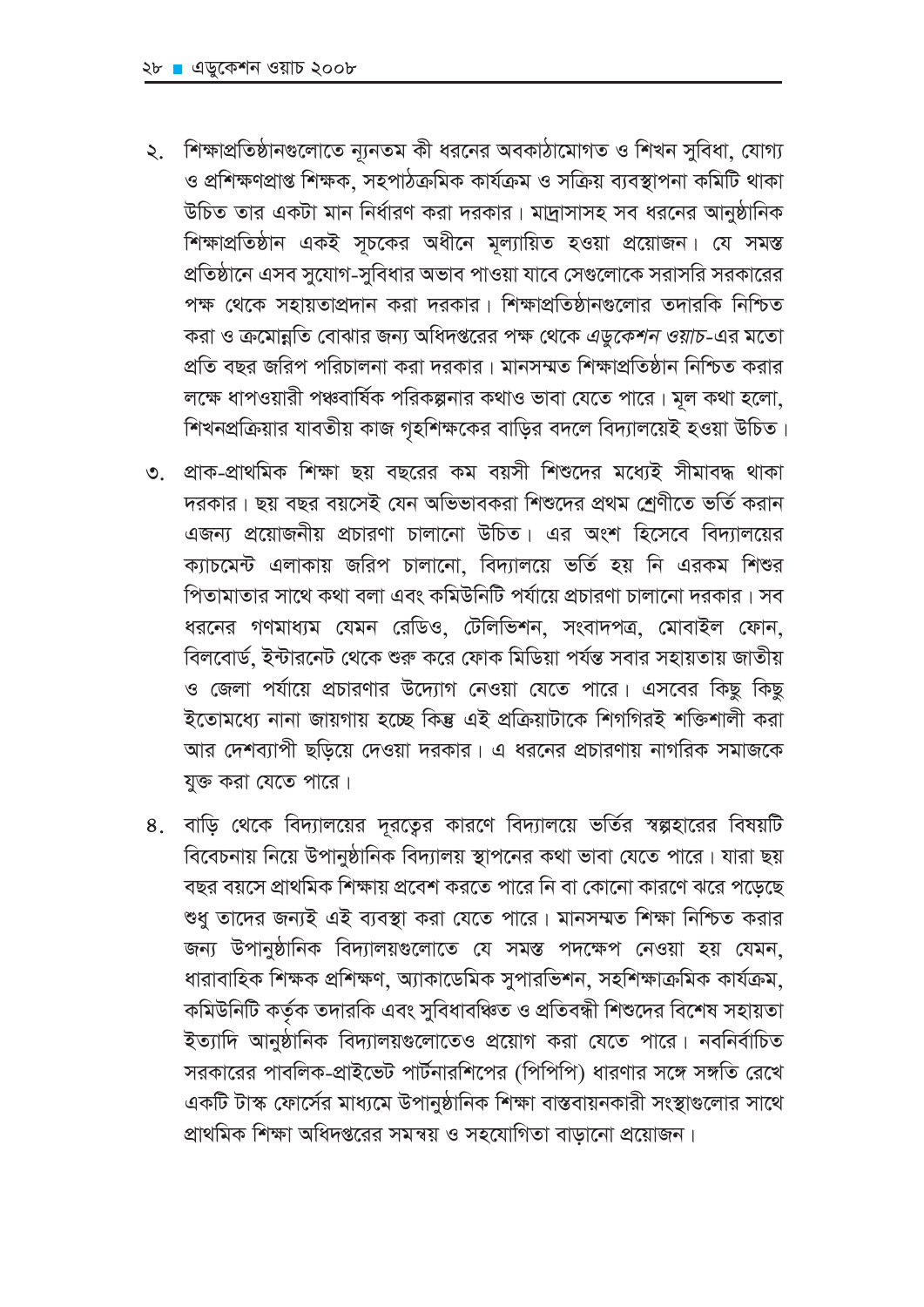- ২. শিক্ষাপ্রতিষ্ঠানগুলোতে ন্যূনতম কী ধরনের অবকাঠামোগত ও শিখন সুবিধা, যোগ্য ও প্রশিক্ষণপ্রাপ্ত শিক্ষক, সহপাঠক্রমিক কার্যক্রম ও সক্রিয় ব্যবস্থাপনা কমিটি থাকা উচিত তার একটা মান নির্ধারণ করা দরকার। মাদ্রাসাসহ সব ধরনের আনুষ্ঠানিক শিক্ষাপ্রতিষ্ঠান একই সূচকের অধীনে মূল্যায়িত হওয়া প্রয়োজন। যে সমস্ত প্রতিষ্ঠানে এসব সুযোগ-সুবিধার অভাব পাওয়া যাবে সেগুলোকে সরাসরি সরকারের পক্ষ থেকে সহায়তাপ্রদান করা দরকার। শিক্ষাপ্রতিষ্ঠানগুলোর তদারকি নিশ্চিত করা ও ক্রমোন্নতি বোঝার জন্য অধিদপ্তরের পক্ষ থেকে *এডুকেশন ওয়াচ-*এর মতো প্রতি বছর জরিপ পরিচালনা করা দরকার। মানসম্মত শিক্ষাপ্রতিষ্ঠান নিশ্চিত করার লক্ষে ধাপওয়ারী পঞ্চবার্ষিক পরিকল্পনার কথাও ভাবা যেতে পারে। মূল কথা হলো, শিখনপ্রক্রিয়ার যাবতীয় কাজ গৃহশিক্ষকের বাড়ির বদলে বিদ্যালয়েই হওয়া উচিত।
- ৩. প্রাক-প্রাথমিক শিক্ষা ছয় বছরের কম বয়সী শিশুদের মধ্যেই সীমাবদ্ধ থাকা দরকার। ছয় বছর বয়সেই যেন অভিভাবকরা শিশুদের প্রথম শ্রেণীতে ভর্তি করান এজন্য প্রয়োজনীয় প্রচারণা চালানো উচিত। এর অংশ হিসেবে বিদ্যালয়ের ক্যাচমেন্ট এলাকায় জরিপ চালানো, বিদ্যালয়ে ভর্তি হয় নি এরকম শিশুর পিতামাতার সাথে কথা বলা এবং কমিউনিটি পর্যায়ে প্রচারণা চালানো দরকার। সব ধরনের গণমাধ্যম যেমন রেডিও, টেলিভিশন, সংবাদপত্র, মোবাইল ফোন, বিলবোর্ড, ইন্টারনেট থেকে শুরু করে ফোক মিডিয়া পর্যন্ত সবার সহায়তায় জাতীয় ও জেলা পর্যায়ে প্রচারণার উদ্যোগ নেওয়া যেতে পারে। এসবের কিছু কিছু ইতোমধ্যে নানা জায়গায় হচ্ছে কিন্তু এই প্রক্রিয়াটাকে শিগগিরই শক্তিশালী করা আর দেশব্যাপী ছড়িয়ে দেওয়া দরকার। এ ধরনের প্রচারণায় নাগরিক সমাজকে যুক্ত করা যেতে পারে।
- বাড়ি থেকে বিদ্যালয়ের দূরত্বের কারণে বিদ্যালয়ে ভর্তির স্বল্পহারের বিষয়টি 8. বিবেচনায় নিয়ে উপানুষ্ঠানিক বিদ্যালয় স্থাপনের কথা ভাবা যেতে পারে। যারা ছয় বছর বয়সে প্রাথমিক শিক্ষায় প্রবেশ করতে পারে নি বা কোনো কারণে ঝরে পডেছে শুধু তাদের জন্যই এই ব্যবস্থা করা যেতে পারে। মানসম্মত শিক্ষা নিশ্চিত করার জন্য উপানুষ্ঠানিক বিদ্যালয়গুলোতে যে সমস্ত পদক্ষেপ নেওয়া হয় যেমন. ধারাবাহিক শিক্ষক প্রশিক্ষণ, অ্যাকাডেমিক সুপারভিশন, সহশিক্ষাক্রমিক কার্যক্রম, কমিউনিটি কর্তৃক তদারকি এবং সুবিধাবঞ্চিত ও প্রতিবন্ধী শিশুদের বিশেষ সহায়তা ইত্যাদি আনুষ্ঠানিক বিদ্যালয়গুলোতেও প্রয়োগ করা যেতে পারে। নবনির্বাচিত সরকারের পাবলিক-প্রাইভেট পার্টনারশিপের (পিপিপি) ধারণার সঙ্গে সঙ্গতি রেখে একটি টাস্ক ফোর্সের মাধ্যমে উপানুষ্ঠানিক শিক্ষা বাস্তবায়নকারী সংস্থাগুলোর সাথে প্রাথমিক শিক্ষা অধিদপ্তরের সমন্বয় ও সহযোগিতা বাডানো প্রয়োজন।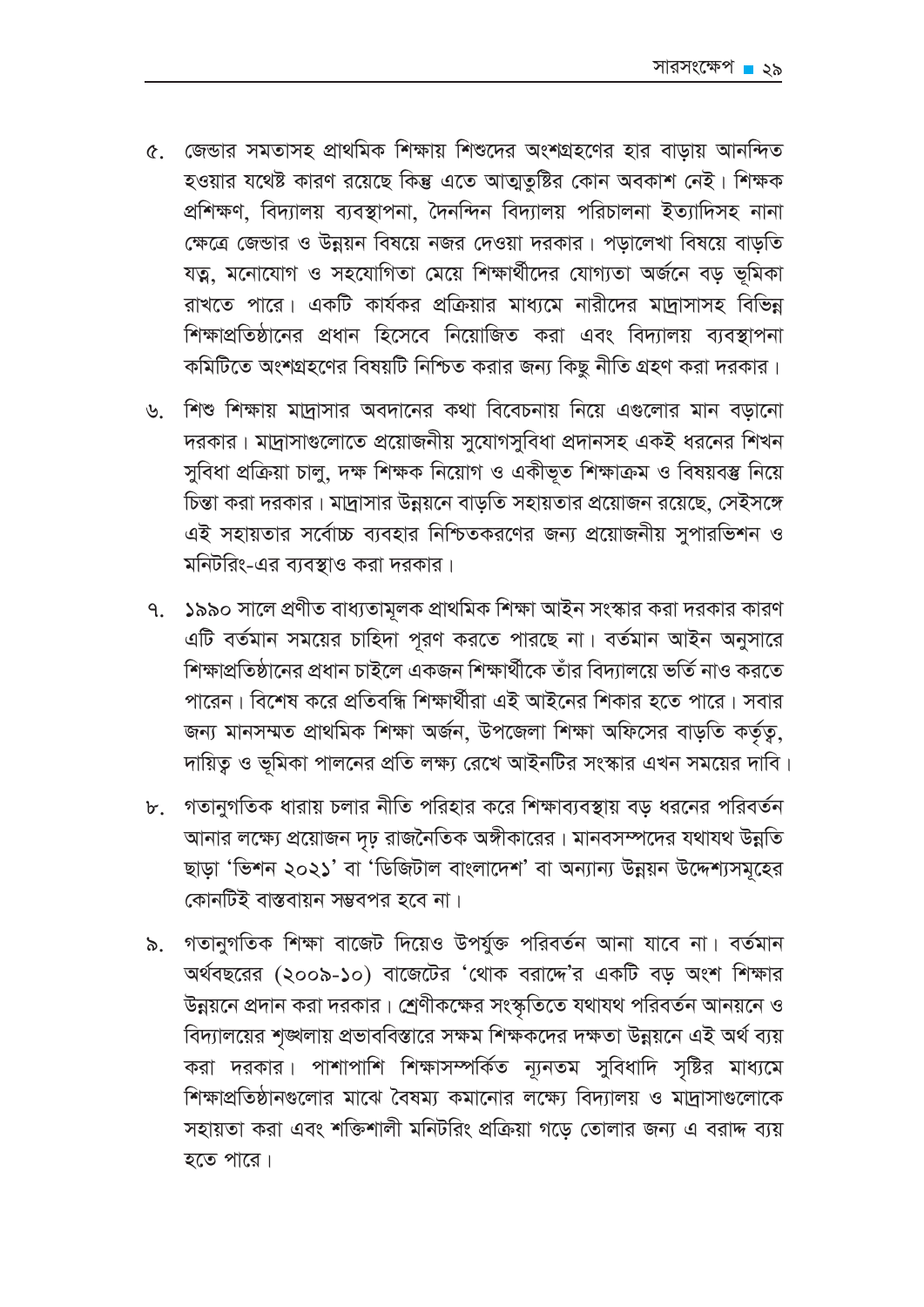- ৫. জেন্ডার সমতাসহ প্রাথমিক শিক্ষায় শিশুদের অংশগ্রহণের হার বাডায় আনন্দিত হওয়ার যথেষ্ট কারণ রয়েছে কিন্তু এতে আত্মতুষ্টির কোন অবকাশ নেই। শিক্ষক প্ৰশিক্ষণ, বিদ্যালয় ব্যবস্থাপনা, দৈনন্দিন বিদ্যালয় পরিচালনা ইত্যাদিসহ নানা ক্ষেত্রে জেন্ডার ও উন্নয়ন বিষয়ে নজর দেওয়া দরকার। পড়ালেখা বিষয়ে বাড়তি যত্ন, মনোযোগ ও সহযোগিতা মেয়ে শিক্ষার্থীদের যোগ্যতা অর্জনে বড় ভূমিকা রাখতে পারে। একটি কার্যকর প্রক্রিয়ার মাধ্যমে নারীদের মাদ্রাসাসহ বিভিন্ন শিক্ষাপ্রতিষ্ঠানের প্রধান হিসেবে নিয়োজিত করা এবং বিদ্যালয় ব্যবস্থাপনা কমিটিতে অংশগ্রহণের বিষয়টি নিশ্চিত করার জন্য কিছু নীতি গ্রহণ করা দরকার।
- ৬. শিশু শিক্ষায় মাদ্রাসার অবদানের কথা বিবেচনায় নিয়ে এগুলোর মান বড়ানো দরকার। মাদ্রাসাগুলোতে প্রয়োজনীয় সুযোগসুবিধা প্রদানসহ একই ধরনের শিখন সুবিধা প্রক্রিয়া চালু, দক্ষ শিক্ষক নিয়োগ ও একীভূত শিক্ষাক্রম ও বিষয়বস্তু নিয়ে চিন্তা করা দরকার। মাদ্রাসার উন্নয়নে বাড়তি সহায়তার প্রয়োজন রয়েছে, সেইসঙ্গে এই সহায়তার সর্বোচ্চ ব্যবহার নিশ্চিতকরণের জন্য প্রয়োজনীয় সুপারভিশন ও মনিটরিং-এর ব্যবস্থাও করা দরকার।
- ৭. ১৯৯০ সালে প্রণীত বাধ্যতামূলক প্রাথমিক শিক্ষা আইন সংস্কার করা দরকার কারণ এটি বর্তমান সময়ের চাহিদা পূরণ করতে পারছে না। বর্তমান আইন অনুসারে শিক্ষাপ্রতিষ্ঠানের প্রধান চাইলে একজন শিক্ষার্থীকে তাঁর বিদ্যালয়ে ভর্তি নাও করতে পারেন। বিশেষ করে প্রতিবন্ধি শিক্ষার্থীরা এই আইনের শিকার হতে পারে। সবার জন্য মানসম্মত প্রাথমিক শিক্ষা অর্জন, উপজেলা শিক্ষা অফিসের বাড়তি কর্তৃতু, দায়িত্ব ও ভূমিকা পালনের প্রতি লক্ষ্য রেখে আইনটির সংস্কার এখন সময়ের দাবি।
- ৮. গতানুগতিক ধারায় চলার নীতি পরিহার করে শিক্ষাব্যবস্থায় বড় ধরনের পরিবর্তন আনার লক্ষ্যে প্রয়োজন দৃঢ় রাজনৈতিক অঙ্গীকারের। মানবসম্পদের যথাযথ উন্নতি ছাড়া 'ভিশন ২০২১' বা 'ডিজিটাল বাংলাদেশ' বা অন্যান্য উন্নয়ন উদ্দেশ্যসমূহের কোনটিই বাস্তবায়ন সম্ভবপর হবে না।
- ৯. গতানুগতিক শিক্ষা বাজেট দিয়েও উপর্যুক্ত পরিবর্তন আনা যাবে না। বর্তমান অর্থবছরের (২০০৯-১০) বাজেটের 'থোক বরাদ্দে'র একটি বড অংশ শিক্ষার উন্নয়নে প্রদান করা দরকার। শ্রেণীকক্ষের সংস্কৃতিতে যথাযথ পরিবর্তন আনয়নে ও বিদ্যালয়ের শৃঙ্খলায় প্রভাববিস্তারে সক্ষম শিক্ষকদের দক্ষতা উন্নয়নে এই অর্থ ব্যয় করা দরকার। পাশাপাশি শিক্ষাসম্পর্কিত ন্যূনতম সুবিধাদি সৃষ্টির মাধ্যমে শিক্ষাপ্রতিষ্ঠানগুলোর মাঝে বৈষম্য কমানোর লক্ষ্যে বিদ্যালয় ও মাদাসাগুলোকে সহায়তা করা এবং শক্তিশালী মনিটরিং প্রক্রিয়া গডে তোলার জন্য এ বরাদ্দ ব্যয় হতে পারে।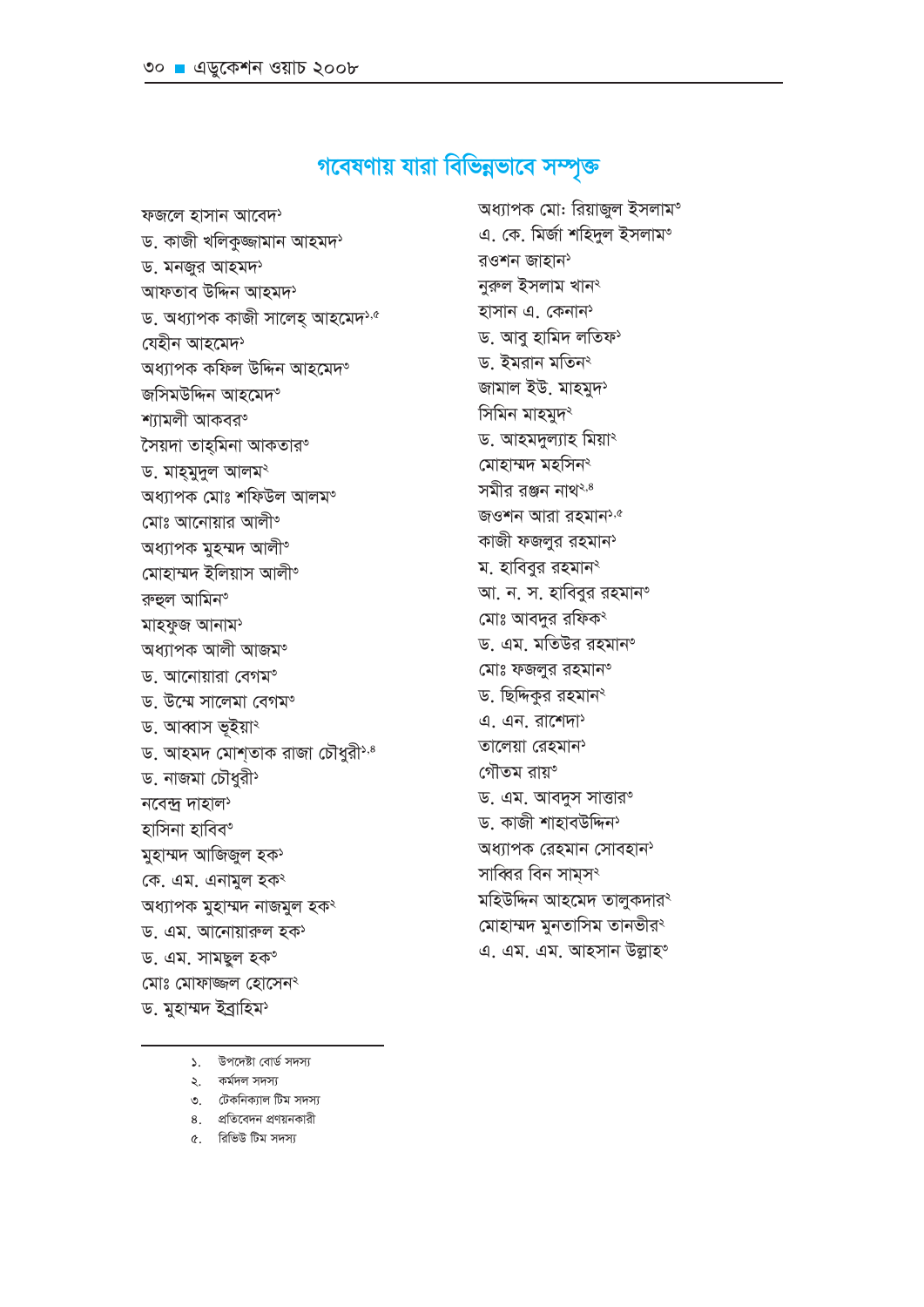- ৫. রিভিউ টিম সদস্য
- ৪. প্রতিবেদন প্রণয়নকারী
- ৩. টেকনিক্যাল টিম সদস্য
- 
- ১. উপদেষ্টা বোর্ড সদস্য
- 
- ২. কৰ্মদল সদস্য
- 
- 
- 
- 
- 

মোঃ মোফাজ্জল হোসেন<sup>২</sup> ড. মুহাম্মদ ইব্ৰাহিম<sup>্</sup>

- মুহাম্মদ আজিজুল হক<sup>)</sup> কে. এম. এনামুল হক<sup>ং</sup> অধ্যাপক মুহাম্মদ নাজমুল হক<sup>২</sup> ড. এম. আনোয়ারুল হক ড. এম. সামছুল হক°
- হাসিনা হাবিব°
- 
- নবেন্দ্ৰ দাহাল<sup>১</sup>
- ড. আহমদ মোশতাক রাজা চৌধুরী<sup>১,৪</sup> ড. নাজমা চৌধুরী
- ড. আব্বাস ভূইয়া<sup>ং</sup>
- ড. উম্মে সালেমা বেগম°
- ড. আনোয়ারা বেগম°
- অধ্যাপক আলী আজম°
- রুহুল আমিন° মাহফুজ আনাম<sup>5</sup>
- মোহাম্মদ ইলিয়াস আলী°
- অধ্যাপক মুহম্মদ আলী°
- অধ্যাপক মোঃ শফিউল আলম° মোঃ আনোয়ার আলী°
- ড. মাহমুদুল আলমং
- সৈয়দা তাহ্মিনা আকতার°
- শ্যামলী আকবর°
- অধ্যাপক কফিল উদ্দিন আহমেদ° জসিমউদ্দিন আহমেদ°
- যেহীন আহমেদ<sup>১</sup>
- আফতাব উদ্দিন আহমদ<sup>১</sup> ড. অধ্যাপক কাজী সালেহ আহমেদ<sup>১,৫</sup>
- ড. মনজুর আহমদ<sup>১</sup>
- ড. কাজী খলিকুজ্জামান আহমদ<sup>›</sup>
- 
- ফজলে হাসান আবেদ<sup>১</sup>
- অধ্যাপক মো: রিয়াজুল ইসলাম° এ. কে. মিৰ্জা শহিদুল ইসলাম°

রওশন জাহান

নুরুল ইসলাম খান<sup>২</sup>

হাসান এ. কেনান<sup>্</sup>

ড. ইমরান মতিন<sup>্</sup>

সিমিন মাহমুদ<sup>২</sup>

জামাল ইউ. মাহমুদ<sup>১</sup>

ড. আহমদুল্যাহ মিয়া<sup>২</sup>

জওশন আরা রহমান<sup>১,৫</sup>

কাজী ফজলুর রহমান<sup>্</sup>

আ. ন. স. হাবিবুর রহমান°

ড. এম. মতিউর রহমান°

ড. এম. আবদুস সাত্তার°

অধ্যাপক রেহমান সোবহান<sup>></sup>

মহিউদ্দিন আহমেদ তালুকদার<sup>২</sup>

মোহাম্মদ মুনতাসিম তানভীরং

এ. এম. এম. আহসান উল্লাহ°

ড. কাজী শাহাবউদ্দিন<sup>১</sup>

সাব্বির বিন সামস<sup>২</sup>

ম. হাবিবুর রহমান<sup>্</sup>

মোঃ আবদুর রফিক<sup>্</sup>

মোঃ ফজলুর রহমান°

ড. ছিদ্দিকুর রহমান<sup>্</sup>

এ. এন. রাশেদা

তালেয়া রেহমান<sup>›</sup>

গৌতম রায়°

মোহাম্মদ মহসিন<sup>২</sup>

সমীর রঞ্জন নাথ<sup>২,৪</sup>

ড. আবু হামিদ লতিফ্

# গবেষণায় যারা বিভিন্নভাবে সম্পৃক্ত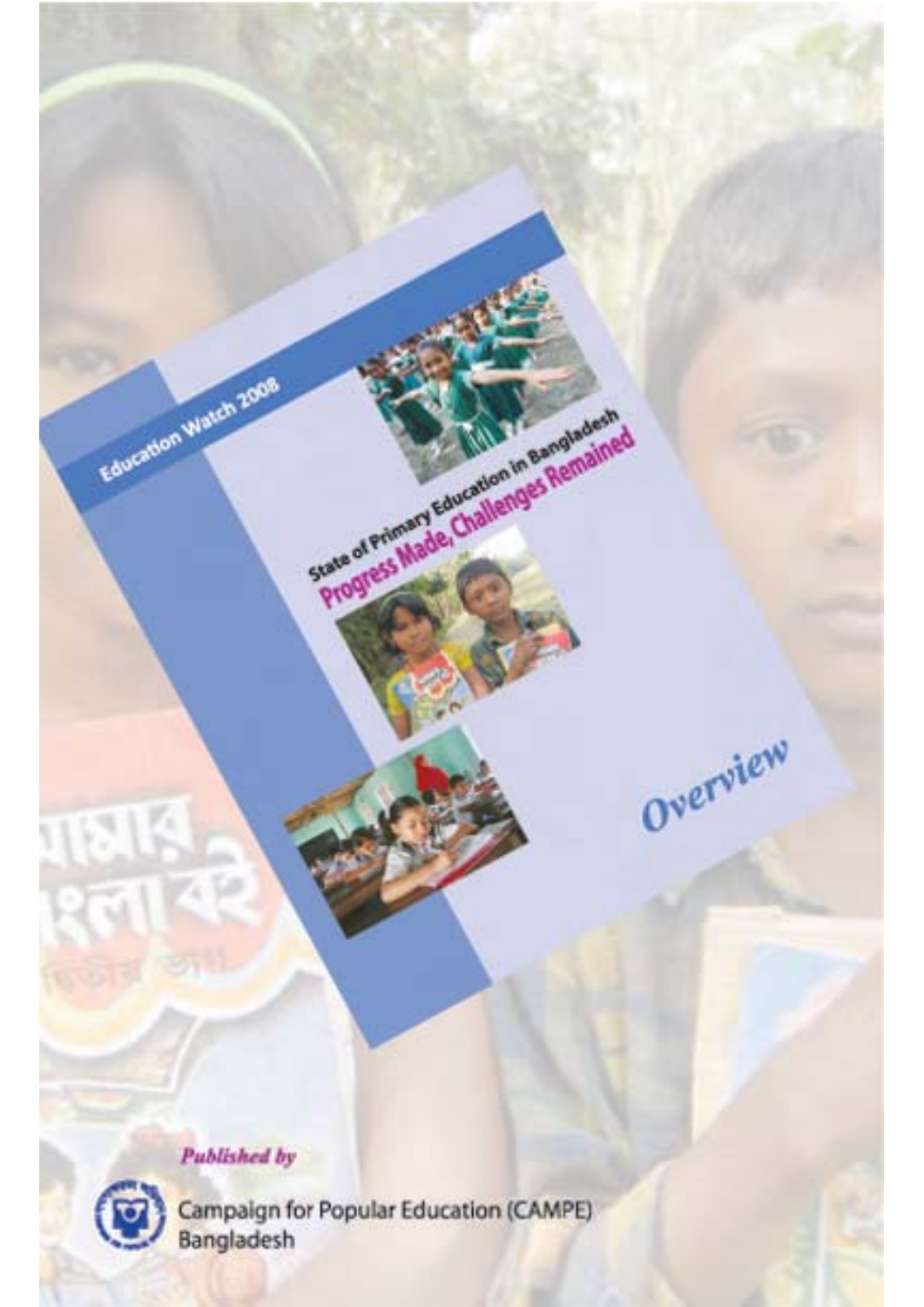

Education Watch 2008



 $\mathbb{R}$ 

Campaign for Popular Education (CAMPE)<br>Bangladesh

State of Primary Education in Bangladesh

Overview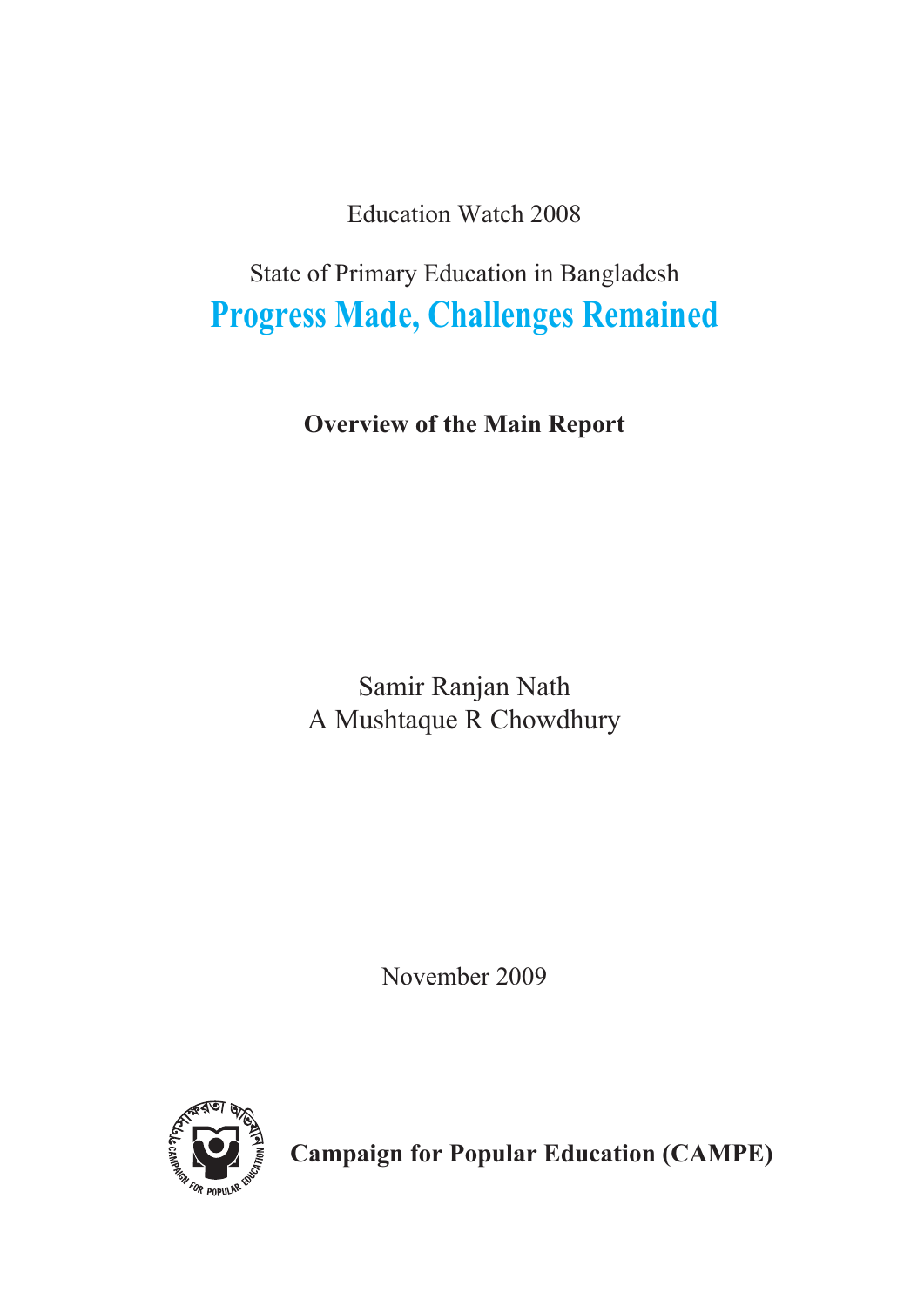**Education Watch 2008** 

State of Primary Education in Bangladesh **Progress Made, Challenges Remained** 

**Overview of the Main Report** 

Samir Ranjan Nath A Mushtaque R Chowdhury

November 2009



**Campaign for Popular Education (CAMPE)**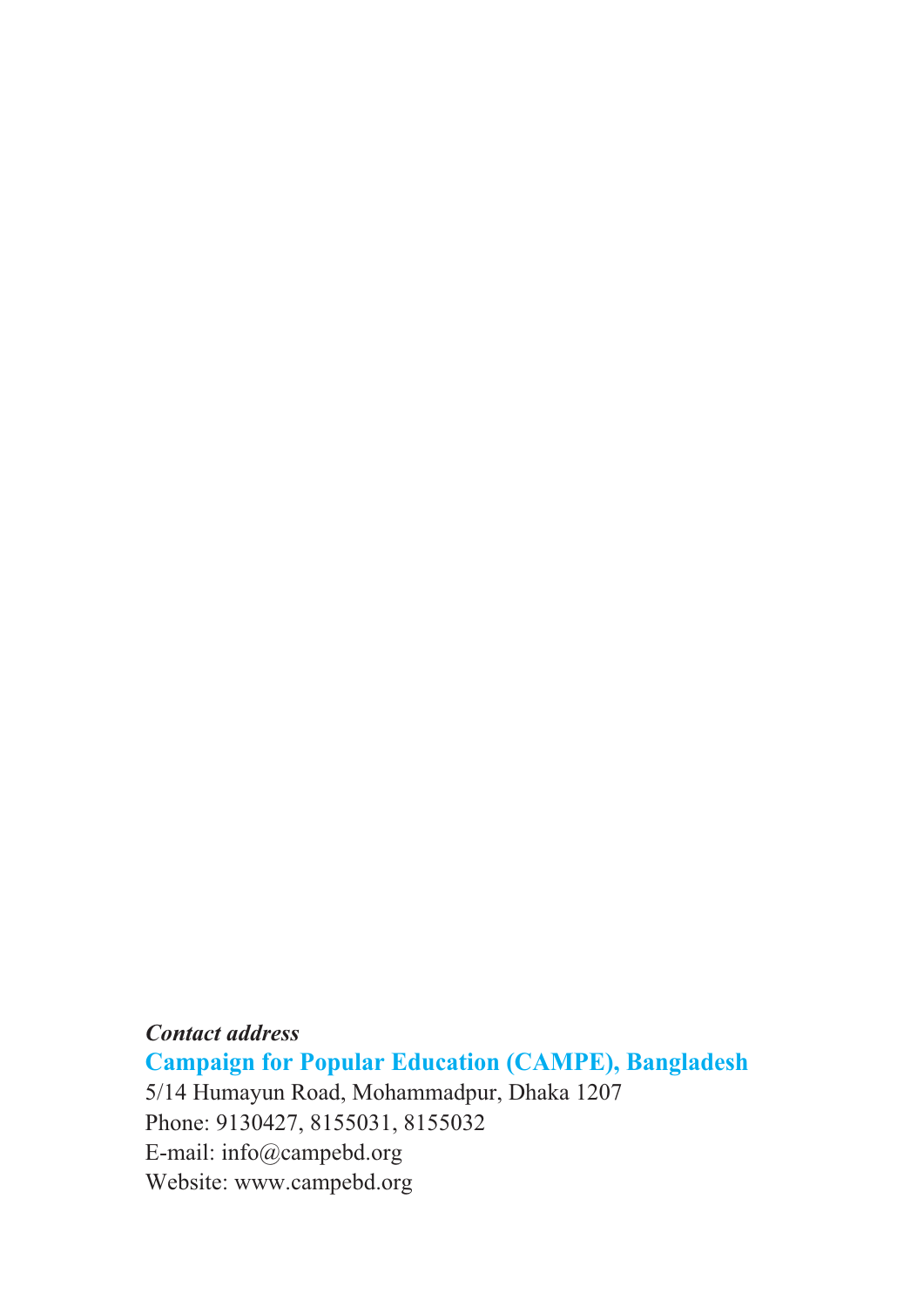**Contact address Campaign for Popular Education (CAMPE), Bangladesh** 5/14 Humayun Road, Mohammadpur, Dhaka 1207 Phone: 9130427, 8155031, 8155032 E-mail: info@campebd.org Website: www.campebd.org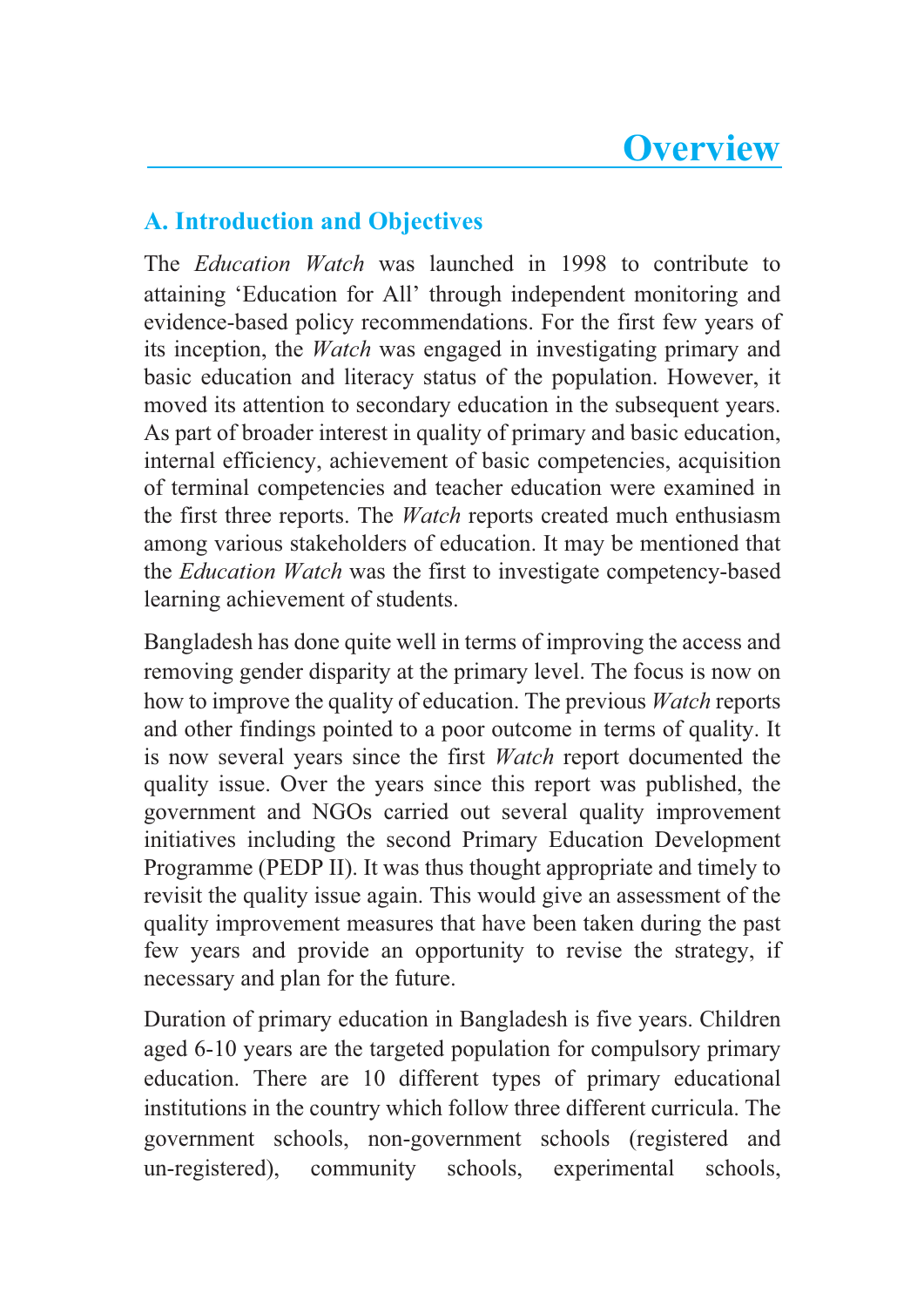# **A. Introduction and Objectives**

The *Education Watch* was launched in 1998 to contribute to attaining 'Education for All' through independent monitoring and evidence-based policy recommendations. For the first few years of its inception, the *Watch* was engaged in investigating primary and basic education and literacy status of the population. However, it moved its attention to secondary education in the subsequent years. As part of broader interest in quality of primary and basic education, internal efficiency, achievement of basic competencies, acquisition of terminal competencies and teacher education were examined in the first three reports. The *Watch* reports created much enthusiasm among various stakeholders of education. It may be mentioned that the *Education Watch* was the first to investigate competency-based learning achievement of students.

Bangladesh has done quite well in terms of improving the access and removing gender disparity at the primary level. The focus is now on how to improve the quality of education. The previous *Watch* reports and other findings pointed to a poor outcome in terms of quality. It is now several years since the first *Watch* report documented the quality issue. Over the years since this report was published, the government and NGOs carried out several quality improvement initiatives including the second Primary Education Development Programme (PEDP II). It was thus thought appropriate and timely to revisit the quality issue again. This would give an assessment of the quality improvement measures that have been taken during the past few years and provide an opportunity to revise the strategy, if necessary and plan for the future.

Duration of primary education in Bangladesh is five years. Children aged 6-10 years are the targeted population for compulsory primary education. There are 10 different types of primary educational institutions in the country which follow three different curricula. The government schools, non-government schools (registered and un-registered), experimental schools. community schools.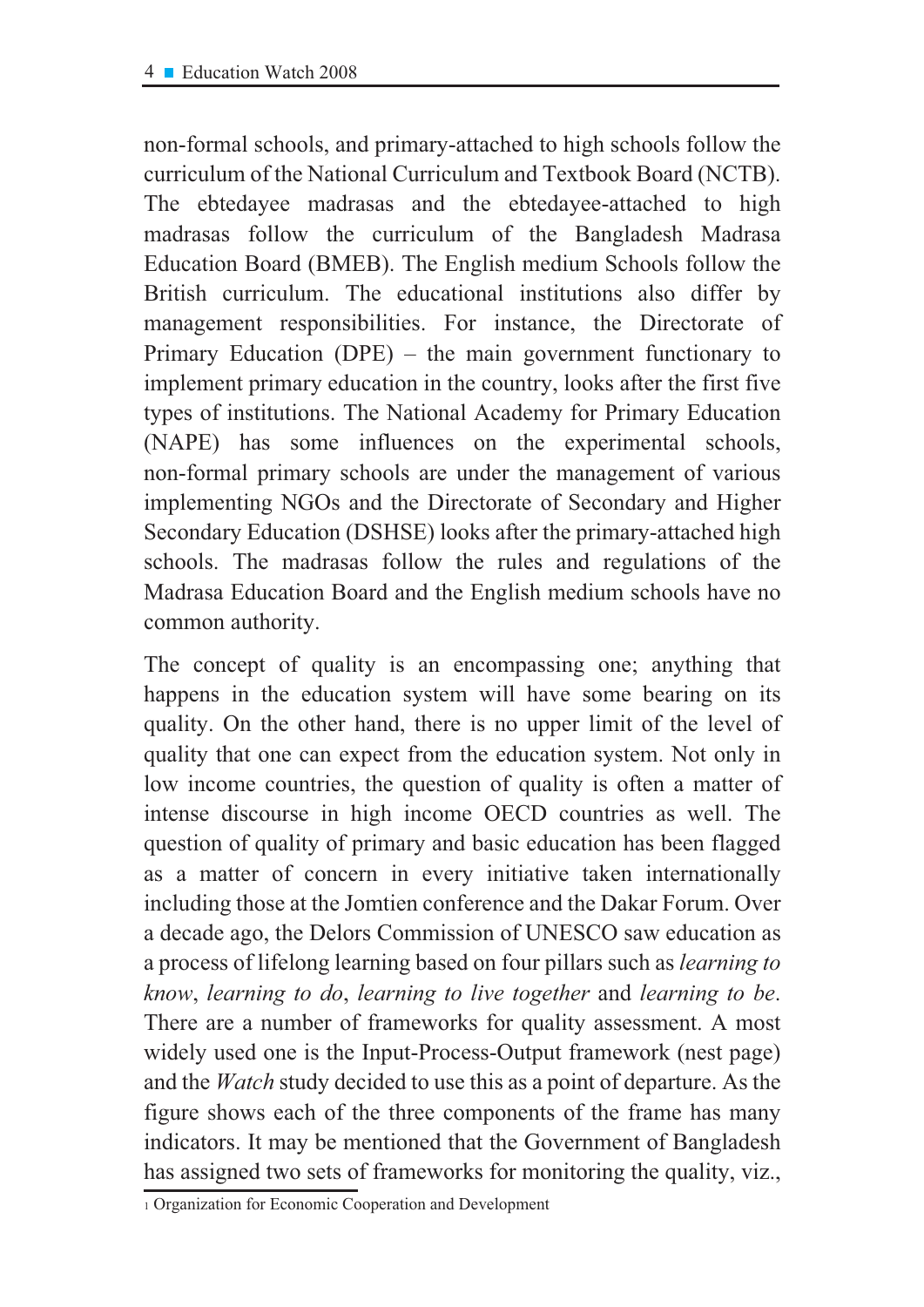non-formal schools, and primary-attached to high schools follow the curriculum of the National Curriculum and Textbook Board (NCTB). The ebtedayee madrasas and the ebtedayee-attached to high madrasas follow the curriculum of the Bangladesh Madrasa Education Board (BMEB). The English medium Schools follow the British curriculum. The educational institutions also differ by management responsibilities. For instance, the Directorate of Primary Education (DPE) – the main government functionary to implement primary education in the country, looks after the first five types of institutions. The National Academy for Primary Education (NAPE) has some influences on the experimental schools, non-formal primary schools are under the management of various implementing NGOs and the Directorate of Secondary and Higher Secondary Education (DSHSE) looks after the primary-attached high schools. The madrasas follow the rules and regulations of the Madrasa Education Board and the English medium schools have no common authority.

The concept of quality is an encompassing one; anything that happens in the education system will have some bearing on its quality. On the other hand, there is no upper limit of the level of quality that one can expect from the education system. Not only in low income countries, the question of quality is often a matter of intense discourse in high income OECD countries as well. The question of quality of primary and basic education has been flagged as a matter of concern in every initiative taken internationally including those at the Jomtien conference and the Dakar Forum. Over a decade ago, the Delors Commission of UNESCO saw education as a process of lifelong learning based on four pillars such as *learning to* know, learning to do, learning to live together and learning to be. There are a number of frameworks for quality assessment. A most widely used one is the Input-Process-Output framework (nest page) and the *Watch* study decided to use this as a point of departure. As the figure shows each of the three components of the frame has many indicators. It may be mentioned that the Government of Bangladesh has assigned two sets of frameworks for monitoring the quality, viz.,

<sup>&</sup>lt;sup>1</sup> Organization for Economic Cooperation and Development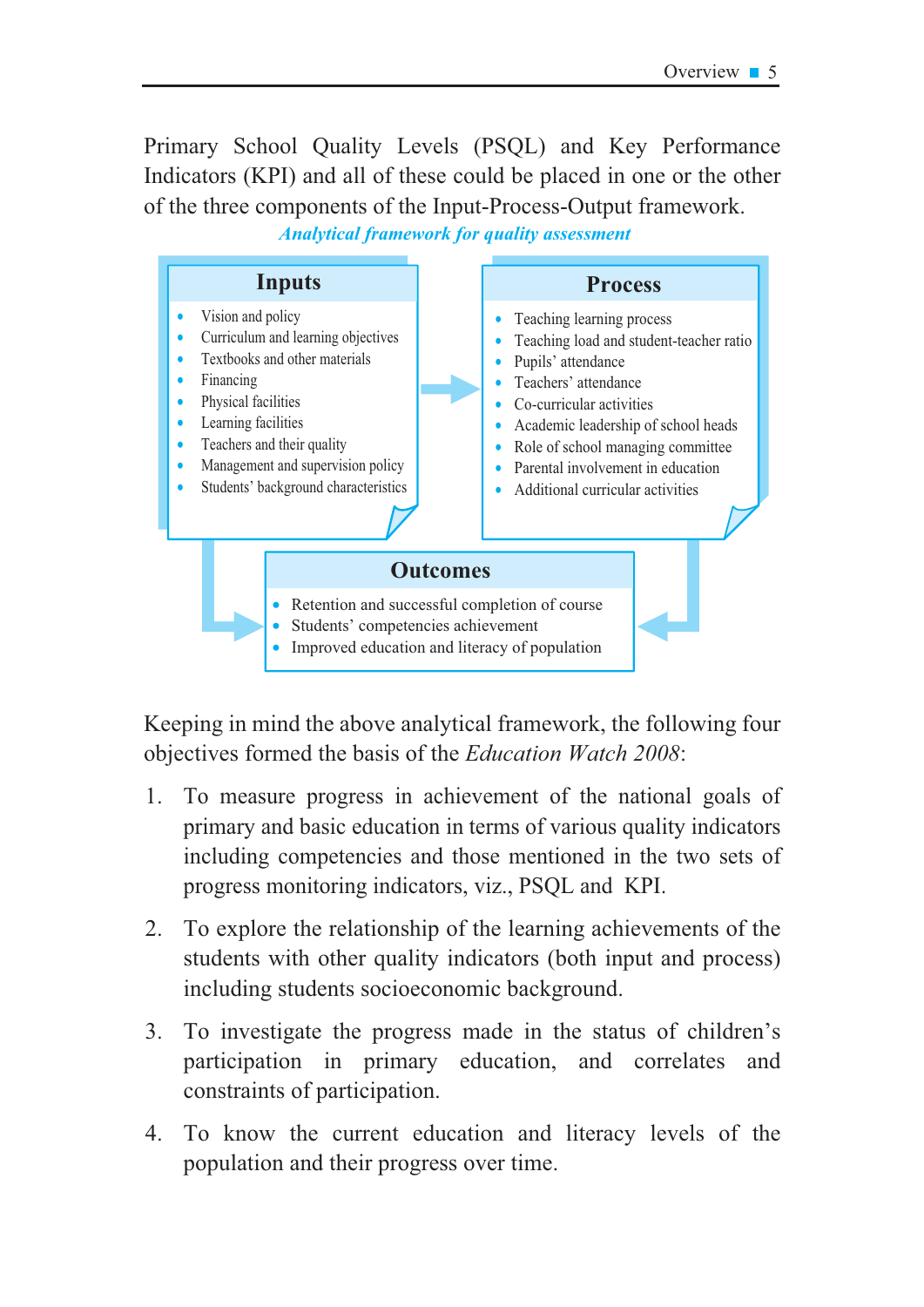Primary School Quality Levels (PSQL) and Key Performance Indicators (KPI) and all of these could be placed in one or the other of the three components of the Input-Process-Output framework.

**Analytical framework for quality assessment** 



Keeping in mind the above analytical framework, the following four objectives formed the basis of the Education Watch 2008:

- To measure progress in achievement of the national goals of  $1_{\cdot}$ primary and basic education in terms of various quality indicators including competencies and those mentioned in the two sets of progress monitoring indicators, viz., PSQL and KPI.
- To explore the relationship of the learning achievements of the  $2.$ students with other quality indicators (both input and process) including students socioeconomic background.
- To investigate the progress made in the status of children's  $3<sub>1</sub>$ participation in primary education, and correlates and constraints of participation.
- To know the current education and literacy levels of the  $\overline{4}$ population and their progress over time.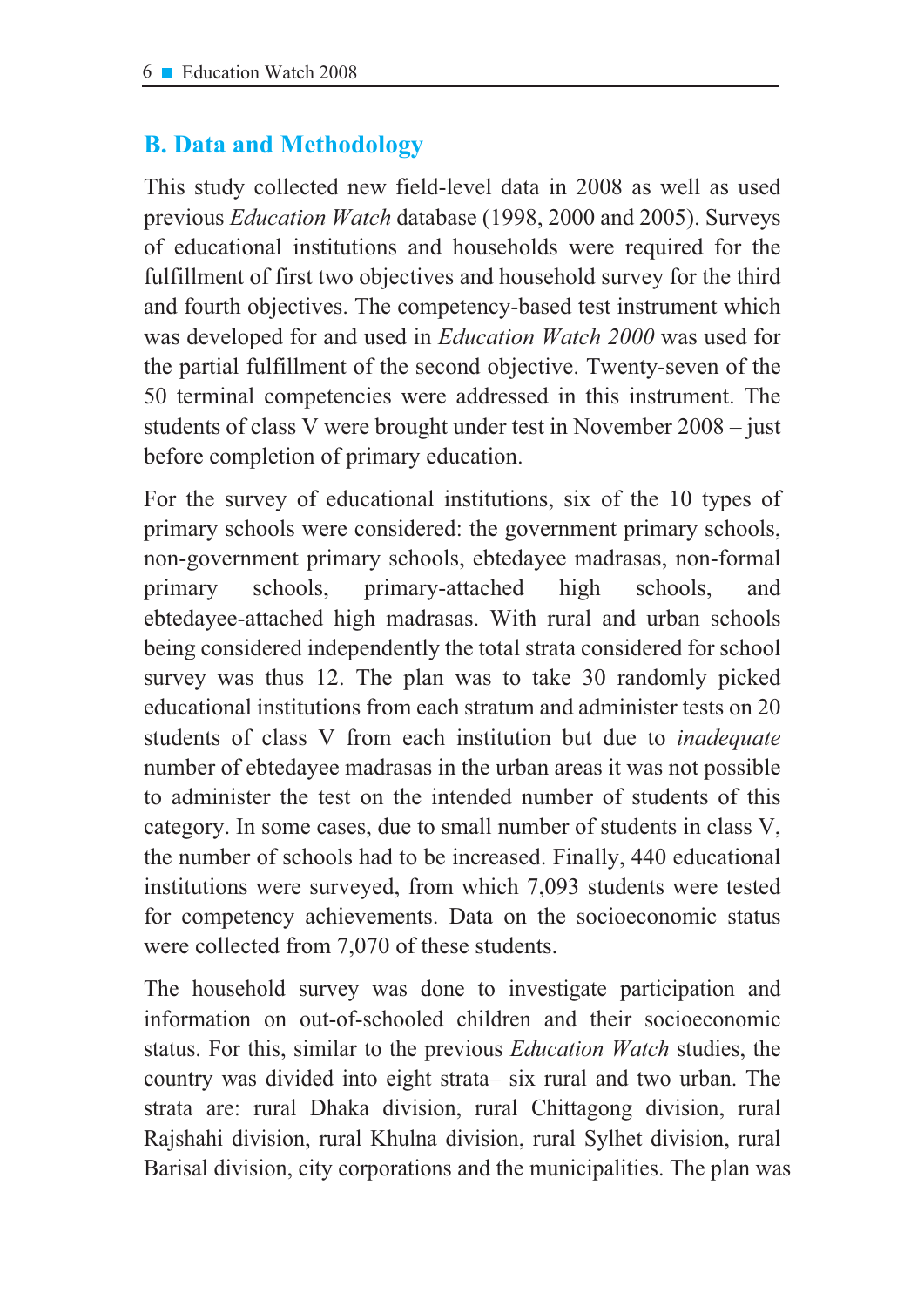# **B. Data and Methodology**

This study collected new field-level data in 2008 as well as used previous Education Watch database (1998, 2000 and 2005). Surveys of educational institutions and households were required for the fulfillment of first two objectives and household survey for the third and fourth objectives. The competency-based test instrument which was developed for and used in *Education Watch 2000* was used for the partial fulfillment of the second objective. Twenty-seven of the 50 terminal competencies were addressed in this instrument. The students of class V were brought under test in November 2008 – just before completion of primary education.

For the survey of educational institutions, six of the 10 types of primary schools were considered: the government primary schools, non-government primary schools, ebtedayee madrasas, non-formal primary schools. primary-attached high schools. and ebtedayee-attached high madrasas. With rural and urban schools being considered independently the total strata considered for school survey was thus 12. The plan was to take 30 randomly picked educational institutions from each stratum and administer tests on 20 students of class V from each institution but due to *inadequate* number of ebtedayee madrasas in the urban areas it was not possible to administer the test on the intended number of students of this category. In some cases, due to small number of students in class V, the number of schools had to be increased. Finally, 440 educational institutions were surveyed, from which 7,093 students were tested for competency achievements. Data on the socioeconomic status were collected from 7,070 of these students.

The household survey was done to investigate participation and information on out-of-schooled children and their socioeconomic status. For this, similar to the previous *Education Watch* studies, the country was divided into eight strata- six rural and two urban. The strata are: rural Dhaka division, rural Chittagong division, rural Rajshahi division, rural Khulna division, rural Sylhet division, rural Barisal division, city corporations and the municipalities. The plan was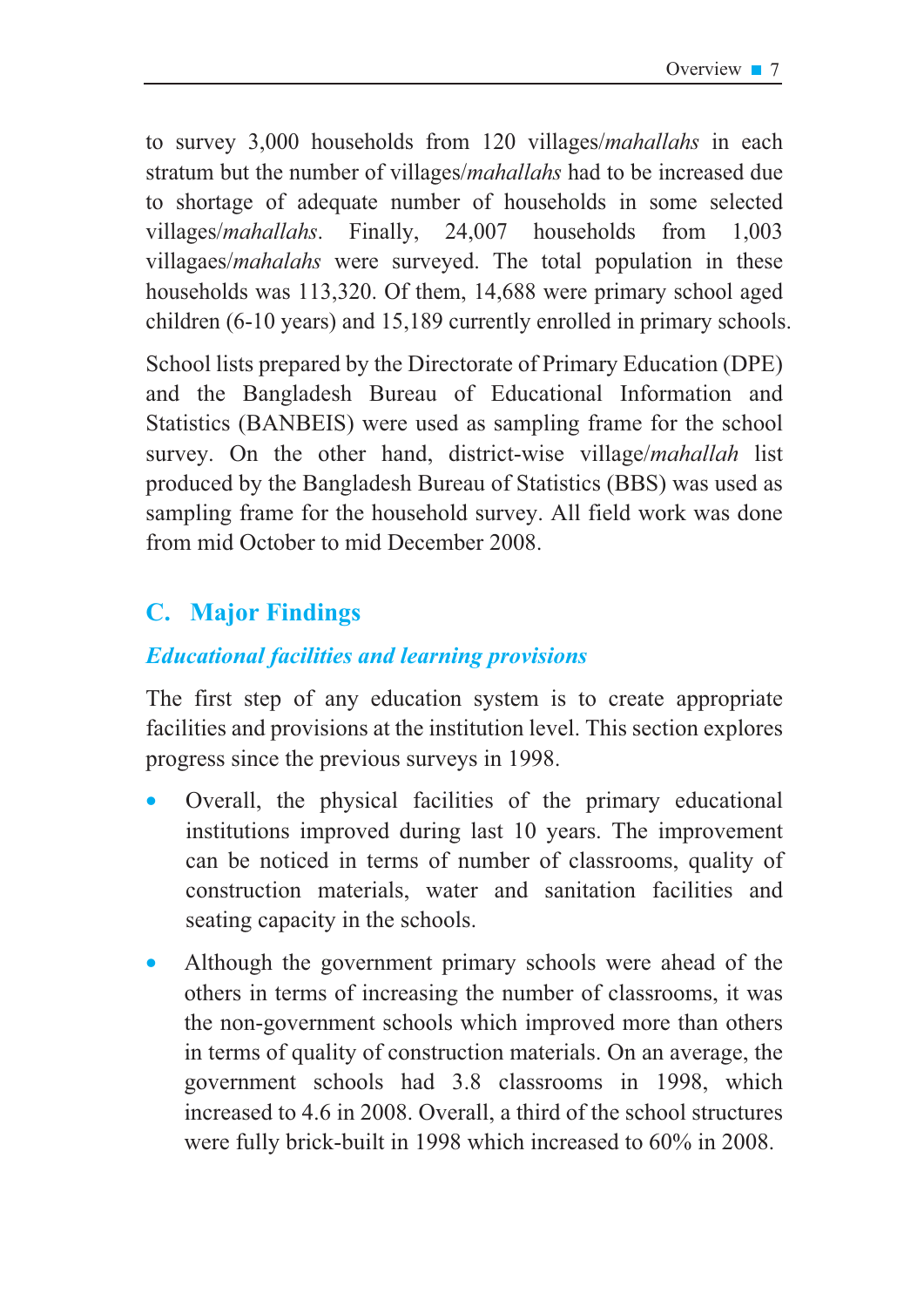to survey 3,000 households from 120 villages/*mahallahs* in each stratum but the number of villages/*mahallahs* had to be increased due to shortage of adequate number of households in some selected villages/*mahallahs*. Finally, 24,007 households from 1,003 villagaes/*mahalahs* were surveyed. The total population in these households was 113,320. Of them, 14,688 were primary school aged children (6-10 years) and 15,189 currently enrolled in primary schools.

School lists prepared by the Directorate of Primary Education (DPE) and the Bangladesh Bureau of Educational Information and Statistics (BANBEIS) were used as sampling frame for the school survey. On the other hand, district-wise village/mahallah list produced by the Bangladesh Bureau of Statistics (BBS) was used as sampling frame for the household survey. All field work was done from mid October to mid December 2008.

# **C.** Major Findings

# **Educational facilities and learning provisions**

The first step of any education system is to create appropriate facilities and provisions at the institution level. This section explores progress since the previous surveys in 1998.

- Overall, the physical facilities of the primary educational institutions improved during last 10 years. The improvement can be noticed in terms of number of classrooms, quality of construction materials, water and sanitation facilities and seating capacity in the schools.
- Although the government primary schools were ahead of the others in terms of increasing the number of classrooms, it was the non-government schools which improved more than others in terms of quality of construction materials. On an average, the government schools had 3.8 classrooms in 1998, which increased to 4.6 in 2008. Overall, a third of the school structures were fully brick-built in 1998 which increased to 60% in 2008.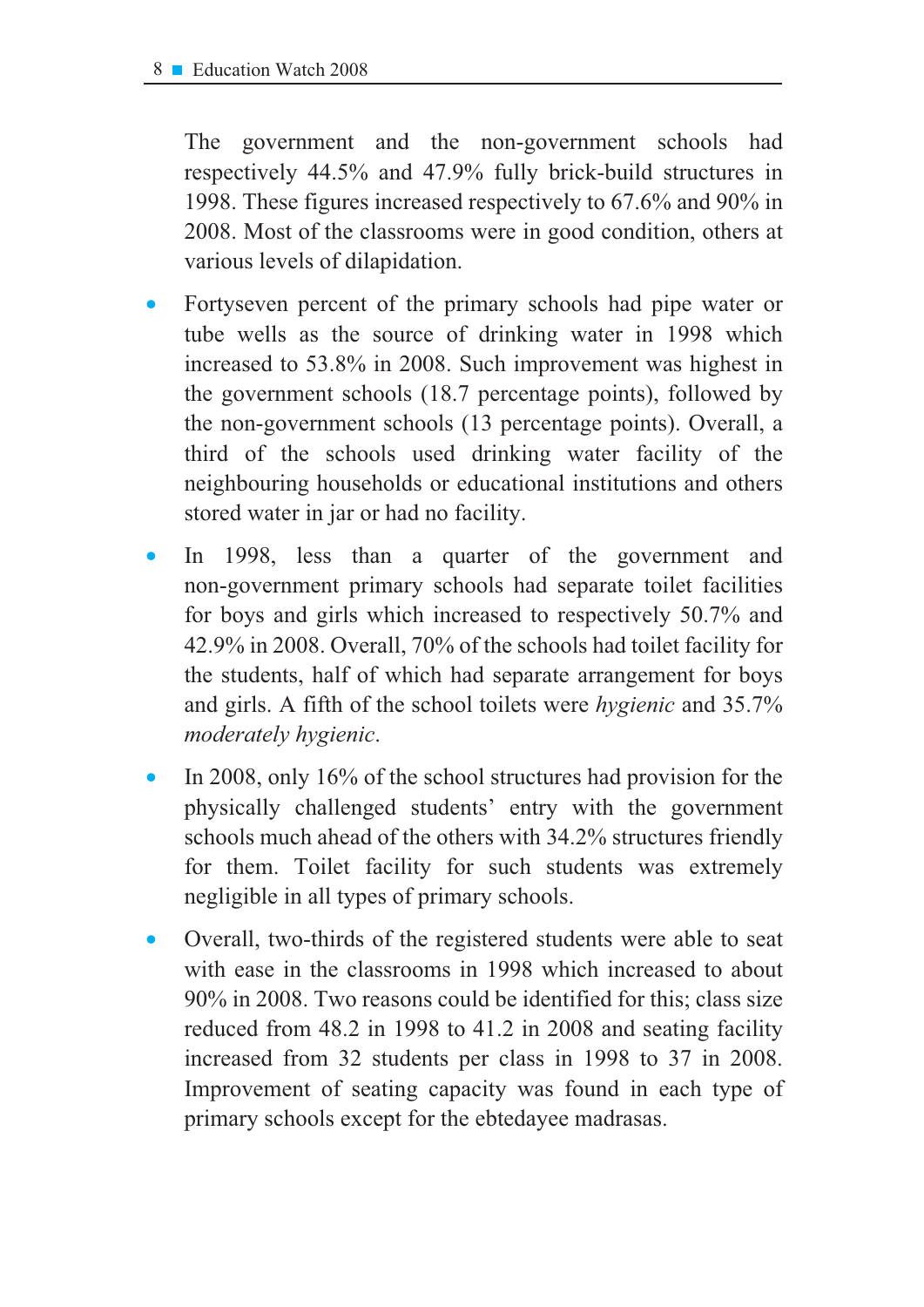The government and the non-government schools had respectively  $44.5\%$  and  $47.9\%$  fully brick-build structures in 1998. These figures increased respectively to  $67.6\%$  and  $90\%$  in 2008. Most of the classrooms were in good condition, others at various levels of dilapidation.

- Fortyseven percent of the primary schools had pipe water or tube wells as the source of drinking water in 1998 which increased to  $53.8\%$  in 2008. Such improvement was highest in the government schools  $(18.7 \text{ percentage points})$ , followed by the non-government schools (13 percentage points). Overall, a third of the schools used drinking water facility of the neighbouring households or educational institutions and others stored water in jar or had no facility.
- In 1998, less than a quarter of the government and non-government primary schools had separate toilet facilities for boys and girls which increased to respectively  $50.7\%$  and 42.9% in 2008. Overall, 70% of the schools had toilet facility for the students, half of which had separate arrangement for boys and girls. A fifth of the school toilets were *hygienic* and 35.7% *PRGHuDderately hygienic.*
- In 2008, only 16% of the school structures had provision for the physically challenged students' entry with the government schools much ahead of the others with 34.2% structures friendly for them. Toilet facility for such students was extremely negligible in all types of primary schools.
- Overall, two-thirds of the registered students were able to seat with ease in the classrooms in 1998 which increased to about 90% in 2008. Two reasons could be identified for this; class size reduced from 48.2 in 1998 to 41.2 in 2008 and seating facility increased from 32 students per class in 1998 to 37 in 2008. Improvement of seating capacity was found in each type of primary schools except for the ebtedayee madrasas.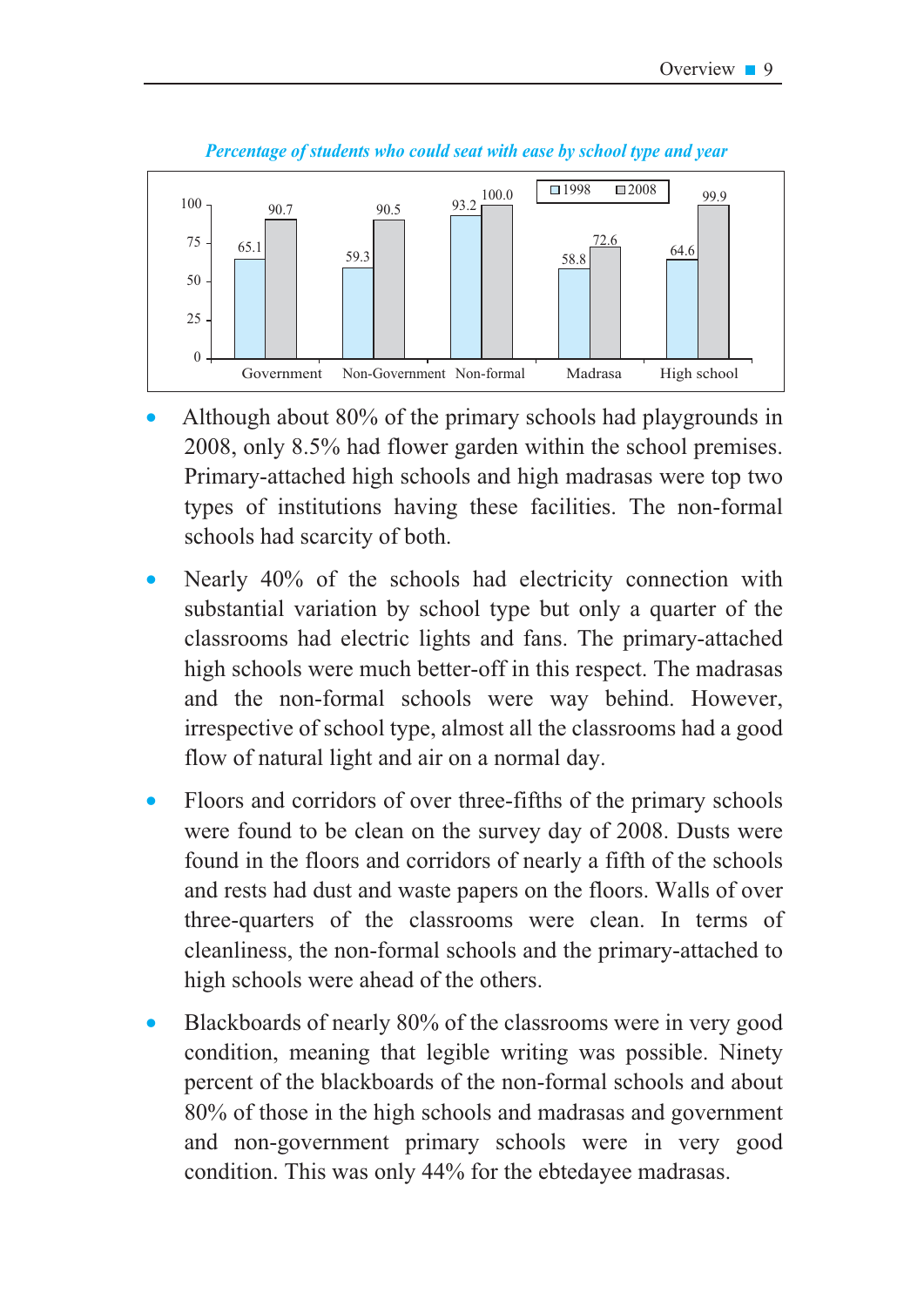

Percentage of students who could seat with ease by school type and vear

- Although about 80% of the primary schools had playgrounds in 2008, only 8.5% had flower garden within the school premises. Primary-attached high schools and high madrasas were top two types of institutions having these facilities. The non-formal schools had scarcity of both.
- Nearly 40% of the schools had electricity connection with substantial variation by school type but only a quarter of the classrooms had electric lights and fans. The primary-attached high schools were much better-off in this respect. The madrasas and the non-formal schools were way behind. However, irrespective of school type, almost all the classrooms had a good flow of natural light and air on a normal day.
- Floors and corridors of over three-fifths of the primary schools  $\bullet$ were found to be clean on the survey day of 2008. Dusts were found in the floors and corridors of nearly a fifth of the schools and rests had dust and waste papers on the floors. Walls of over three-quarters of the classrooms were clean. In terms of cleanliness, the non-formal schools and the primary-attached to high schools were ahead of the others.
- Blackboards of nearly 80% of the classrooms were in very good condition, meaning that legible writing was possible. Ninety percent of the blackboards of the non-formal schools and about 80% of those in the high schools and madrasas and government and non-government primary schools were in very good condition. This was only 44% for the ebtedayee madrasas.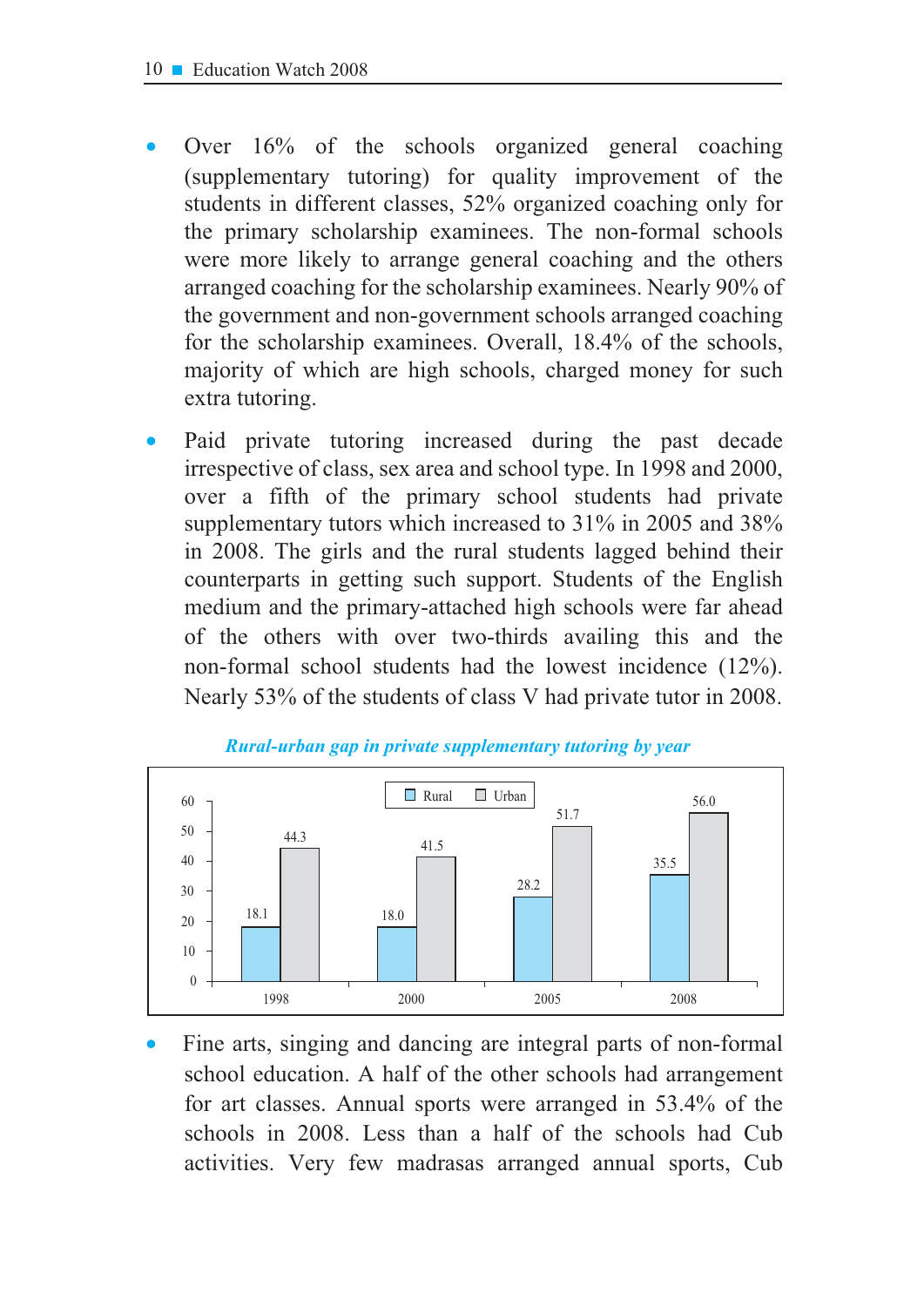- Over  $16\%$  of the schools organized general coaching (supplementary tutoring) for quality improvement of the students in different classes, 52% organized coaching only for the primary scholarship examinees. The non-formal schools were more likely to arrange general coaching and the others arranged coaching for the scholarship examinees. Nearly 90% of the government and non-government schools arranged coaching for the scholarship examinees. Overall, 18.4% of the schools, majority of which are high schools, charged money for such extra tutoring.
- Paid private tutoring increased during the past decade irrespective of class, sex area and school type. In 1998 and 2000, over a fifth of the primary school students had private supplementary tutors which increased to 31% in 2005 and 38% in 2008. The girls and the rural students lagged behind their counterparts in getting such support. Students of the English medium and the primary-attached high schools were far ahead of the others with over two-thirds availing this and the non-formal school students had the lowest incidence  $(12\%)$ . Nearly 53% of the students of class V had private tutor in 2008.



Fine arts, singing and dancing are integral parts of non-formal school education. A half of the other schools had arrangement for art classes. Annual sports were arranged in 53.4% of the schools in 2008. Less than a half of the schools had Cub activities. Very few madrasas arranged annual sports, Cub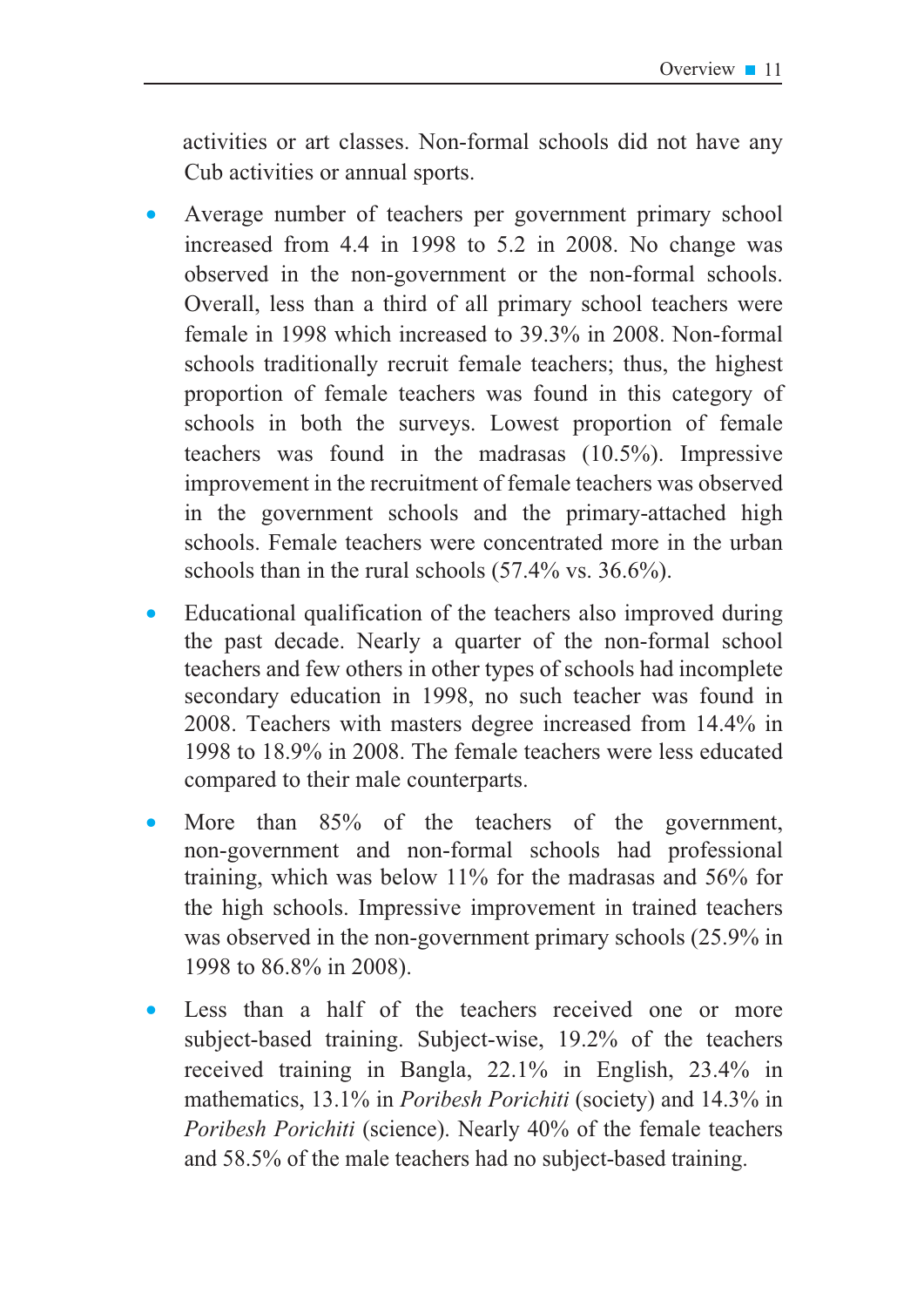activities or art classes. Non-formal schools did not have any Cub activities or annual sports.

- Average number of teachers per government primary school increased from 4.4 in 1998 to 5.2 in 2008. No change was observed in the non-government or the non-formal schools. Overall, less than a third of all primary school teachers were female in 1998 which increased to  $39.3\%$  in 2008. Non-formal schools traditionally recruit female teachers; thus, the highest proportion of female teachers was found in this category of schools in both the surveys. Lowest proportion of female teachers was found in the madrasas  $(10.5\%)$ . Impressive improvement in the recruitment of female teachers was observed in the government schools and the primary-attached high schools. Female teachers were concentrated more in the urban schools than in the rural schools  $(57.4\% \text{ vs. } 36.6\%)$ .
- Educational qualification of the teachers also improved during the past decade. Nearly a quarter of the non-formal school teachers and few others in other types of schools had incomplete secondary education in 1998, no such teacher was found in 2008. Teachers with masters degree increased from  $14.4\%$  in 1998 to 18.9% in 2008. The female teachers were less educated compared to their male counterparts.
- More than  $85\%$  of the teachers of the government, non-government and non-formal schools had professional training, which was below  $11\%$  for the madrasas and 56% for the high schools. Impressive improvement in trained teachers was observed in the non-government primary schools  $(25.9\%$  in 1998 to 86.8% in 2008).
- Less than a half of the teachers received one or more subject-based training. Subject-wise, 19.2% of the teachers received training in Bangla,  $22.1\%$  in English,  $23.4\%$  in mathematics, 13.1% in *Poribesh Porichiti* (society) and 14.3% in *Poribesh Porichiti* (science). Nearly 40% of the female teachers and 58.5% of the male teachers had no subject-based training.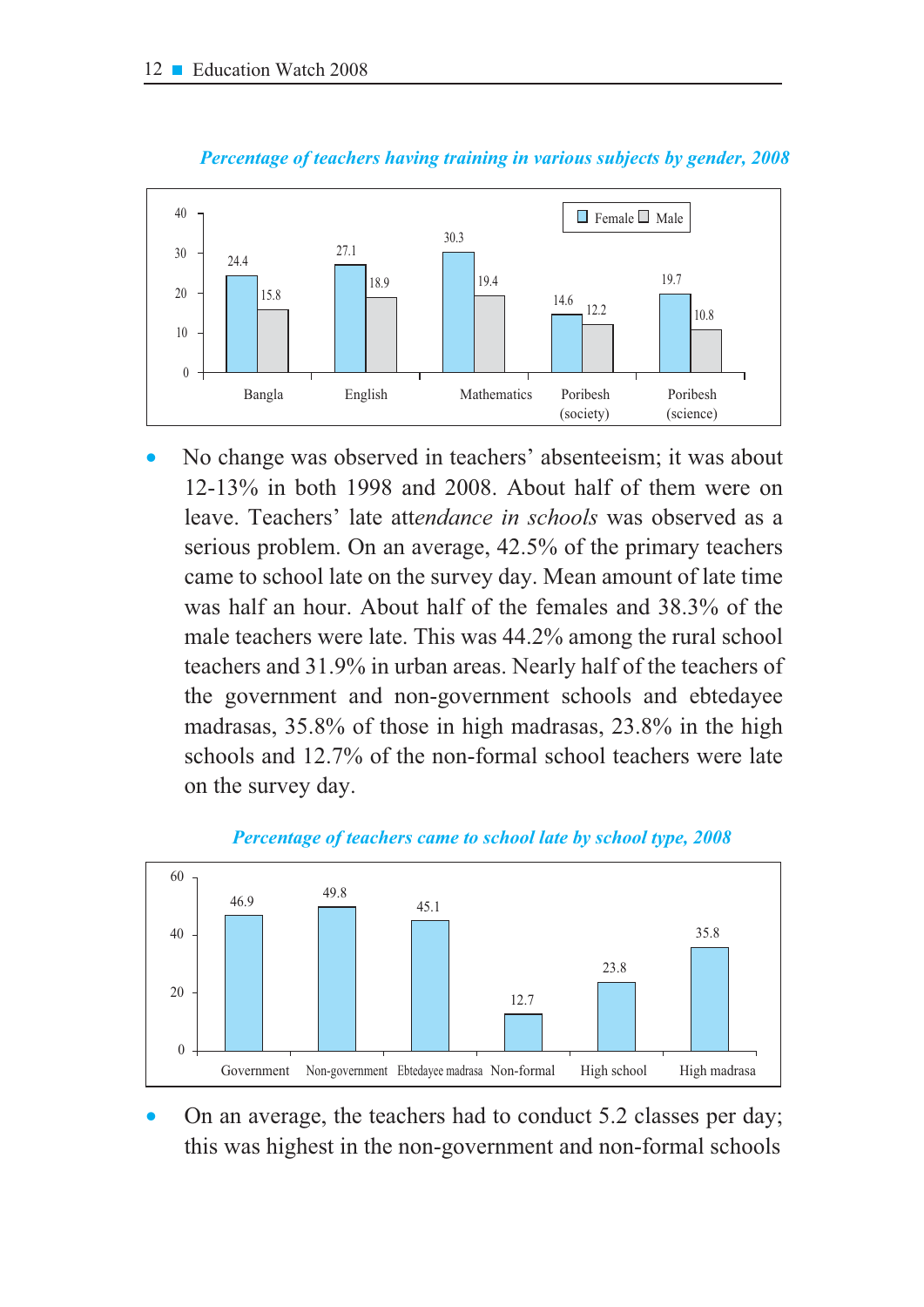



No change was observed in teachers' absenteeism; it was about 12-13% in both 1998 and 2008. About half of them were on leave. Teachers' late attendance in schools was observed as a serious problem. On an average, 42.5% of the primary teachers came to school late on the survey day. Mean amount of late time was half an hour. About half of the females and 38.3% of the male teachers were late. This was 44.2% among the rural school teachers and 31.9% in urban areas. Nearly half of the teachers of the government and non-government schools and ebtedayee madrasas, 35.8% of those in high madrasas, 23.8% in the high schools and 12.7% of the non-formal school teachers were late on the survey day.



Percentage of teachers came to school late by school type, 2008

On an average, the teachers had to conduct 5.2 classes per day; this was highest in the non-government and non-formal schools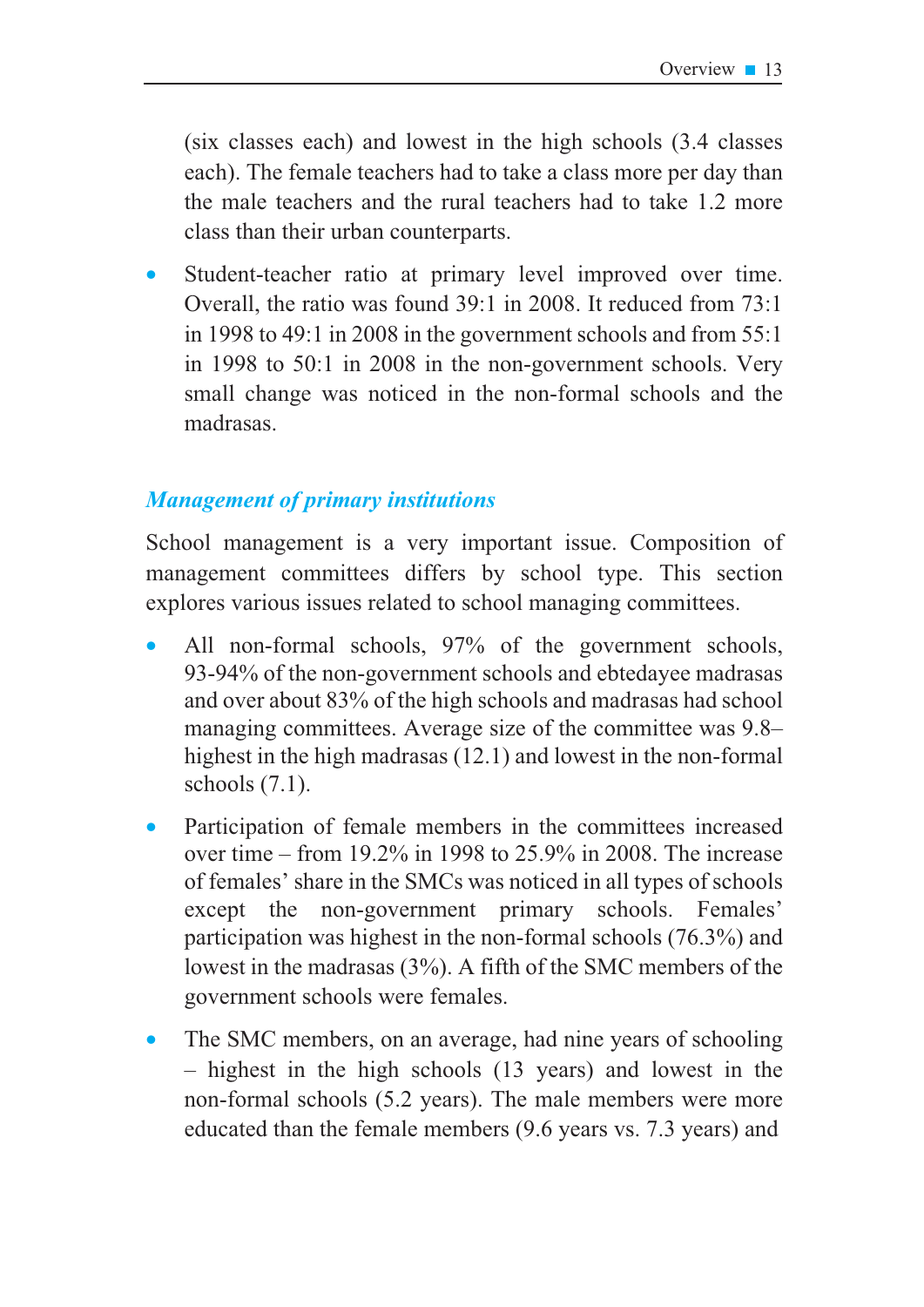(six classes each) and lowest in the high schools (3.4 classes each). The female teachers had to take a class more per day than the male teachers and the rural teachers had to take 1.2 more class than their urban counterparts.

Student-teacher ratio at primary level improved over time. Overall, the ratio was found 39:1 in 2008. It reduced from 73:1 in 1998 to 49:1 in 2008 in the government schools and from  $55:1$ in 1998 to 50:1 in 2008 in the non-government schools. Very small change was noticed in the non-formal schools and the madrasas

## **Management of primary institutions**

School management is a very important issue. Composition of management committees differs by school type. This section explores various issues related to school managing committees.

- All non-formal schools, 97% of the government schools, 93-94% of the non-government schools and ebtedayee madrasas and over about 83% of the high schools and madrasas had school managing committees. Average size of the committee was 9.8– highest in the high madrasas (12.1) and lowest in the non-formal schools  $(7.1)$ .
- Participation of female members in the committees increased  $\bullet$ over time – from 19.2% in 1998 to  $25.9\%$  in 2008. The increase of females' share in the SMCs was noticed in all types of schools except the non-government primary schools. Females' participation was highest in the non-formal schools (76.3%) and lowest in the madrasas  $(3\%)$ . A fifth of the SMC members of the government schools were females.
- The SMC members, on an average, had nine years of schooling  $-$  highest in the high schools (13 years) and lowest in the non-formal schools (5.2 years). The male members were more educated than the female members (9.6 years vs. 7.3 years) and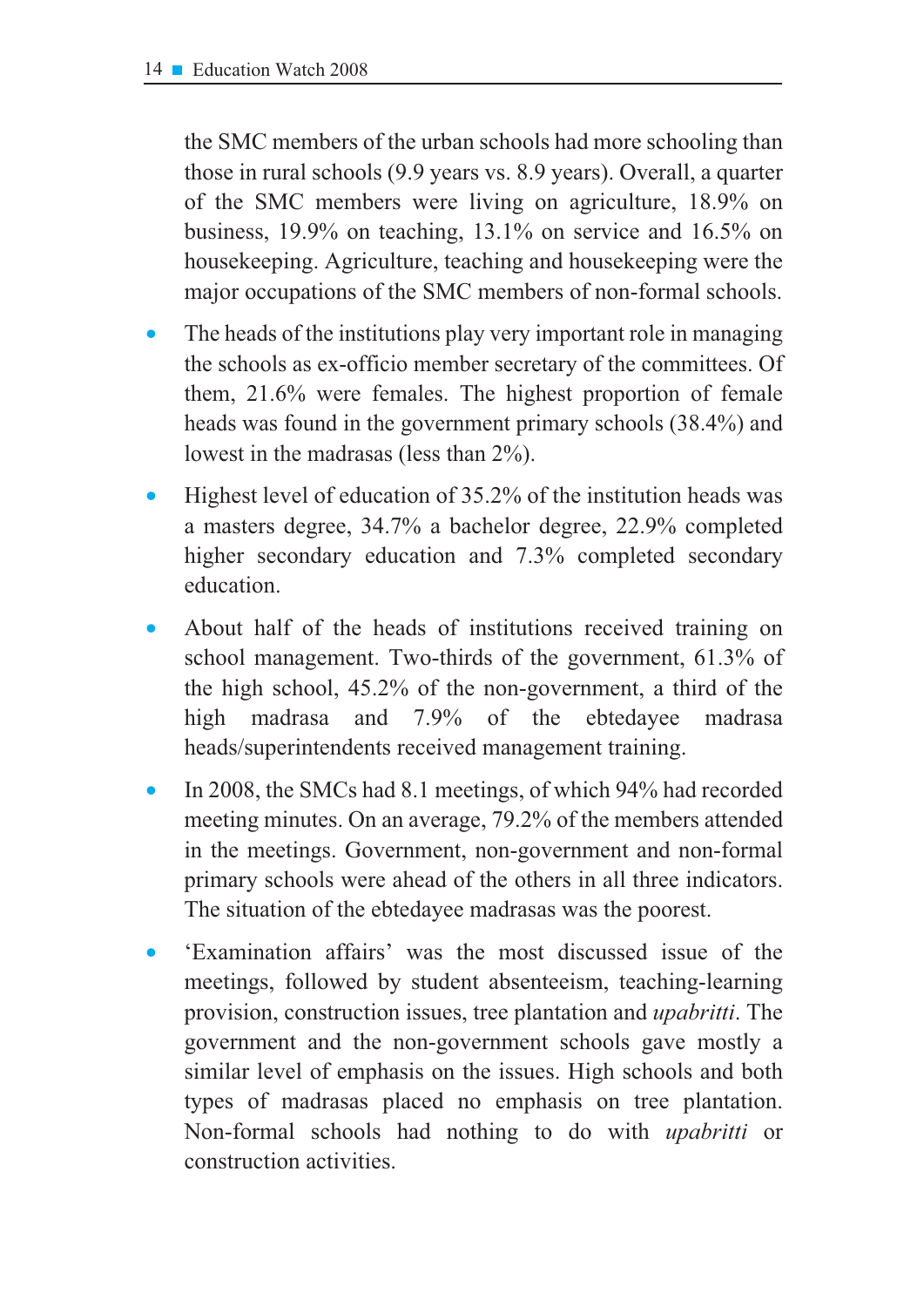the SMC members of the urban schools had more schooling than those in rural schools (9.9 years vs. 8.9 years). Overall, a quarter of the SMC members were living on agriculture, 18.9% on business,  $19.9\%$  on teaching,  $13.1\%$  on service and  $16.5\%$  on house keeping. Agriculture, teaching and house keeping were the major occupations of the SMC members of non-formal schools.

- The heads of the institutions play very important role in managing the schools as ex-officio member secretary of the committees. Of them, 21.6% were females. The highest proportion of female heads was found in the government primary schools (38.4%) and lowest in the madrasas (less than  $2\%$ ).
- Highest level of education of 35.2% of the institution heads was a masters degree, 34.7% a bachelor degree, 22.9% completed higher secondary education and 7.3% completed secondary education.
- About half of the heads of institutions received training on school management. Two-thirds of the government, 61.3% of the high school, 45.2% of the non-government, a third of the madrasa and 7.9% of the ebtedayee high madrasa heads/superintendents received management training.
- In 2008, the SMCs had 8.1 meetings, of which 94% had recorded meeting minutes. On an average, 79.2% of the members attended in the meetings. Government, non-government and non-formal primary schools were ahead of the others in all three indicators. The situation of the ebtedayee madrasas was the poorest.
- 'Examination affairs' was the most discussed issue of the meetings, followed by student absenteeism, teaching-learning provision, construction issues, tree plantation and *upabritti*. The government and the non-government schools gave mostly a similar level of emphasis on the issues. High schools and both types of madrasas placed no emphasis on tree plantation. Non-formal schools had nothing to do with *upabritti* or construction activities.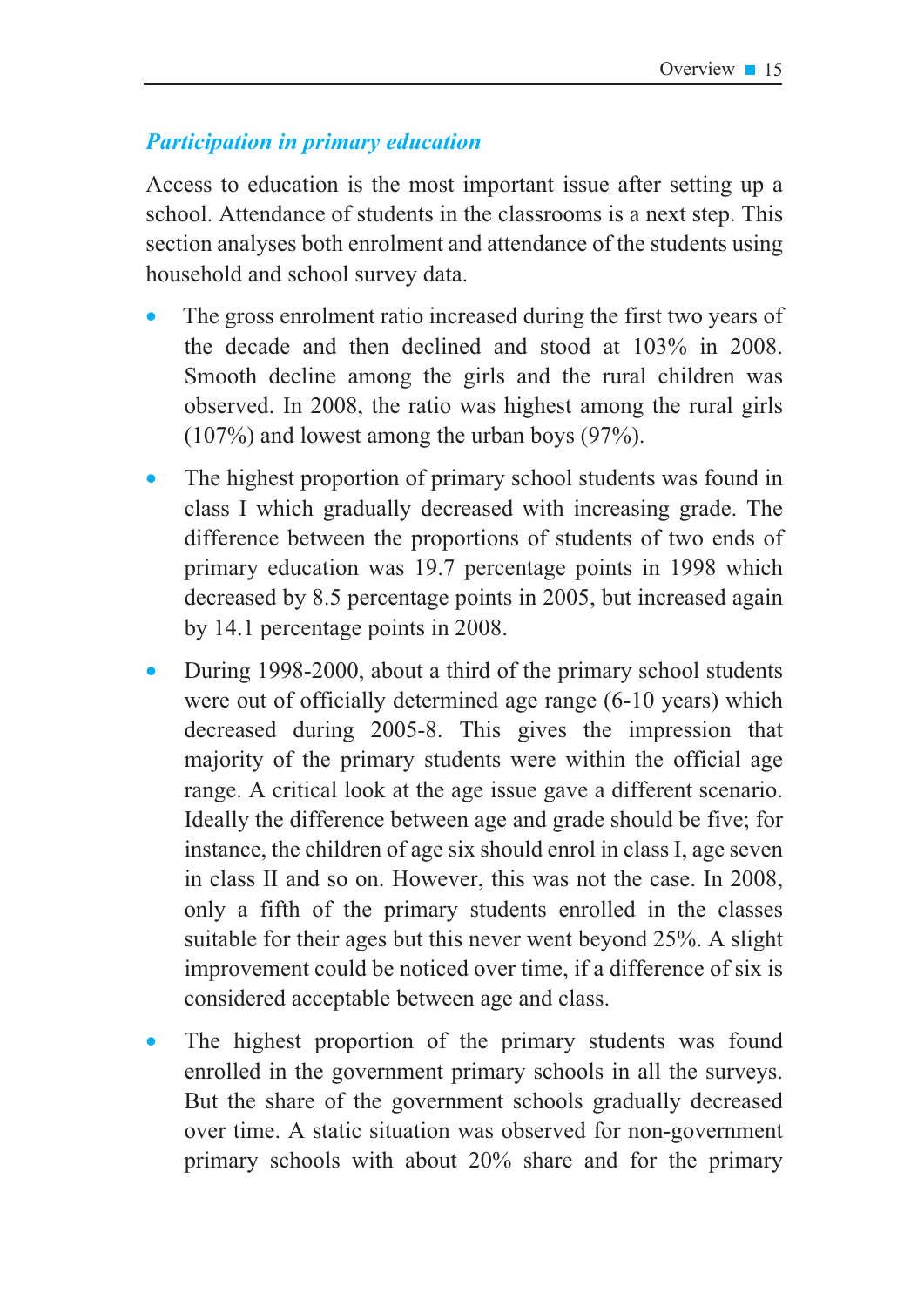### **Participation in primary education**

Access to education is the most important issue after setting up a school. Attendance of students in the classrooms is a next step. This section analyses both enrolment and attendance of the students using household and school survey data.

- The gross enrolment ratio increased during the first two years of the decade and then declined and stood at  $103\%$  in 2008. Smooth decline among the girls and the rural children was observed. In 2008, the ratio was highest among the rural girls  $(107%)$  and lowest among the urban boys  $(97%).$
- The highest proportion of primary school students was found in class I which gradually decreased with increasing grade. The difference between the proportions of students of two ends of primary education was 19.7 percentage points in 1998 which decreased by 8.5 percentage points in 2005, but increased again by 14.1 percentage points in 2008.
- During 1998-2000, about a third of the primary school students were out of officially determined age range (6-10 years) which decreased during 2005-8. This gives the impression that majority of the primary students were within the official age range. A critical look at the age issue gave a different scenario. Ideally the difference between age and grade should be five; for instance, the children of age six should enrol in class I, age seven in class II and so on. However, this was not the case. In 2008, only a fifth of the primary students enrolled in the classes suitable for their ages but this never went beyond 25%. A slight improvement could be noticed over time, if a difference of six is considered acceptable between age and class.
- The highest proportion of the primary students was found enrolled in the government primary schools in all the surveys. But the share of the government schools gradually decreased over time. A static situation was observed for non-government primary schools with about 20% share and for the primary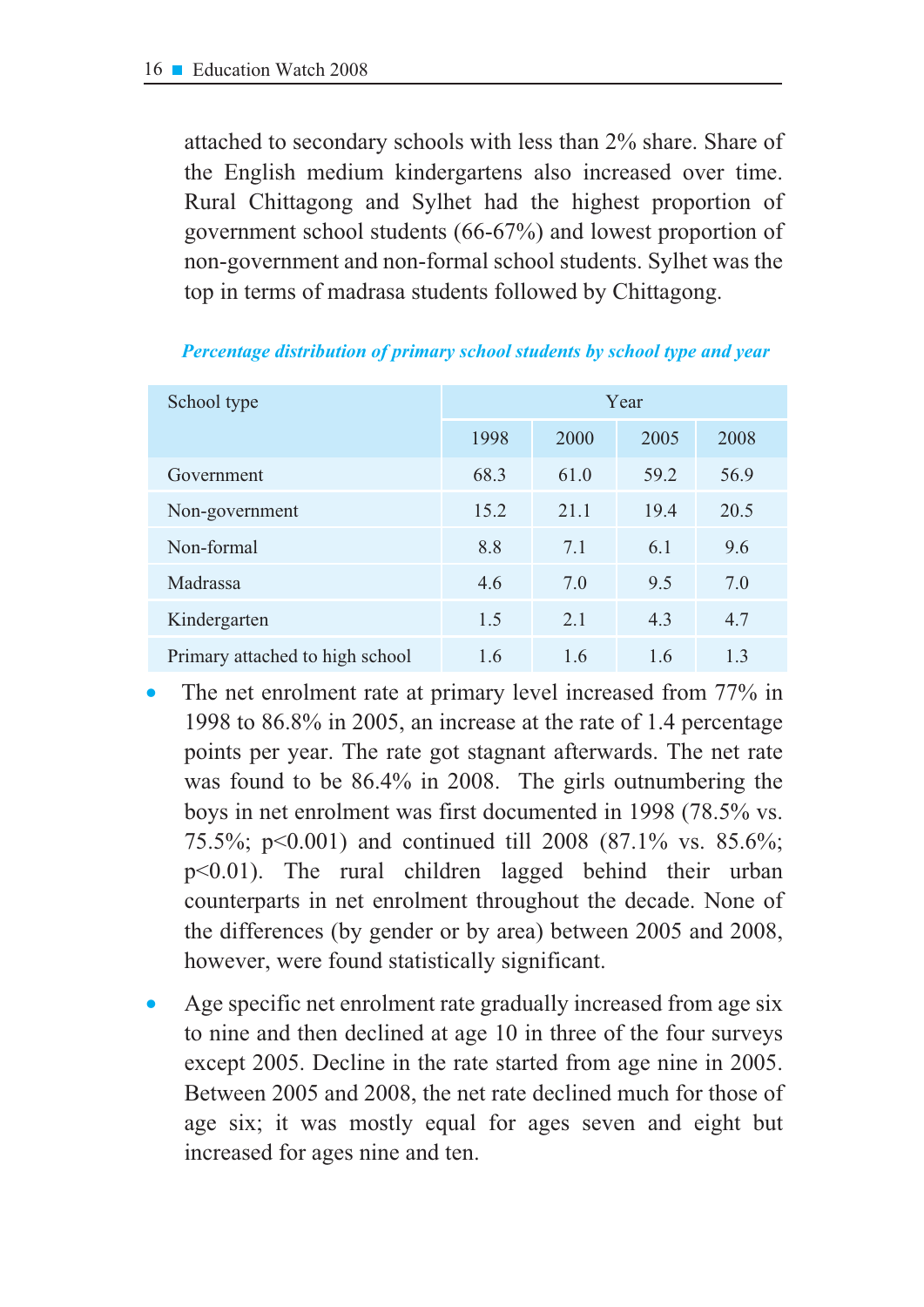attached to secondary schools with less than 2% share. Share of the English medium kindergartens also increased over time. Rural Chittagong and Sylhet had the highest proportion of government school students (66-67%) and lowest proportion of non-government and non-formal school students. Sylhet was the top in terms of madrasa students followed by Chittagong.

| School type                     | Year |      |      |      |  |
|---------------------------------|------|------|------|------|--|
|                                 | 1998 | 2000 | 2005 | 2008 |  |
| Government                      | 68.3 | 61.0 | 59.2 | 56.9 |  |
| Non-government                  | 15.2 | 21.1 | 19.4 | 20.5 |  |
| Non-formal                      | 8.8  | 7.1  | 6.1  | 9.6  |  |
| Madrassa                        | 4.6  | 7.0  | 9.5  | 7.0  |  |
| Kindergarten                    | 1.5  | 2.1  | 4.3  | 4.7  |  |
| Primary attached to high school | 1.6  | 1.6  | 1.6  | 1.3  |  |

Percentage distribution of primary school students by school type and year

- The net enrolment rate at primary level increased from 77% in 1998 to 86.8% in 2005, an increase at the rate of 1.4 percentage points per year. The rate got stagnant afterwards. The net rate was found to be 86.4% in 2008. The girls outnumbering the boys in net enrolment was first documented in 1998 (78.5% vs. 75.5%; p<0.001) and continued till 2008 (87.1% vs. 85.6%;  $p<0.01$ ). The rural children lagged behind their urban counterparts in net enrolment throughout the decade. None of the differences (by gender or by area) between 2005 and 2008, however, were found statistically significant.
- Age specific net enrolment rate gradually increased from age six to nine and then declined at age 10 in three of the four surveys except 2005. Decline in the rate started from age nine in 2005. Between 2005 and 2008, the net rate declined much for those of age six; it was mostly equal for ages seven and eight but increased for ages nine and ten.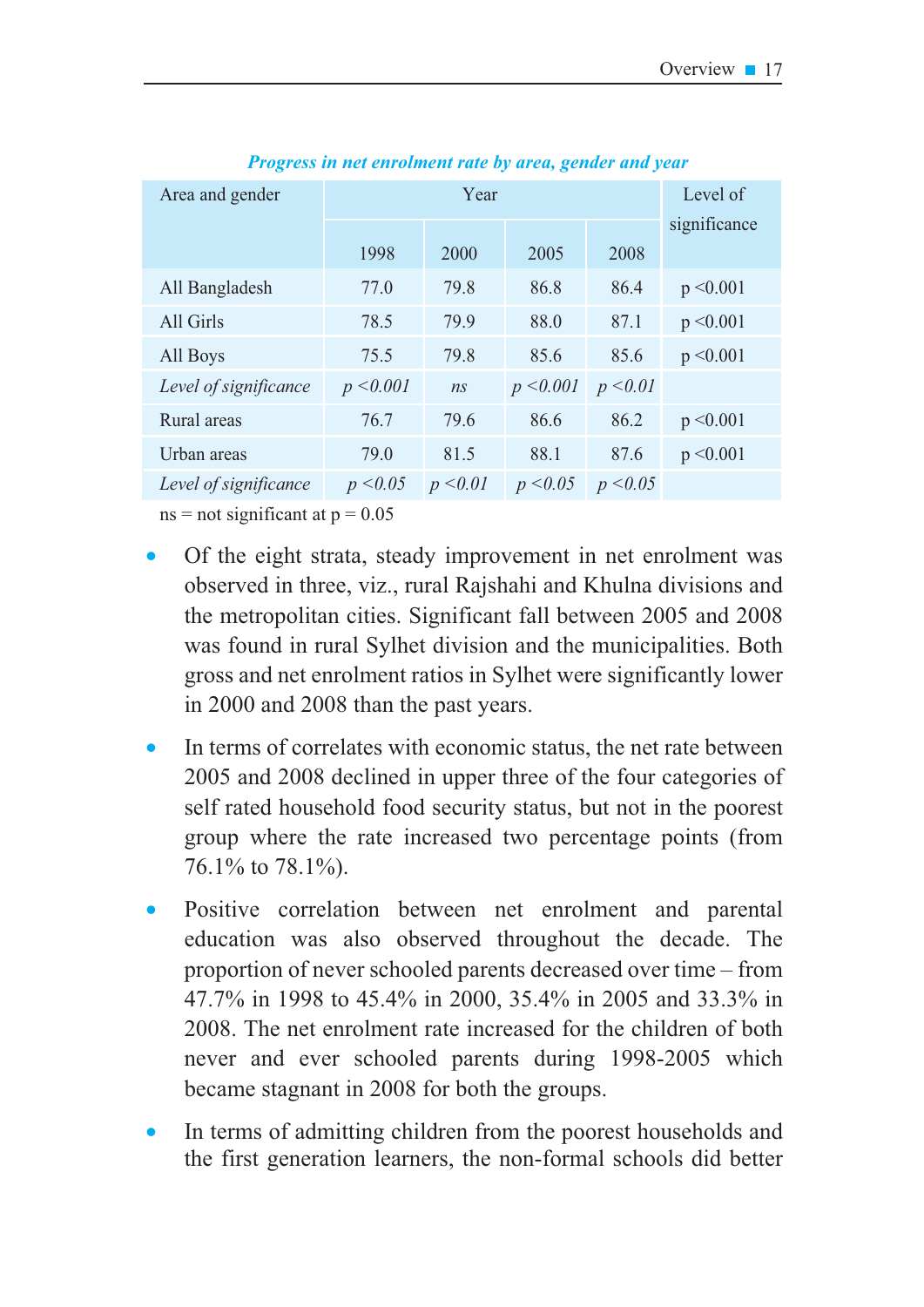| Area and gender       |           | Year     | Level of  |          |              |
|-----------------------|-----------|----------|-----------|----------|--------------|
|                       |           |          |           |          | significance |
|                       | 1998      | 2000     | 2005      | 2008     |              |
| All Bangladesh        | 77.0      | 79.8     | 86.8      | 86.4     | p < 0.001    |
| All Girls             | 78.5      | 79.9     | 88.0      | 87.1     | p < 0.001    |
| All Boys              | 75.5      | 79.8     | 85.6      | 85.6     | p < 0.001    |
| Level of significance | p < 0.001 | ns       | p < 0.001 | p < 0.01 |              |
| Rural areas           | 76.7      | 79.6     | 86.6      | 86.2     | p < 0.001    |
| Urban areas           | 79.0      | 81.5     | 88.1      | 87.6     | p < 0.001    |
| Level of significance | p < 0.05  | p < 0.01 | p < 0.05  | p < 0.05 |              |

*Progress in net enrolment rate by area, gender and year* 

 $ns = not significant at p = 0.05$ 

- Of the eight strata, steady improvement in net enrolment was observed in three, viz., rural Rajshahi and Khulna divisions and the metropolitan cities. Significant fall between 2005 and 2008 was found in rural Sylhet division and the municipalities. Both gross and net enrolment ratios in Sylhet were significantly lower in  $2000$  and  $2008$  than the past vears.
- In terms of correlates with economic status, the net rate between 2005 and 2008 declined in upper three of the four categories of self rated household food security status, but not in the poorest group where the rate increased two percentage points (from 76.1% to 78.1%).
- Positive correlation between net enrolment and parental education was also observed throughout the decade. The proportion of never schooled parents decreased over time – from 47.7% in 1998 to 45.4% in 2000, 35.4% in 2005 and 33.3% in 2008. The net enrolment rate increased for the children of both never and ever schooled parents during 1998-2005 which became stagnant in 2008 for both the groups.
- In terms of admitting children from the poorest households and the first generation learners, the non-formal schools did better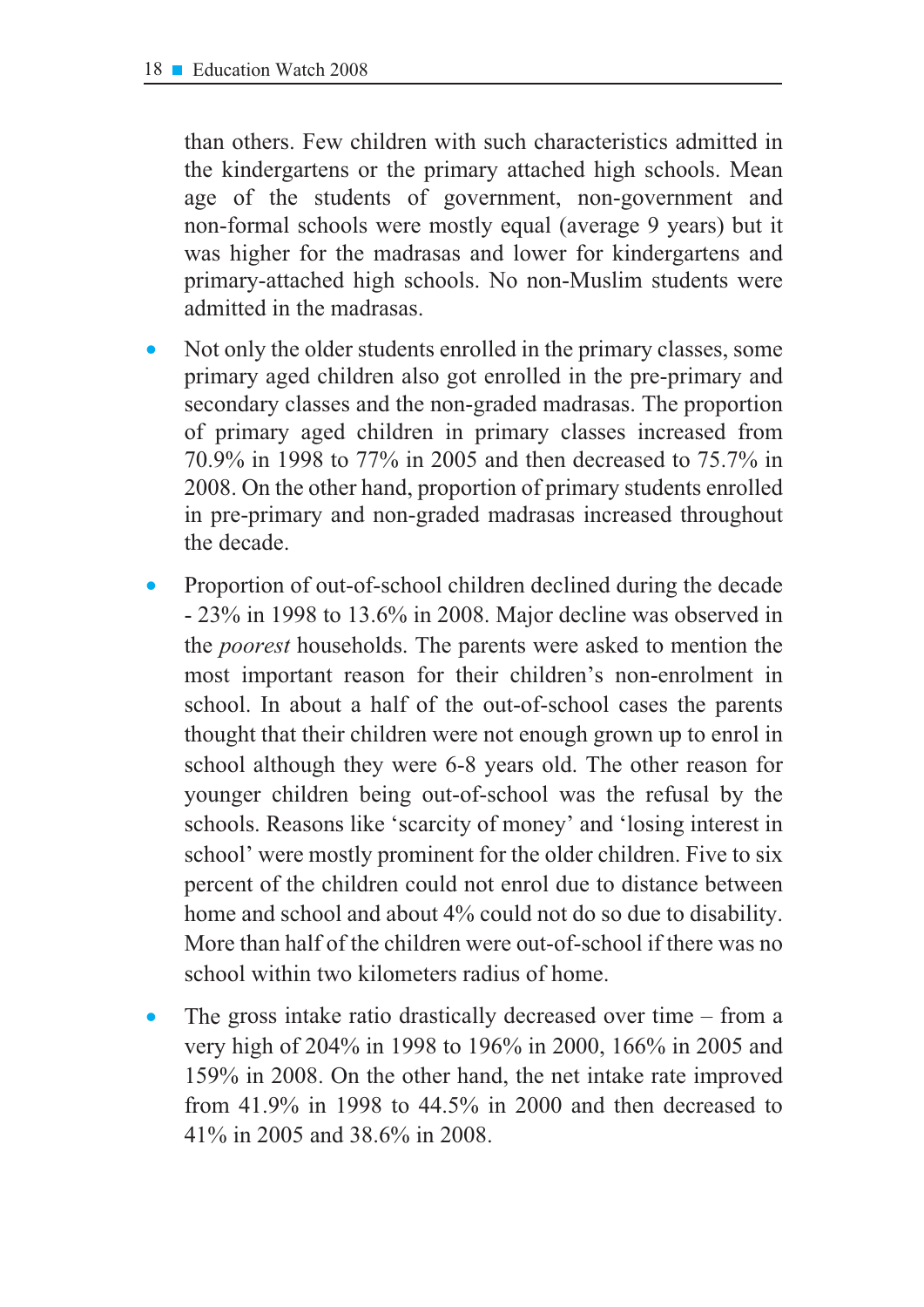than others. Few children with such characteristics admitted in the kindergartens or the primary attached high schools. Mean age of the students of government, non-government and non-formal schools were mostly equal (average 9 years) but it was higher for the madrasas and lower for kindergartens and primary-attached high schools. No non-Muslim students were admitted in the madrasas.

- Not only the older students enrolled in the primary classes, some primary aged children also got enrolled in the pre-primary and secondary classes and the non-graded madrasas. The proportion of primary aged children in primary classes increased from  $70.9\%$  in 1998 to  $77\%$  in 2005 and then decreased to  $75.7\%$  in 2008. On the other hand, proportion of primary students enrolled in pre-primary and non-graded madrasas increased throughout the decade.
- Proportion of out-of-school children declined during the decade  $-23\%$  in 1998 to 13.6% in 2008. Major decline was observed in the *poorest* households. The parents were asked to mention the most important reason for their children's non-enrolment in school. In about a half of the out-of-school cases the parents thought that their children were not enough grown up to enrol in school although they were 6-8 years old. The other reason for younger children being out-of-school was the refusal by the schools. Reasons like 'scarcity of money' and 'losing interest in school' were mostly prominent for the older children. Five to six percent of the children could not enrol due to distance between home and school and about  $4\%$  could not do so due to disability. More than half of the children were out-of-school if there was no school within two kilometers radius of home.
- The gross intake ratio drastically decreased over time  $-$  from a very high of 204% in 1998 to 196% in 2000, 166% in 2005 and 159% in 2008. On the other hand, the net intake rate improved from 41.9% in 1998 to 44.5% in 2000 and then decreased to 41% in 2005 and 38.6% in 2008.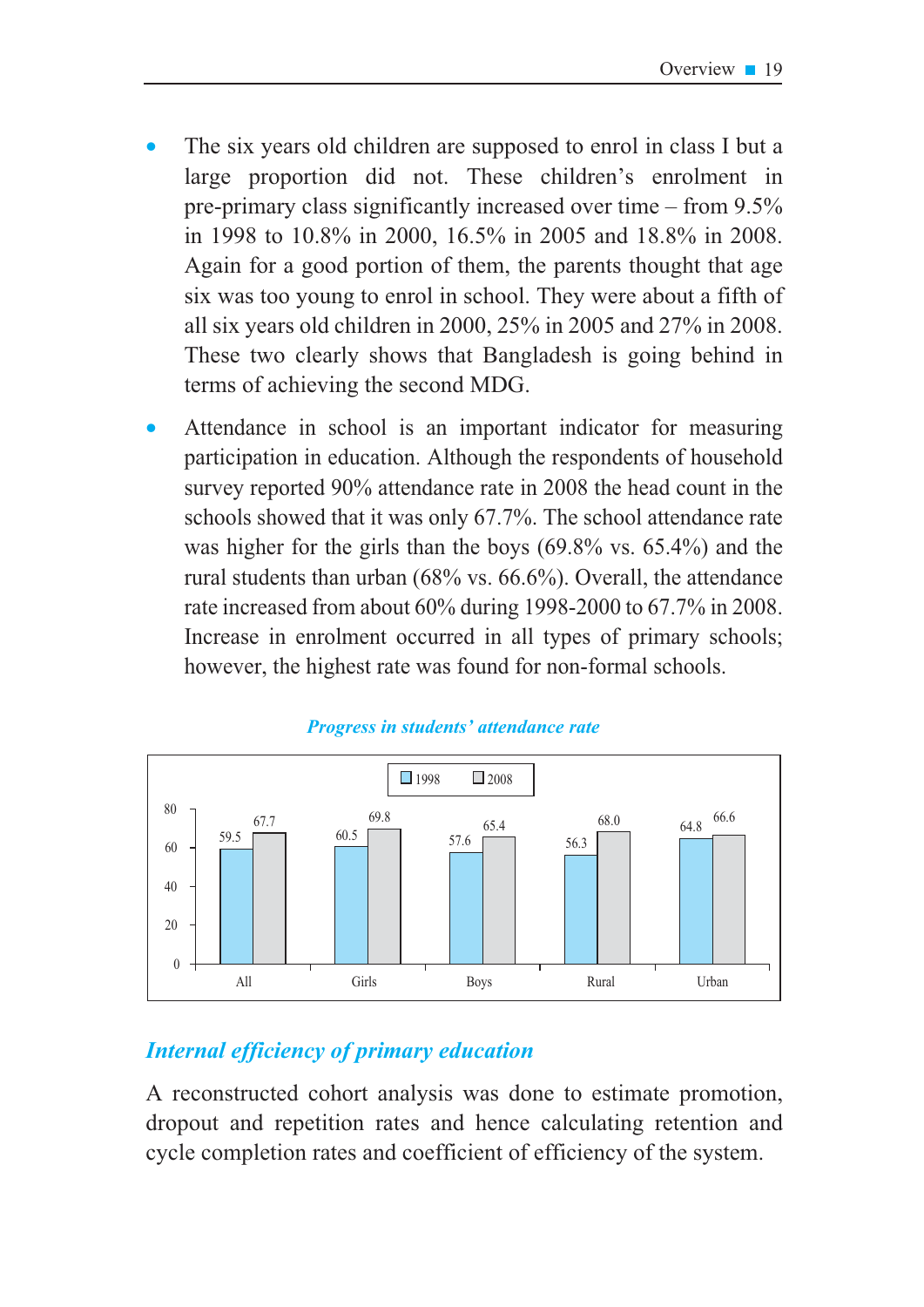- The six years old children are supposed to enrol in class I but a large proportion did not. These children's enrolment in pre-primary class significantly increased over time – from  $9.5\%$ in 1998 to 10.8% in 2000, 16.5% in 2005 and 18.8% in 2008. Again for a good portion of them, the parents thought that age six was too young to enrol in school. They were about a fifth of all six years old children in 2000,  $25\%$  in 2005 and 27% in 2008. These two clearly shows that Bangladesh is going behind in terms of achieving the second MDG.
- Attendance in school is an important indicator for measuring participation in education. Although the respondents of household survey reported 90% attendance rate in 2008 the head count in the schools showed that it was only 67.7%. The school attendance rate was higher for the girls than the boys  $(69.8\% \text{ vs. } 65.4\%)$  and the rural students than urban  $(68\% \text{ vs. } 66.6\%)$ . Overall, the attendance rate increased from about 60% during 1998-2000 to 67.7% in 2008. Increase in enrolment occurred in all types of primary schools; however, the highest rate was found for non-formal schools.



#### Progress in students' attendance rate

### **Internal efficiency of primary education**

A reconstructed cohort analysis was done to estimate promotion, dropout and repetition rates and hence calculating retention and cycle completion rates and coefficient of efficiency of the system.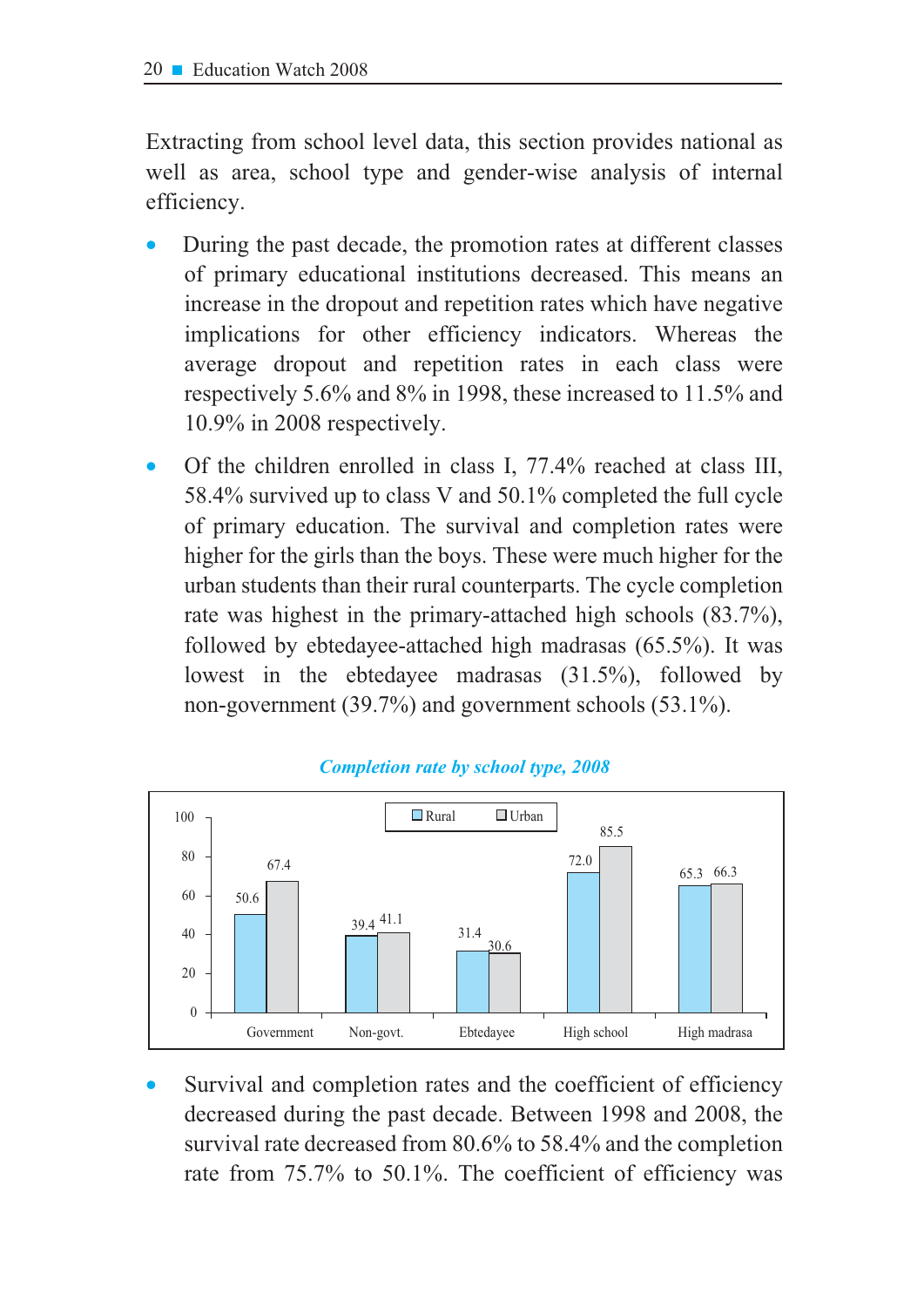Extracting from school level data, this section provides national as well as area, school type and gender-wise analysis of internal efficiency.

- During the past decade, the promotion rates at different classes of primary educational institutions decreased. This means an increase in the dropout and repetition rates which have negative implications for other efficiency indicators. Whereas the average dropout and repetition rates in each class were respectively 5.6% and 8% in 1998, these increased to 11.5% and 10.9% in 2008 respectively.
- Of the children enrolled in class I, 77.4% reached at class III, 58.4% survived up to class V and 50.1% completed the full cycle of primary education. The survival and completion rates were higher for the girls than the boys. These were much higher for the urban students than their rural counterparts. The cycle completion rate was highest in the primary-attached high schools (83.7%), followed by ebtedayee-attached high madrasas  $(65.5\%)$ . It was lowest in the ebtedayee madrasas  $(31.5\%)$ , followed by non-government  $(39.7\%)$  and government schools  $(53.1\%)$ .



#### **Completion rate by school type, 2008**

Survival and completion rates and the coefficient of efficiency decreased during the past decade. Between 1998 and 2008, the survival rate decreased from 80.6% to 58.4% and the completion rate from 75.7% to 50.1%. The coefficient of efficiency was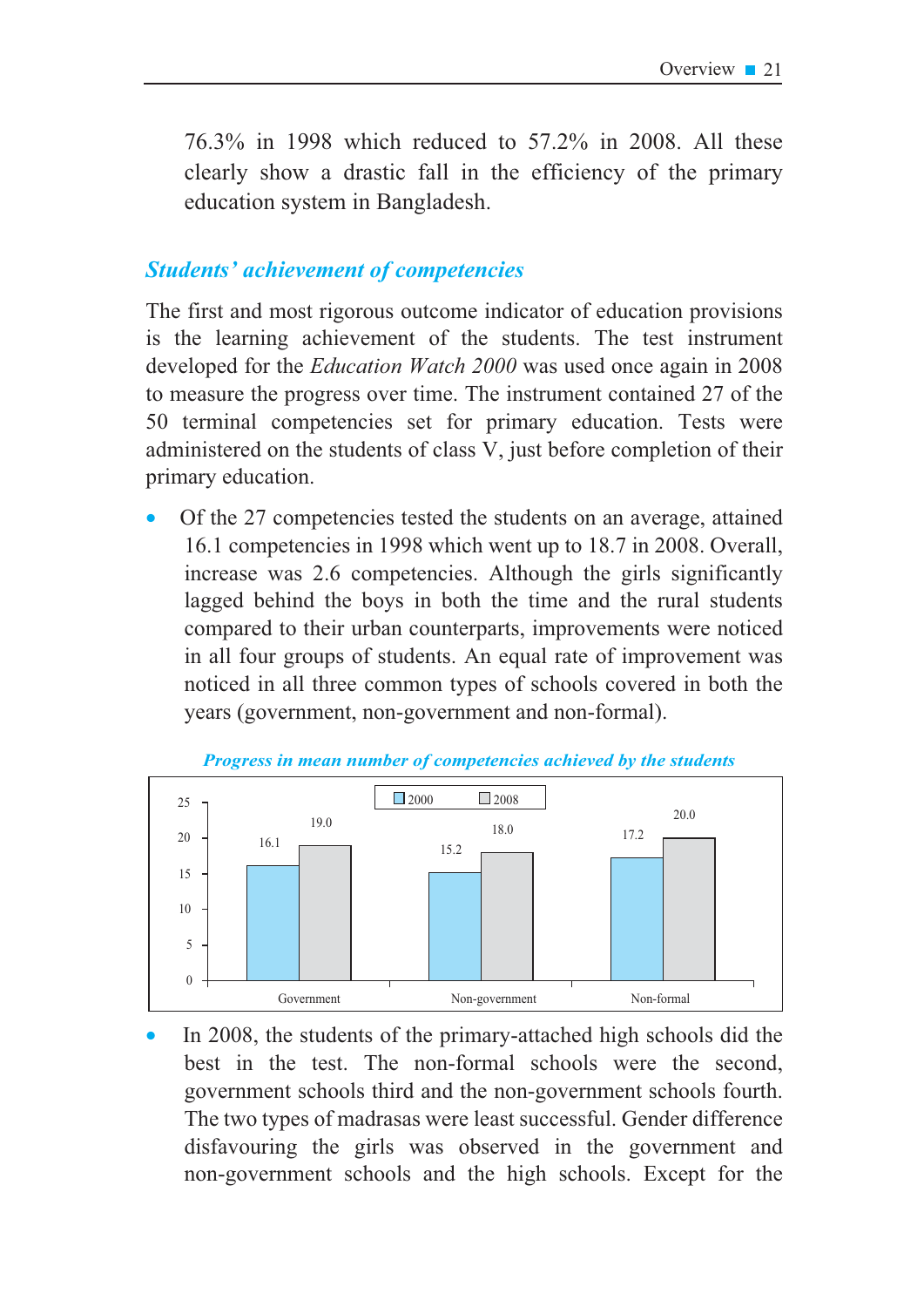76.3% in 1998 which reduced to 57.2% in 2008. All these clearly show a drastic fall in the efficiency of the primary education system in Bangladesh.

### **Students' achievement of competencies**

The first and most rigorous outcome indicator of education provisions is the learning achievement of the students. The test instrument developed for the *Education Watch 2000* was used once again in 2008 to measure the progress over time. The instrument contained 27 of the 50 terminal competencies set for primary education. Tests were administered on the students of class V, just before completion of their primary education.

Of the 27 competencies tested the students on an average, attained 16.1 competencies in 1998 which went up to 18.7 in 2008. Overall, increase was 2.6 competencies. Although the girls significantly lagged behind the boys in both the time and the rural students compared to their urban counterparts, improvements were noticed in all four groups of students. An equal rate of improvement was noticed in all three common types of schools covered in both the years (government, non-government and non-formal).



Progress in mean number of competencies achieved by the students

In 2008, the students of the primary-attached high schools did the best in the test. The non-formal schools were the second, government schools third and the non-government schools fourth. The two types of madrasas were least successful. Gender difference disfavouring the girls was observed in the government and non-government schools and the high schools. Except for the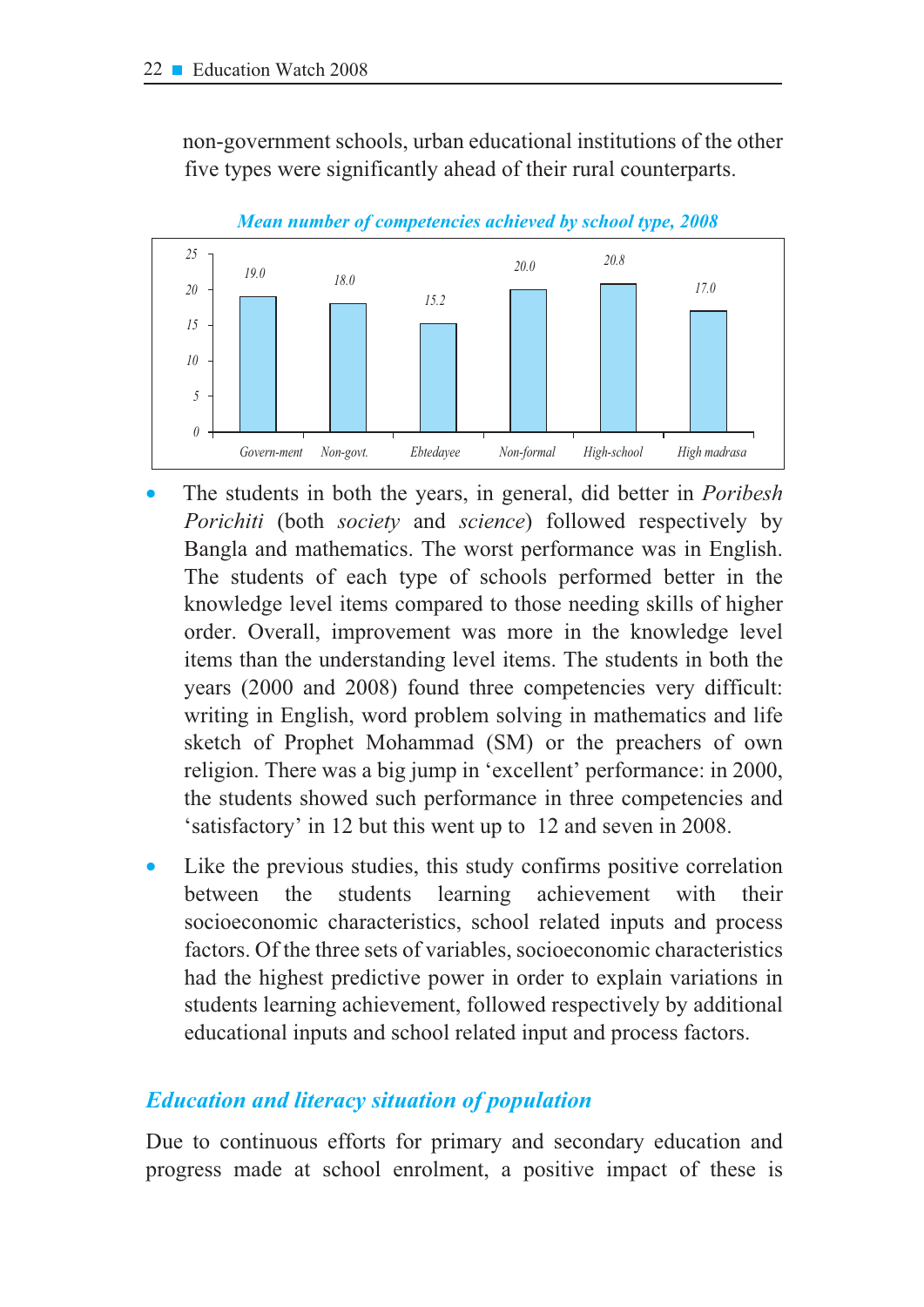non-government schools, urban educational institutions of the other five types were significantly ahead of their rural counterparts.



Mean number of competencies achieved by school type, 2008

- The students in both the years, in general, did better in *Poribesh Porichiti* (both *society* and *science*) followed respectively by Bangla and mathematics. The worst performance was in English. The students of each type of schools performed better in the knowledge level items compared to those needing skills of higher order. Overall, improvement was more in the knowledge level items than the understanding level items. The students in both the years (2000 and 2008) found three competencies very difficult: writing in English, word problem solving in mathematics and life sketch of Prophet Mohammad (SM) or the preachers of own religion. There was a big jump in 'excellent' performance: in 2000, the students showed such performance in three competencies and 'satisfactory' in 12 but this went up to 12 and seven in 2008.
- Like the previous studies, this study confirms positive correlation between the students learning achievement with their socioeconomic characteristics, school related inputs and process factors. Of the three sets of variables, socioeconomic characteristics had the highest predictive power in order to explain variations in students learning achievement, followed respectively by additional educational inputs and school related input and process factors.

### **Education and literacy situation of population**

Due to continuous efforts for primary and secondary education and progress made at school enrolment, a positive impact of these is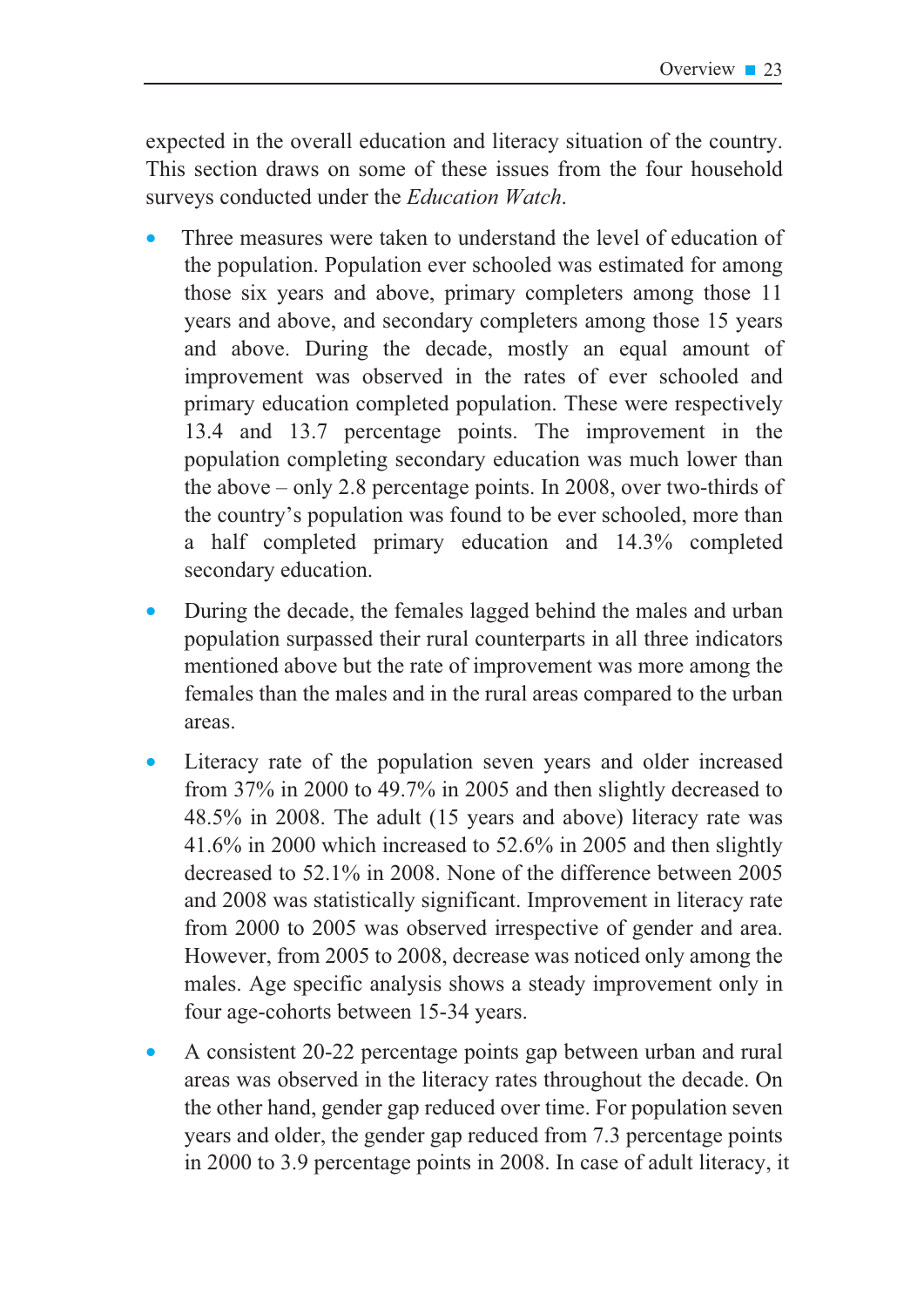expected in the overall education and literacy situation of the country. This section draws on some of these issues from the four household surveys conducted under the *Education Watch*.

- Three measures were taken to understand the level of education of the population. Population ever schooled was estimated for among those six years and above, primary completers among those 11 years and above, and secondary completers among those 15 years and above. During the decade, mostly an equal amount of improvement was observed in the rates of ever schooled and primary education completed population. These were respectively 13.4 and 13.7 percentage points. The improvement in the population completing secondary education was much lower than the above  $-$  only 2.8 percentage points. In 2008, over two-thirds of the country's population was found to be ever schooled, more than a half completed primary education and 14.3% completed secondary education.
- During the decade, the females lagged behind the males and urban population surpassed their rural counterparts in all three indicators mentioned above but the rate of improvement was more among the females than the males and in the rural areas compared to the urban areas.
- Literacy rate of the population seven years and older increased from  $37\%$  in 2000 to 49.7% in 2005 and then slightly decreased to 48.5% in 2008. The adult (15 years and above) literacy rate was 41.6% in 2000 which increased to 52.6% in 2005 and then slightly decreased to 52.1% in 2008. None of the difference between 2005 and 2008 was statistically significant. Improvement in literacy rate from 2000 to 2005 was observed irrespective of gender and area. However, from 2005 to 2008, decrease was noticed only among the males. Age specific analysis shows a steady improvement only in four age-cohorts between 15-34 years.
- A consistent 20-22 percentage points gap between urban and rural areas was observed in the literacy rates throughout the decade. On the other hand, gender gap reduced over time. For population seven years and older, the gender gap reduced from 7.3 percentage points in 2000 to 3.9 percentage points in 2008. In case of adult literacy, it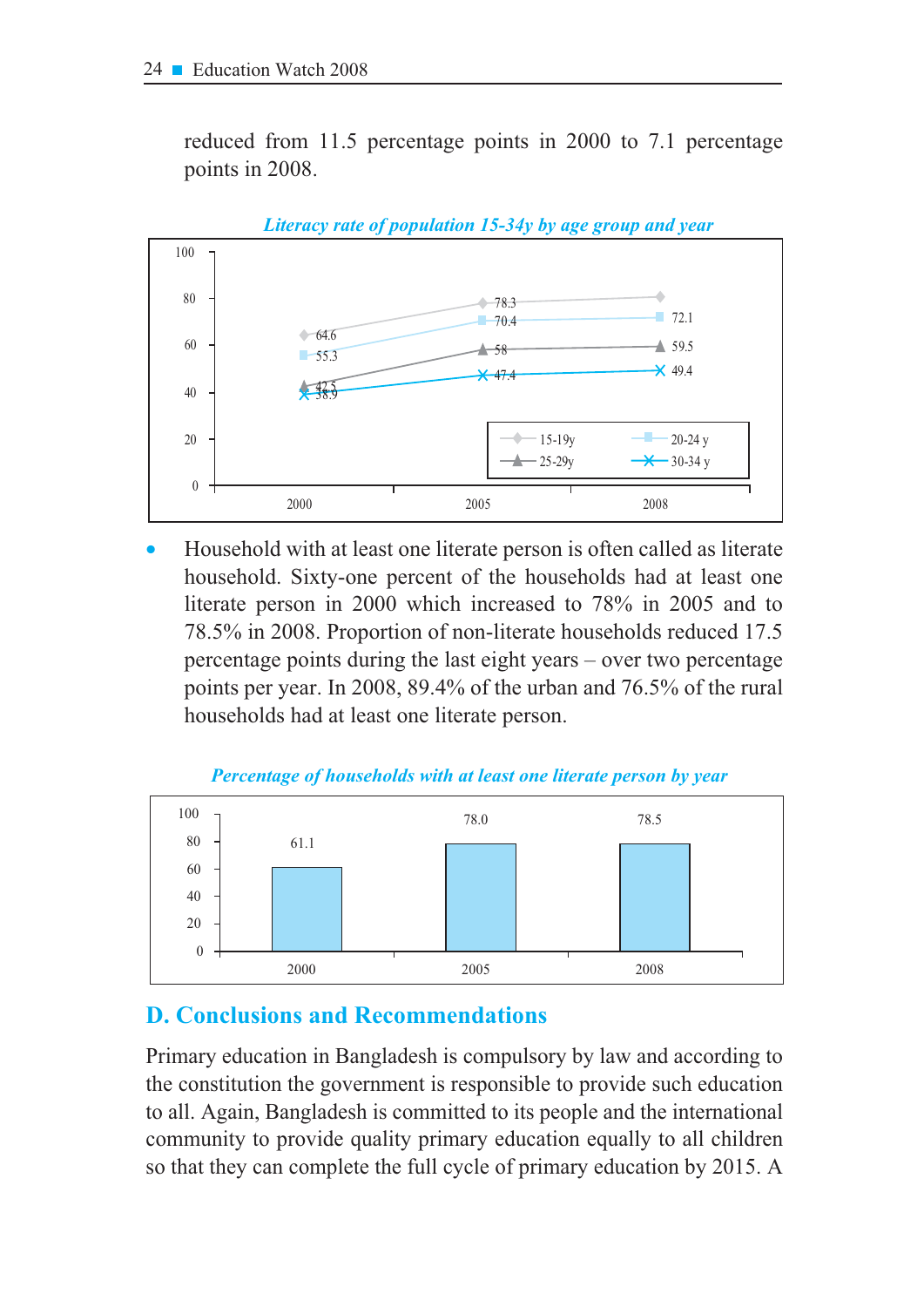reduced from 11.5 percentage points in 2000 to 7.1 percentage points in 2008.



Literacy rate of population 15-34y by age group and year

Household with at least one literate person is often called as literate household. Sixty-one percent of the households had at least one literate person in 2000 which increased to 78% in 2005 and to 78.5% in 2008. Proportion of non-literate households reduced 17.5 percentage points during the last eight years  $-$  over two percentage points per year. In 2008, 89.4% of the urban and 76.5% of the rural households had at least one literate person.



Percentage of households with at least one literate person by year

### **D. Conclusions and Recommendations**

Primary education in Bangladesh is compulsory by law and according to the constitution the government is responsible to provide such education to all. Again, Bangladesh is committed to its people and the international community to provide quality primary education equally to all children so that they can complete the full cycle of primary education by 2015. A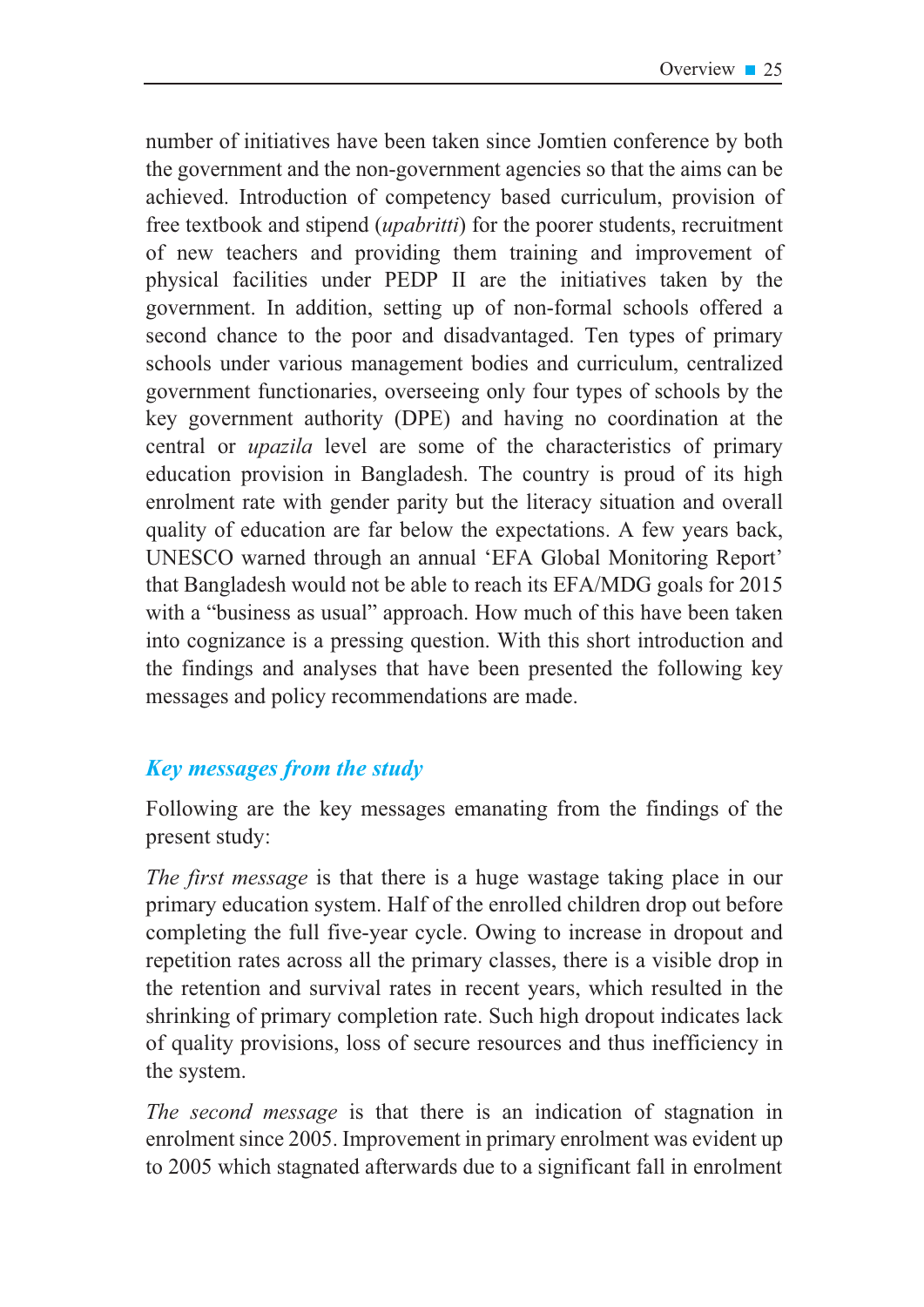number of initiatives have been taken since Jomtien conference by both the government and the non-government agencies so that the aims can be achieved. Introduction of competency based curriculum, provision of free textbook and stipend *(upabritti)* for the poorer students, recruitment of new teachers and providing them training and improvement of physical facilities under PEDP II are the initiatives taken by the government. In addition, setting up of non-formal schools offered a second chance to the poor and disadvantaged. Ten types of primary schools under various management bodies and curriculum, centralized government functionaries, overseeing only four types of schools by the key government authority (DPE) and having no coordination at the central or *upazila* level are some of the characteristics of primary education provision in Bangladesh. The country is proud of its high enrolment rate with gender parity but the literacy situation and overall quality of education are far below the expectations. A few years back, UNESCO warned through an annual 'EFA Global Monitoring Report' that Bangladesh would not be able to reach its EFA/MDG goals for 2015 with a "business as usual" approach. How much of this have been taken into cognizance is a pressing question. With this short introduction and the findings and analyses that have been presented the following key messages and policy recommendations are made.

### **Key messages from the study**

Following are the key messages emanating from the findings of the present study:

The first message is that there is a huge wastage taking place in our primary education system. Half of the enrolled children drop out before completing the full five-year cycle. Owing to increase in dropout and repetition rates across all the primary classes, there is a visible drop in the retention and survival rates in recent years, which resulted in the shrinking of primary completion rate. Such high dropout indicates lack of quality provisions, loss of secure resources and thus inefficiency in the system.

The second message is that there is an indication of stagnation in enrolment since 2005. Improvement in primary enrolment was evident up to 2005 which stagnated afterwards due to a significant fall in enrolment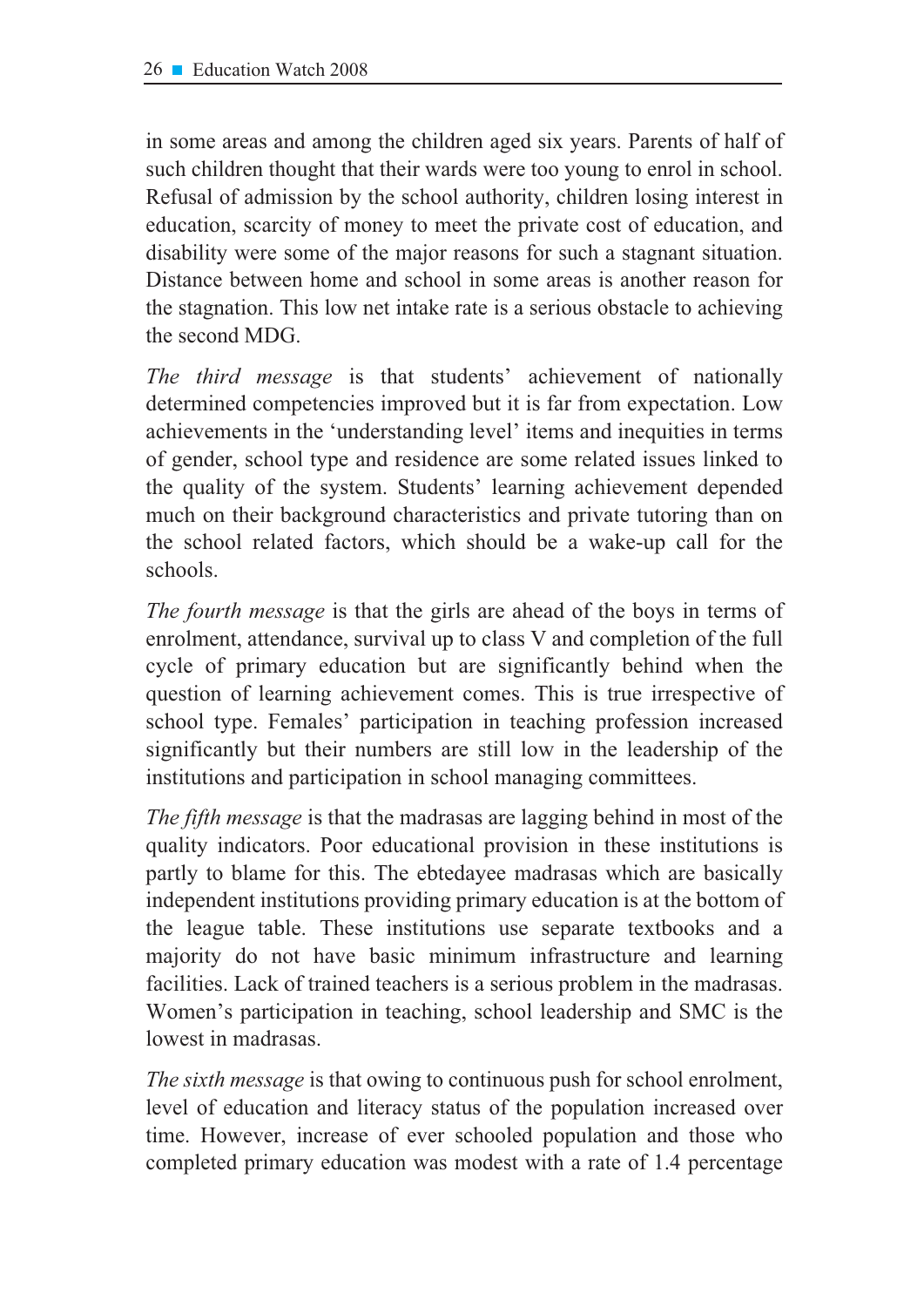in some areas and among the children aged six years. Parents of half of such children thought that their wards were too young to enrol in school. Refusal of admission by the school authority, children losing interest in education, scarcity of money to meet the private cost of education, and disability were some of the major reasons for such a stagnant situation. Distance between home and school in some areas is another reason for the stagnation. This low net intake rate is a serious obstacle to achieving the second MDG.

The third message is that students' achievement of nationally determined competencies improved but it is far from expectation. Low achievements in the 'understanding level' items and inequities in terms of gender, school type and residence are some related issues linked to the quality of the system. Students' learning achievement depended much on their background characteristics and private tutoring than on the school related factors, which should be a wake-up call for the schools.

*The fourth message* is that the girls are ahead of the boys in terms of enrolment, attendance, survival up to class V and completion of the full cycle of primary education but are significantly behind when the question of learning achievement comes. This is true irrespective of school type. Females' participation in teaching profession increased significantly but their numbers are still low in the leadership of the institutions and participation in school managing committees.

*The fifth message* is that the madrasas are lagging behind in most of the quality indicators. Poor educational provision in these institutions is partly to blame for this. The ebtedayee madrasas which are basically independent institutions providing primary education is at the bottom of the league table. These institutions use separate textbooks and a majority do not have basic minimum infrastructure and learning facilities. Lack of trained teachers is a serious problem in the madrasas. Women's participation in teaching, school leadership and SMC is the lowest in madrasas.

*The sixth message* is that owing to continuous push for school enrolment, level of education and literacy status of the population increased over time. However, increase of ever schooled population and those who completed primary education was modest with a rate of 1.4 percentage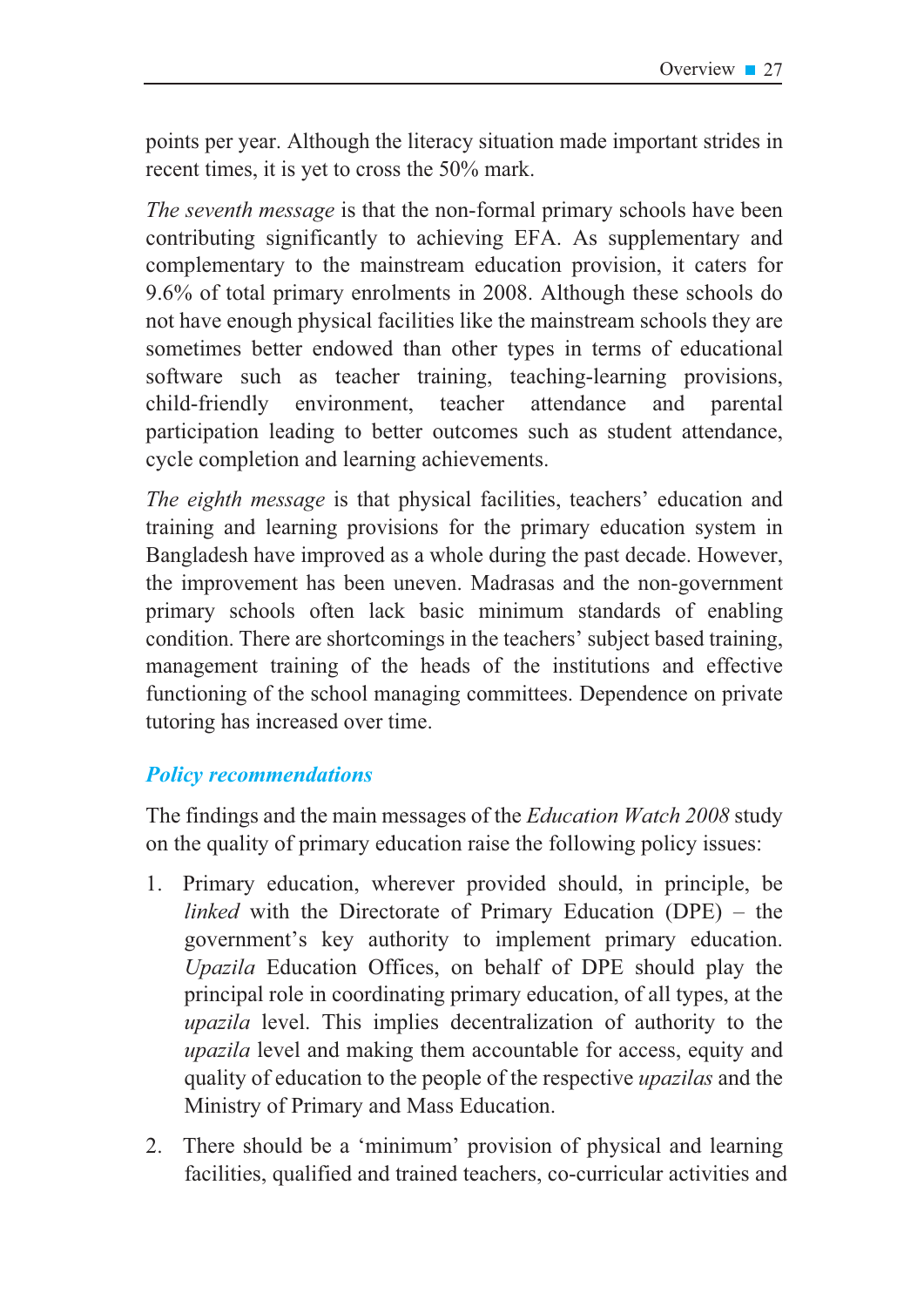points per year. Although the literacy situation made important strides in recent times, it is yet to cross the  $50\%$  mark.

*The seventh message* is that the non-formal primary schools have been contributing significantly to achieving EFA. As supplementary and complementary to the mainstream education provision, it caters for 9.6% of total primary enrolments in 2008. Although these schools do not have enough physical facilities like the mainstream schools they are sometimes better endowed than other types in terms of educational software such as teacher training, teaching-learning provisions, child-friendly environment, teacher attendance and parental participation leading to better outcomes such as student attendance, cycle completion and learning achievements.

*The eighth message* is that physical facilities, teachers' education and training and learning provisions for the primary education system in Bangladesh have improved as a whole during the past decade. However, the improvement has been uneven. Madrasas and the non-government primary schools often lack basic minimum standards of enabling condition. There are shortcomings in the teachers' subject based training, management training of the heads of the institutions and effective functioning of the school managing committees. Dependence on private tutoring has increased over time.

### *Policy recommendations*

The findings and the main messages of the *Education Watch* 2008 study on the quality of primary education raise the following policy issues:

- 1. Primary education, wherever provided should, in principle, be *linked* with the Directorate of Primary Education (DPE) – the government's key authority to implement primary education. *Upazila* Education Offices, on behalf of DPE should play the principal role in coordinating primary education, of all types, at the *upazila* level. This implies decentralization of authority to the *upazila* level and making them accountable for access, equity and quality of education to the people of the respective *upazilas* and the Ministry of Primary and Mass Education.
- 2. There should be a 'minimum' provision of physical and learning facilities, qualified and trained teachers, co-curricular activities and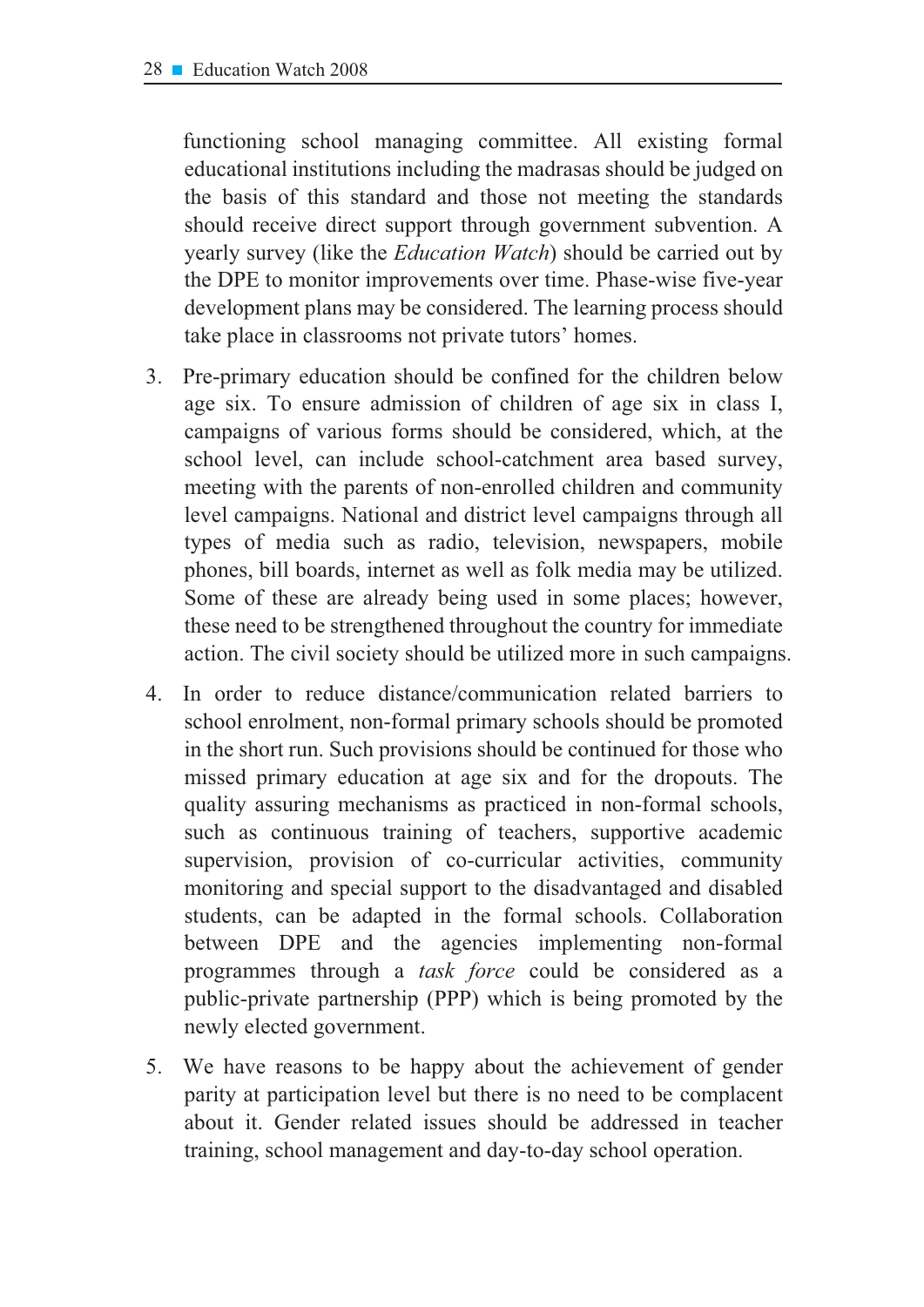functioning school managing committee. All existing formal educational institutions including the madrasas should be judged on the basis of this standard and those not meeting the standards should receive direct support through government subvention. A yearly survey (like the *Education Watch*) should be carried out by the DPE to monitor improvements over time. Phase-wise five-year development plans may be considered. The learning process should take place in classrooms not private tutors' homes.

- $3<sub>1</sub>$ Pre-primary education should be confined for the children below age six. To ensure admission of children of age six in class I, campaigns of various forms should be considered, which, at the school level, can include school-catchment area based survey, meeting with the parents of non-enrolled children and community level campaigns. National and district level campaigns through all types of media such as radio, television, newspapers, mobile phones, bill boards, internet as well as folk media may be utilized. Some of these are already being used in some places; however, these need to be strengthened throughout the country for immediate action. The civil society should be utilized more in such campaigns.
- In order to reduce distance/communication related barriers to  $\overline{4}$ . school enrolment, non-formal primary schools should be promoted in the short run. Such provisions should be continued for those who missed primary education at age six and for the dropouts. The quality assuring mechanisms as practiced in non-formal schools, such as continuous training of teachers, supportive academic supervision, provision of co-curricular activities, community monitoring and special support to the disadvantaged and disabled students, can be adapted in the formal schools. Collaboration between DPE and the agencies implementing non-formal programmes through a *task force* could be considered as a public-private partnership (PPP) which is being promoted by the newly elected government.
- 5. We have reasons to be happy about the achievement of gender parity at participation level but there is no need to be complacent about it. Gender related issues should be addressed in teacher training, school management and day-to-day school operation.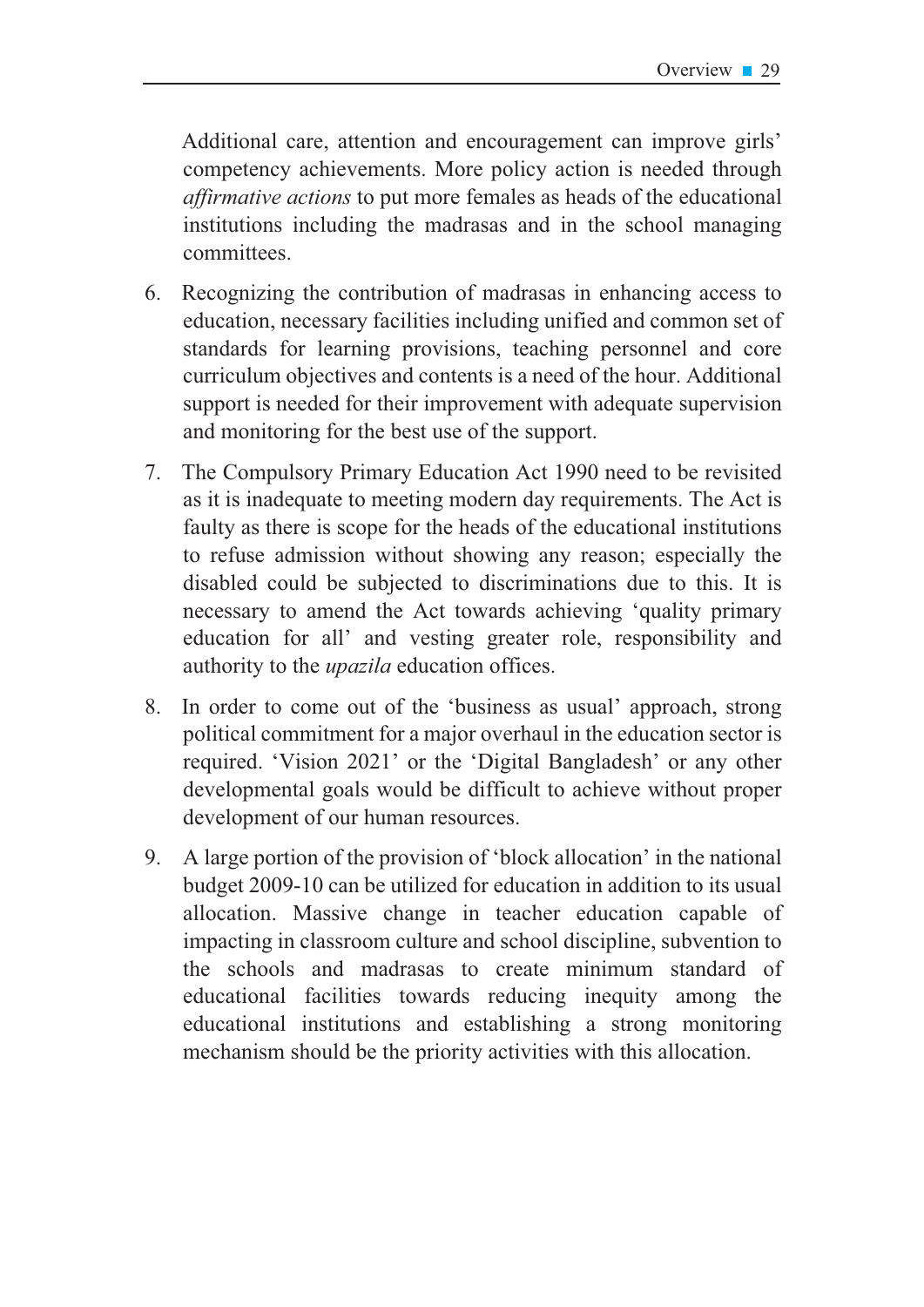Additional care, attention and encouragement can improve girls' competency achievements. More policy action is needed through *defirmative actions* to put more females as heads of the educational institutions including the madrasas and in the school managing committees.

- 6. Recognizing the contribution of madrasas in enhancing access to education, necessary facilities including unified and common set of standards for learning provisions, teaching personnel and core curriculum objectives and contents is a need of the hour. Additional support is needed for their improvement with adequate supervision and monitoring for the best use of the support.
- $7.$ The Compulsory Primary Education Act 1990 need to be revisited as it is inadequate to meeting modern day requirements. The Act is faulty as there is scope for the heads of the educational institutions to refuse admission without showing any reason; especially the disabled could be subjected to discriminations due to this. It is necessary to amend the Act towards achieving 'quality primary education for all' and vesting greater role, responsibility and authority to the *upazila* education offices.
- 8. In order to come out of the 'business as usual' approach, strong political commitment for a major overhaul in the education sector is required. 'Vision 2021' or the 'Digital Bangladesh' or any other developmental goals would be difficult to achieve without proper development of our human resources.
- 9. A large portion of the provision of 'block allocation' in the national budget 2009-10 can be utilized for education in addition to its usual allocation. Massive change in teacher education capable of impacting in classroom culture and school discipline, subvention to the schools and madrasas to create minimum standard of educational facilities towards reducing inequity among the educational institutions and establishing a strong monitoring mechanism should be the priority activities with this allocation.